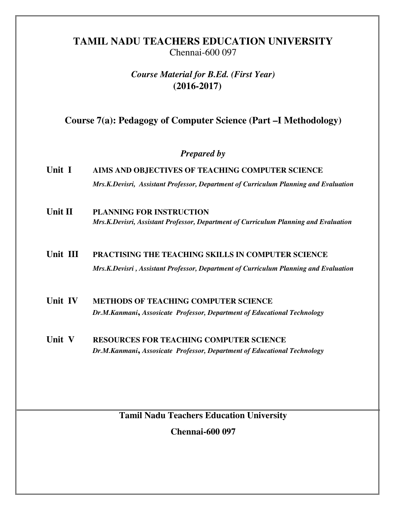## **TAMIL NADU TEACHERS EDUCATION UNIVERSITY**  Chennai-600 097

## *Course Material for B.Ed. (First Year)*  **(2016-2017)**

## **Course 7(a): Pedagogy of Computer Science (Part –I Methodology)**

## *Prepared by*

- **Unit I AIMS AND OBJECTIVES OF TEACHING COMPUTER SCIENCE** *Mrs.K.Devisri, Assistant Professor, Department of Curriculum Planning and Evaluation*
- **Unit II PLANNING FOR INSTRUCTION**  *Mrs.K.Devisri, Assistant Professor, Department of Curriculum Planning and Evaluation*

# **Unit III PRACTISING THE TEACHING SKILLS IN COMPUTER SCIENCE**  *Mrs.K.Devisri , Assistant Professor, Department of Curriculum Planning and Evaluation*

- **Unit IV METHODS OF TEACHING COMPUTER SCIENCE** *Dr.M.Kanmani***,** *Assosicate Professor, Department of Educational Technology*
- **Unit V RESOURCES FOR TEACHING COMPUTER SCIENCE** *Dr.M.Kanmani***,** *Assosicate Professor, Department of Educational Technology*

**Tamil Nadu Teachers Education University** 

**Chennai-600 097**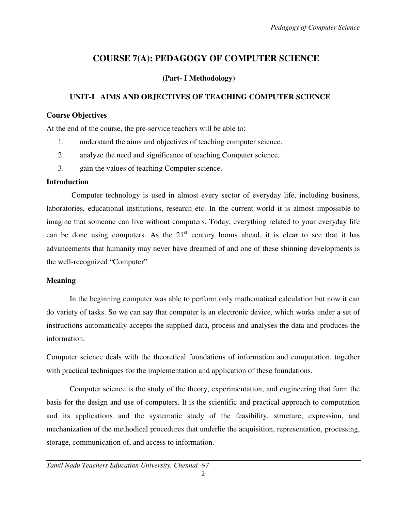# **COURSE 7(A): PEDAGOGY OF COMPUTER SCIENCE**

### **(Part- I Methodology)**

### **UNIT-I AIMS AND OBJECTIVES OF TEACHING COMPUTER SCIENCE**

#### **Course Objectives**

At the end of the course, the pre-service teachers will be able to:

- 1. understand the aims and objectives of teaching computer science.
- 2. analyze the need and significance of teaching Computer science.
- 3. gain the values of teaching Computer science.

#### **Introduction**

 Computer technology is used in almost every sector of everyday life, including business, laboratories, educational institutions, research etc. In the current world it is almost impossible to imagine that someone can live without computers. Today, everything related to your everyday life can be done using computers. As the  $21<sup>st</sup>$  century looms ahead, it is clear to see that it has advancements that humanity may never have dreamed of and one of these shinning developments is the well-recognized "Computer"

### **Meaning**

 In the beginning computer was able to perform only mathematical calculation but now it can do variety of tasks. So we can say that computer is an electronic device, which works under a set of instructions automatically accepts the supplied data, process and analyses the data and produces the information.

Computer science deals with the theoretical foundations of information and computation, together with practical techniques for the implementation and application of these foundations.

 Computer science is the study of the theory, experimentation, and engineering that form the basis for the design and use of computers. It is the scientific and practical approach to computation and its applications and the systematic study of the feasibility, structure, expression, and mechanization of the methodical procedures that underlie the acquisition, representation, processing, storage, communication of, and access to information.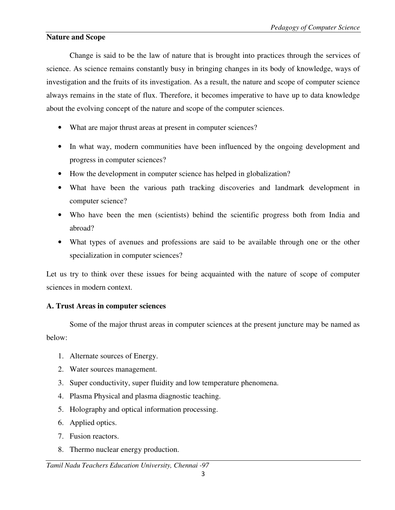#### **Nature and Scope**

Change is said to be the law of nature that is brought into practices through the services of science. As science remains constantly busy in bringing changes in its body of knowledge, ways of investigation and the fruits of its investigation. As a result, the nature and scope of computer science always remains in the state of flux. Therefore, it becomes imperative to have up to data knowledge about the evolving concept of the nature and scope of the computer sciences.

- What are major thrust areas at present in computer sciences?
- In what way, modern communities have been influenced by the ongoing development and progress in computer sciences?
- How the development in computer science has helped in globalization?
- What have been the various path tracking discoveries and landmark development in computer science?
- Who have been the men (scientists) behind the scientific progress both from India and abroad?
- What types of avenues and professions are said to be available through one or the other specialization in computer sciences?

Let us try to think over these issues for being acquainted with the nature of scope of computer sciences in modern context.

### **A. Trust Areas in computer sciences**

 Some of the major thrust areas in computer sciences at the present juncture may be named as below:

- 1. Alternate sources of Energy.
- 2. Water sources management.
- 3. Super conductivity, super fluidity and low temperature phenomena.
- 4. Plasma Physical and plasma diagnostic teaching.
- 5. Holography and optical information processing.
- 6. Applied optics.
- 7. Fusion reactors.
- 8. Thermo nuclear energy production.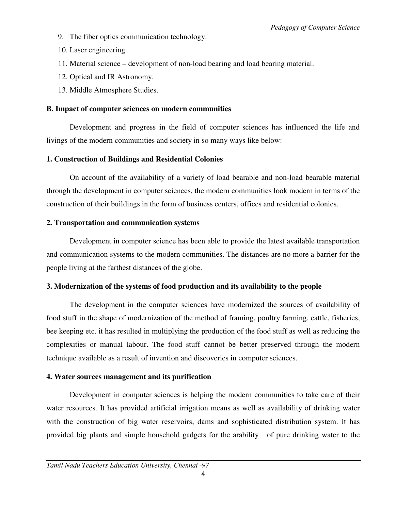- 9. The fiber optics communication technology.
- 10. Laser engineering.
- 11. Material science development of non-load bearing and load bearing material.
- 12. Optical and IR Astronomy.
- 13. Middle Atmosphere Studies.

## **B. Impact of computer sciences on modern communities**

 Development and progress in the field of computer sciences has influenced the life and livings of the modern communities and society in so many ways like below:

## **1. Construction of Buildings and Residential Colonies**

On account of the availability of a variety of load bearable and non-load bearable material through the development in computer sciences, the modern communities look modern in terms of the construction of their buildings in the form of business centers, offices and residential colonies.

## **2. Transportation and communication systems**

Development in computer science has been able to provide the latest available transportation and communication systems to the modern communities. The distances are no more a barrier for the people living at the farthest distances of the globe.

## **3. Modernization of the systems of food production and its availability to the people**

The development in the computer sciences have modernized the sources of availability of food stuff in the shape of modernization of the method of framing, poultry farming, cattle, fisheries, bee keeping etc. it has resulted in multiplying the production of the food stuff as well as reducing the complexities or manual labour. The food stuff cannot be better preserved through the modern technique available as a result of invention and discoveries in computer sciences.

## **4. Water sources management and its purification**

Development in computer sciences is helping the modern communities to take care of their water resources. It has provided artificial irrigation means as well as availability of drinking water with the construction of big water reservoirs, dams and sophisticated distribution system. It has provided big plants and simple household gadgets for the arability of pure drinking water to the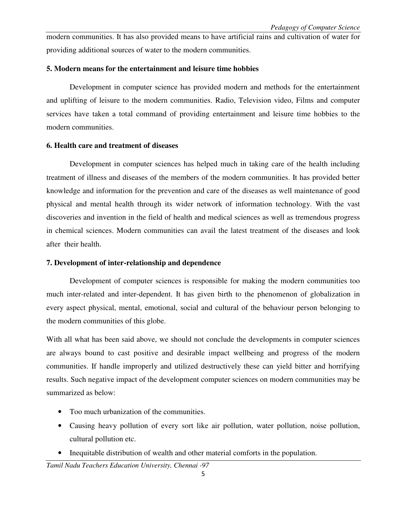modern communities. It has also provided means to have artificial rains and cultivation of water for providing additional sources of water to the modern communities.

#### **5. Modern means for the entertainment and leisure time hobbies**

Development in computer science has provided modern and methods for the entertainment and uplifting of leisure to the modern communities. Radio, Television video, Films and computer services have taken a total command of providing entertainment and leisure time hobbies to the modern communities.

#### **6. Health care and treatment of diseases**

Development in computer sciences has helped much in taking care of the health including treatment of illness and diseases of the members of the modern communities. It has provided better knowledge and information for the prevention and care of the diseases as well maintenance of good physical and mental health through its wider network of information technology. With the vast discoveries and invention in the field of health and medical sciences as well as tremendous progress in chemical sciences. Modern communities can avail the latest treatment of the diseases and look after their health.

### **7. Development of inter-relationship and dependence**

Development of computer sciences is responsible for making the modern communities too much inter-related and inter-dependent. It has given birth to the phenomenon of globalization in every aspect physical, mental, emotional, social and cultural of the behaviour person belonging to the modern communities of this globe.

With all what has been said above, we should not conclude the developments in computer sciences are always bound to cast positive and desirable impact wellbeing and progress of the modern communities. If handle improperly and utilized destructively these can yield bitter and horrifying results. Such negative impact of the development computer sciences on modern communities may be summarized as below:

- Too much urbanization of the communities.
- Causing heavy pollution of every sort like air pollution, water pollution, noise pollution, cultural pollution etc.
- Inequitable distribution of wealth and other material comforts in the population.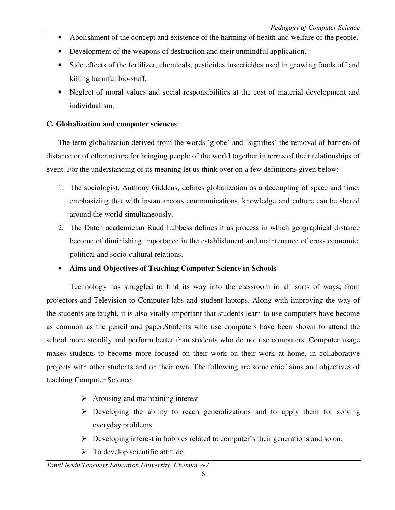- Abolishment of the concept and existence of the harming of health and welfare of the people.
- Development of the weapons of destruction and their unmindful application.
- Side effects of the fertilizer, chemicals, pesticides insecticides used in growing foodstuff and killing harmful bio-stuff.
- Neglect of moral values and social responsibilities at the cost of material development and individualism.

## **C. Globalization and computer sciences**:

The term globalization derived from the words 'globe' and 'signifies' the removal of barriers of distance or of other nature for bringing people of the world together in terms of their relationships of event. For the understanding of its meaning let us think over on a few definitions given below:

- 1. The sociologist, Anthony Giddens, defines globalization as a decoupling of space and time, emphasizing that with instantaneous communications, knowledge and culture can be shared around the world simultaneously.
- 2. The Dutch academician Rudd Lubbess defines it as process in which geographical distance become of diminishing importance in the establishment and maintenance of cross economic, political and socio-cultural relations.

## • **Aims and Objectives of Teaching Computer Science in Schools**

Technology has struggled to find its way into the classroom in all sorts of ways, from projectors and Television to Computer labs and student laptops. Along with improving the way of the students are taught, it is also vitally important that students learn to use computers have become as common as the pencil and paper.Students who use computers have been shown to attend the school more steadily and perform better than students who do not use computers. Computer usage makes students to become more focused on their work on their work at home, in collaborative projects with other students and on their own. The following are some chief aims and objectives of teaching Computer Science

- $\triangleright$  Arousing and maintaining interest
- $\triangleright$  Developing the ability to reach generalizations and to apply them for solving everyday problems.
- Developing interest in hobbies related to computer's their generations and so on.
- $\triangleright$  To develop scientific attitude.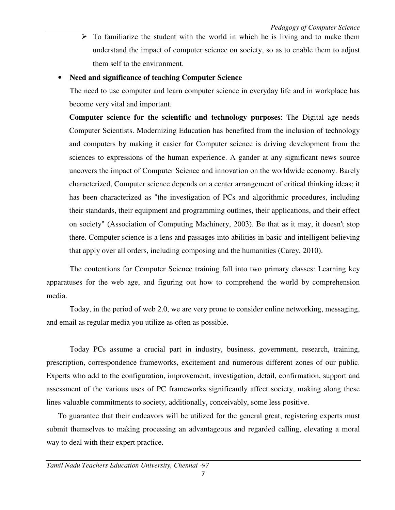$\triangleright$  To familiarize the student with the world in which he is living and to make them understand the impact of computer science on society, so as to enable them to adjust them self to the environment.

#### • **Need and significance of teaching Computer Science**

The need to use computer and learn computer science in everyday life and in workplace has become very vital and important.

**Computer science for the scientific and technology purposes**: The Digital age needs Computer Scientists. Modernizing Education has benefited from the inclusion of technology and computers by making it easier for Computer science is driving development from the sciences to expressions of the human experience. A gander at any significant news source uncovers the impact of Computer Science and innovation on the worldwide economy. Barely characterized, Computer science depends on a center arrangement of critical thinking ideas; it has been characterized as "the investigation of PCs and algorithmic procedures, including their standards, their equipment and programming outlines, their applications, and their effect on society" (Association of Computing Machinery, 2003). Be that as it may, it doesn't stop there. Computer science is a lens and passages into abilities in basic and intelligent believing that apply over all orders, including composing and the humanities (Carey, 2010).

The contentions for Computer Science training fall into two primary classes: Learning key apparatuses for the web age, and figuring out how to comprehend the world by comprehension media.

Today, in the period of web 2.0, we are very prone to consider online networking, messaging, and email as regular media you utilize as often as possible.

Today PCs assume a crucial part in industry, business, government, research, training, prescription, correspondence frameworks, excitement and numerous different zones of our public. Experts who add to the configuration, improvement, investigation, detail, confirmation, support and assessment of the various uses of PC frameworks significantly affect society, making along these lines valuable commitments to society, additionally, conceivably, some less positive.

To guarantee that their endeavors will be utilized for the general great, registering experts must submit themselves to making processing an advantageous and regarded calling, elevating a moral way to deal with their expert practice.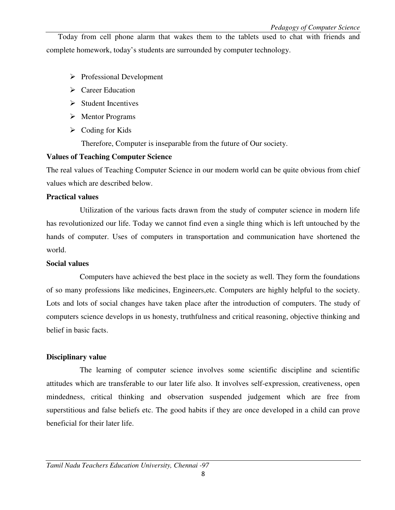Today from cell phone alarm that wakes them to the tablets used to chat with friends and complete homework, today's students are surrounded by computer technology.

- $\triangleright$  Professional Development
- $\triangleright$  Career Education
- $\triangleright$  Student Incentives
- $\triangleright$  Mentor Programs
- $\triangleright$  Coding for Kids

Therefore, Computer is inseparable from the future of Our society.

#### **Values of Teaching Computer Science**

The real values of Teaching Computer Science in our modern world can be quite obvious from chief values which are described below.

#### **Practical values**

 Utilization of the various facts drawn from the study of computer science in modern life has revolutionized our life. Today we cannot find even a single thing which is left untouched by the hands of computer. Uses of computers in transportation and communication have shortened the world.

#### **Social values**

 Computers have achieved the best place in the society as well. They form the foundations of so many professions like medicines, Engineers,etc. Computers are highly helpful to the society. Lots and lots of social changes have taken place after the introduction of computers. The study of computers science develops in us honesty, truthfulness and critical reasoning, objective thinking and belief in basic facts.

### **Disciplinary value**

The learning of computer science involves some scientific discipline and scientific attitudes which are transferable to our later life also. It involves self-expression, creativeness, open mindedness, critical thinking and observation suspended judgement which are free from superstitious and false beliefs etc. The good habits if they are once developed in a child can prove beneficial for their later life.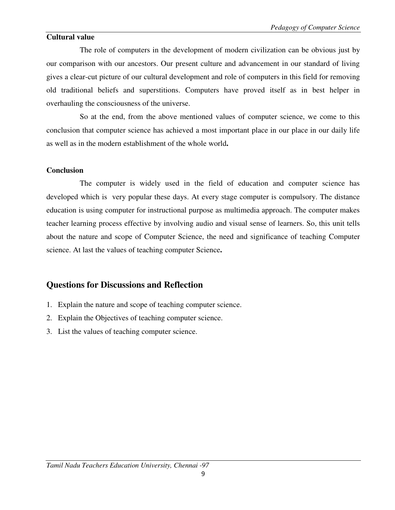#### **Cultural value**

The role of computers in the development of modern civilization can be obvious just by our comparison with our ancestors. Our present culture and advancement in our standard of living gives a clear-cut picture of our cultural development and role of computers in this field for removing old traditional beliefs and superstitions. Computers have proved itself as in best helper in overhauling the consciousness of the universe.

 So at the end, from the above mentioned values of computer science, we come to this conclusion that computer science has achieved a most important place in our place in our daily life as well as in the modern establishment of the whole world**.** 

#### **Conclusion**

The computer is widely used in the field of education and computer science has developed which is very popular these days. At every stage computer is compulsory. The distance education is using computer for instructional purpose as multimedia approach. The computer makes teacher learning process effective by involving audio and visual sense of learners. So, this unit tells about the nature and scope of Computer Science, the need and significance of teaching Computer science. At last the values of teaching computer Science**.** 

## **Questions for Discussions and Reflection**

- 1. Explain the nature and scope of teaching computer science.
- 2. Explain the Objectives of teaching computer science.
- 3. List the values of teaching computer science.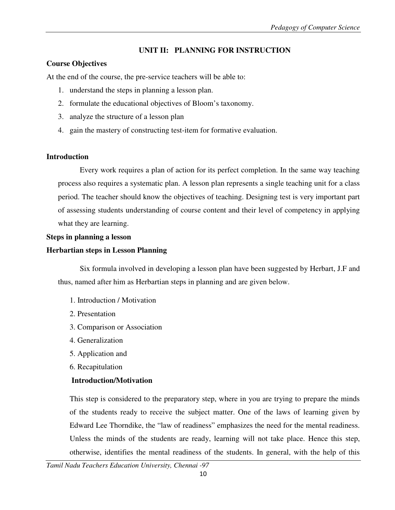## **UNIT II: PLANNING FOR INSTRUCTION**

## **Course Objectives**

At the end of the course, the pre-service teachers will be able to:

- 1. understand the steps in planning a lesson plan.
- 2. formulate the educational objectives of Bloom's taxonomy.
- 3. analyze the structure of a lesson plan
- 4. gain the mastery of constructing test-item for formative evaluation.

### **Introduction**

 Every work requires a plan of action for its perfect completion. In the same way teaching process also requires a systematic plan. A lesson plan represents a single teaching unit for a class period. The teacher should know the objectives of teaching. Designing test is very important part of assessing students understanding of course content and their level of competency in applying what they are learning.

### **Steps in planning a lesson**

### **Herbartian steps in Lesson Planning**

 Six formula involved in developing a lesson plan have been suggested by Herbart, J.F and thus, named after him as Herbartian steps in planning and are given below.

- 1. Introduction / Motivation
- 2. Presentation
- 3. Comparison or Association
- 4. Generalization
- 5. Application and
- 6. Recapitulation

## **Introduction/Motivation**

 This step is considered to the preparatory step, where in you are trying to prepare the minds of the students ready to receive the subject matter. One of the laws of learning given by Edward Lee Thorndike, the "law of readiness" emphasizes the need for the mental readiness. Unless the minds of the students are ready, learning will not take place. Hence this step, otherwise, identifies the mental readiness of the students. In general, with the help of this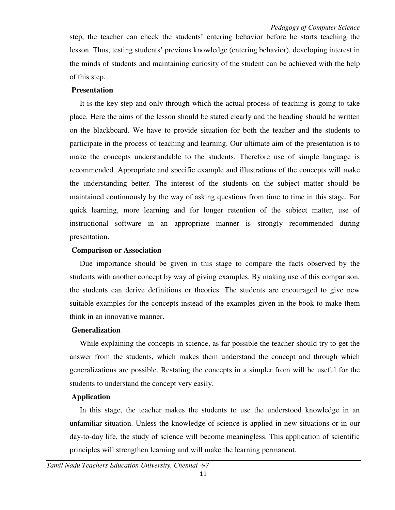step, the teacher can check the students' entering behavior before he starts teaching the lesson. Thus, testing students' previous knowledge (entering behavior), developing interest in the minds of students and maintaining curiosity of the student can be achieved with the help of this step.

#### **Presentation**

 It is the key step and only through which the actual process of teaching is going to take place. Here the aims of the lesson should be stated clearly and the heading should be written on the blackboard. We have to provide situation for both the teacher and the students to participate in the process of teaching and learning. Our ultimate aim of the presentation is to make the concepts understandable to the students. Therefore use of simple language is recommended. Appropriate and specific example and illustrations of the concepts will make the understanding better. The interest of the students on the subject matter should be maintained continuously by the way of asking questions from time to time in this stage. For quick learning, more learning and for longer retention of the subject matter, use of instructional software in an appropriate manner is strongly recommended during presentation.

#### **Comparison or Association**

 Due importance should be given in this stage to compare the facts observed by the students with another concept by way of giving examples. By making use of this comparison, the students can derive definitions or theories. The students are encouraged to give new suitable examples for the concepts instead of the examples given in the book to make them think in an innovative manner.

#### **Generalization**

 While explaining the concepts in science, as far possible the teacher should try to get the answer from the students, which makes them understand the concept and through which generalizations are possible. Restating the concepts in a simpler from will be useful for the students to understand the concept very easily.

#### **Application**

 In this stage, the teacher makes the students to use the understood knowledge in an unfamiliar situation. Unless the knowledge of science is applied in new situations or in our day-to-day life, the study of science will become meaningless. This application of scientific principles will strengthen learning and will make the learning permanent.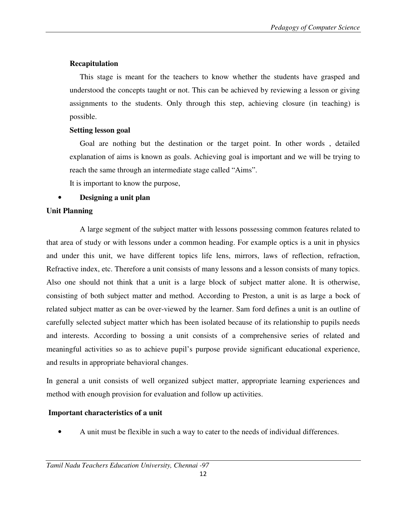## **Recapitulation**

 This stage is meant for the teachers to know whether the students have grasped and understood the concepts taught or not. This can be achieved by reviewing a lesson or giving assignments to the students. Only through this step, achieving closure (in teaching) is possible.

## **Setting lesson goal**

 Goal are nothing but the destination or the target point. In other words , detailed explanation of aims is known as goals. Achieving goal is important and we will be trying to reach the same through an intermediate stage called "Aims".

It is important to know the purpose,

## • **Designing a unit plan**

## **Unit Planning**

 A large segment of the subject matter with lessons possessing common features related to that area of study or with lessons under a common heading. For example optics is a unit in physics and under this unit, we have different topics life lens, mirrors, laws of reflection, refraction, Refractive index, etc. Therefore a unit consists of many lessons and a lesson consists of many topics. Also one should not think that a unit is a large block of subject matter alone. It is otherwise, consisting of both subject matter and method. According to Preston, a unit is as large a bock of related subject matter as can be over-viewed by the learner. Sam ford defines a unit is an outline of carefully selected subject matter which has been isolated because of its relationship to pupils needs and interests. According to bossing a unit consists of a comprehensive series of related and meaningful activities so as to achieve pupil's purpose provide significant educational experience, and results in appropriate behavioral changes.

In general a unit consists of well organized subject matter, appropriate learning experiences and method with enough provision for evaluation and follow up activities.

## **Important characteristics of a unit**

• A unit must be flexible in such a way to cater to the needs of individual differences.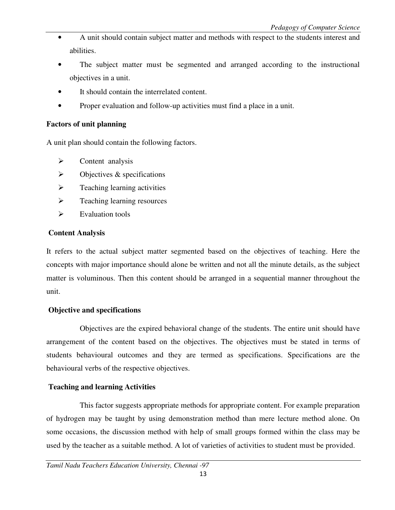- A unit should contain subject matter and methods with respect to the students interest and abilities.
- The subject matter must be segmented and arranged according to the instructional objectives in a unit.
- It should contain the interrelated content.
- Proper evaluation and follow-up activities must find a place in a unit.

#### **Factors of unit planning**

A unit plan should contain the following factors.

- $\triangleright$  Content analysis
- $\triangleright$  Objectives & specifications
- $\triangleright$  Teaching learning activities
- > Teaching learning resources
- $\triangleright$  Evaluation tools

#### **Content Analysis**

It refers to the actual subject matter segmented based on the objectives of teaching. Here the concepts with major importance should alone be written and not all the minute details, as the subject matter is voluminous. Then this content should be arranged in a sequential manner throughout the unit.

#### **Objective and specifications**

 Objectives are the expired behavioral change of the students. The entire unit should have arrangement of the content based on the objectives. The objectives must be stated in terms of students behavioural outcomes and they are termed as specifications. Specifications are the behavioural verbs of the respective objectives.

#### **Teaching and learning Activities**

 This factor suggests appropriate methods for appropriate content. For example preparation of hydrogen may be taught by using demonstration method than mere lecture method alone. On some occasions, the discussion method with help of small groups formed within the class may be used by the teacher as a suitable method. A lot of varieties of activities to student must be provided.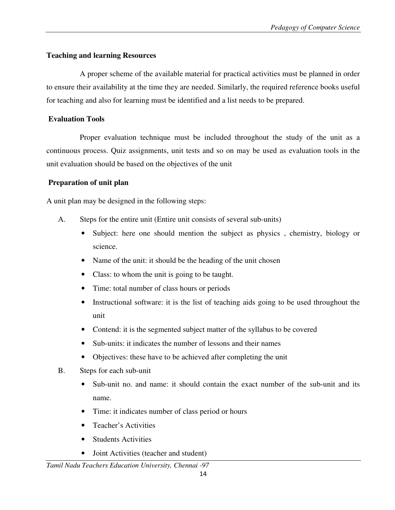### **Teaching and learning Resources**

 A proper scheme of the available material for practical activities must be planned in order to ensure their availability at the time they are needed. Similarly, the required reference books useful for teaching and also for learning must be identified and a list needs to be prepared.

#### **Evaluation Tools**

 Proper evaluation technique must be included throughout the study of the unit as a continuous process. Quiz assignments, unit tests and so on may be used as evaluation tools in the unit evaluation should be based on the objectives of the unit

### **Preparation of unit plan**

A unit plan may be designed in the following steps:

- A. Steps for the entire unit (Entire unit consists of several sub-units)
	- Subject: here one should mention the subject as physics, chemistry, biology or science.
	- Name of the unit: it should be the heading of the unit chosen
	- Class: to whom the unit is going to be taught.
	- Time: total number of class hours or periods
	- Instructional software: it is the list of teaching aids going to be used throughout the unit
	- Contend: it is the segmented subject matter of the syllabus to be covered
	- Sub-units: it indicates the number of lessons and their names
	- Objectives: these have to be achieved after completing the unit
- B. Steps for each sub-unit
	- Sub-unit no. and name: it should contain the exact number of the sub-unit and its name.
	- Time: it indicates number of class period or hours
	- Teacher's Activities
	- Students Activities
	- Joint Activities (teacher and student)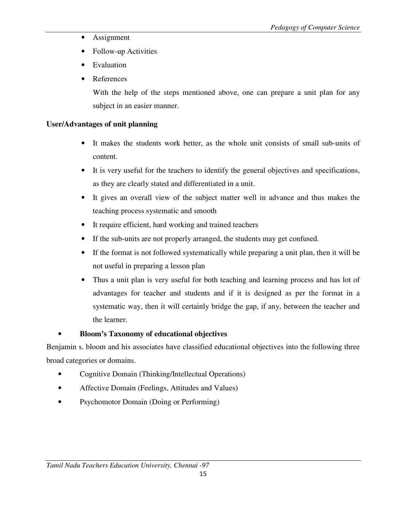- Assignment
- Follow-up Activities
- Evaluation
- References

With the help of the steps mentioned above, one can prepare a unit plan for any subject in an easier manner.

## **User/Advantages of unit planning**

- It makes the students work better, as the whole unit consists of small sub-units of content.
- It is very useful for the teachers to identify the general objectives and specifications, as they are clearly stated and differentiated in a unit.
- It gives an overall view of the subject matter well in advance and thus makes the teaching process systematic and smooth
- It require efficient, hard working and trained teachers
- If the sub-units are not properly arranged, the students may get confused.
- If the format is not followed systematically while preparing a unit plan, then it will be not useful in preparing a lesson plan
- Thus a unit plan is very useful for both teaching and learning process and has lot of advantages for teacher and students and if it is designed as per the format in a systematic way, then it will certainly bridge the gap, if any, between the teacher and the learner.

## • **Bloom's Taxonomy of educational objectives**

Benjamin s. bloom and his associates have classified educational objectives into the following three broad categories or domains.

- Cognitive Domain (Thinking/Intellectual Operations)
- Affective Domain (Feelings, Attitudes and Values)
- Psychomotor Domain (Doing or Performing)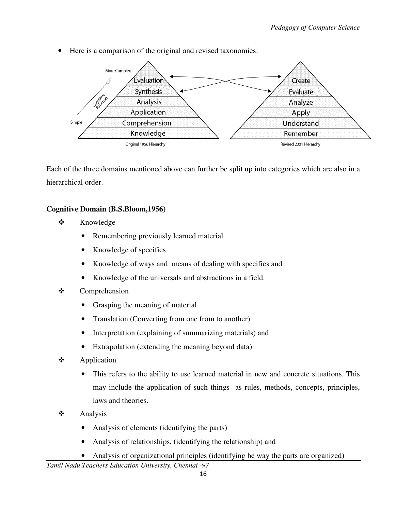• Here is a comparison of the original and revised taxonomies:



Each of the three domains mentioned above can further be split up into categories which are also in a hierarchical order.

## **Cognitive Domain (B.S.Bloom,1956)**

- $\frac{1}{2}$  Knowledge
	- Remembering previously learned material
	- Knowledge of specifics
	- Knowledge of ways and means of dealing with specifics and
	- Knowledge of the universals and abstractions in a field.
- $\cdot$  Comprehension
	- Grasping the meaning of material
	- Translation (Converting from one from to another)
	- Interpretation (explaining of summarizing materials) and
	- Extrapolation (extending the meaning beyond data)
- $\cdot$  Application
	- This refers to the ability to use learned material in new and concrete situations. This may include the application of such things as rules, methods, concepts, principles, laws and theories.
- $\frac{1}{2}$  Analysis
	- Analysis of elements (identifying the parts)
	- Analysis of relationships, (identifying the relationship) and
	- Analysis of organizational principles (identifying he way the parts are organized)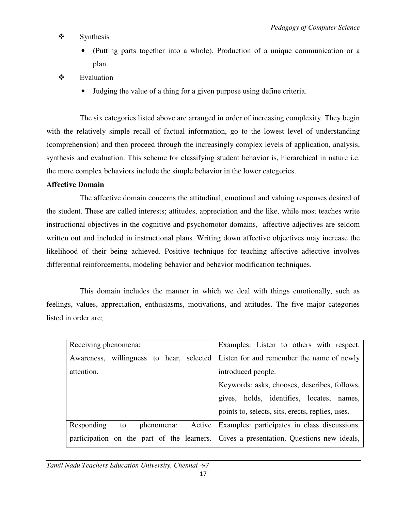#### $\ddot{\cdot}$ Synthesis

- (Putting parts together into a whole). Production of a unique communication or a plan.
- $\cdot$  Evaluation
	- Judging the value of a thing for a given purpose using define criteria.

 The six categories listed above are arranged in order of increasing complexity. They begin with the relatively simple recall of factual information, go to the lowest level of understanding (comprehension) and then proceed through the increasingly complex levels of application, analysis, synthesis and evaluation. This scheme for classifying student behavior is, hierarchical in nature i.e. the more complex behaviors include the simple behavior in the lower categories.

#### **Affective Domain**

 The affective domain concerns the attitudinal, emotional and valuing responses desired of the student. These are called interests; attitudes, appreciation and the like, while most teaches write instructional objectives in the cognitive and psychomotor domains, affective adjectives are seldom written out and included in instructional plans. Writing down affective objectives may increase the likelihood of their being achieved. Positive technique for teaching affective adjective involves differential reinforcements, modeling behavior and behavior modification techniques.

 This domain includes the manner in which we deal with things emotionally, such as feelings, values, appreciation, enthusiasms, motivations, and attitudes. The five major categories listed in order are;

| Receiving phenomena:                                                                   | Examples: Listen to others with respect.                         |
|----------------------------------------------------------------------------------------|------------------------------------------------------------------|
| Awareness, willingness to hear, selected Listen for and remember the name of newly     |                                                                  |
| attention.                                                                             | introduced people.                                               |
|                                                                                        | Keywords: asks, chooses, describes, follows,                     |
|                                                                                        | gives, holds, identifies, locates, names,                        |
|                                                                                        | points to, selects, sits, erects, replies, uses.                 |
| Responding<br>to                                                                       | phenomena: Active   Examples: participates in class discussions. |
| participation on the part of the learners. Gives a presentation. Questions new ideals, |                                                                  |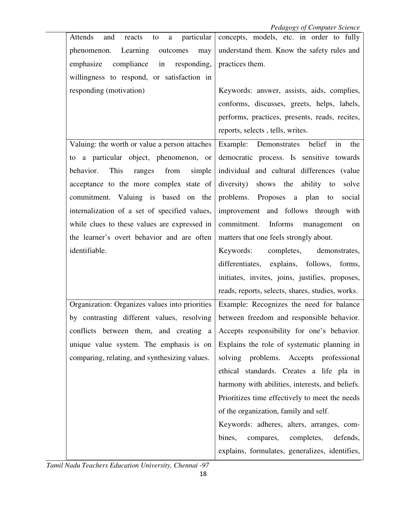| Attends<br>particular<br>and<br>reacts<br>to<br>$\mathbf{a}$                                | concepts, models, etc. in order to fully         |  |  |
|---------------------------------------------------------------------------------------------|--------------------------------------------------|--|--|
| Learning<br>phenomenon.<br>outcomes<br>may                                                  | understand them. Know the safety rules and       |  |  |
| emphasize<br>compliance in responding,                                                      | practices them.                                  |  |  |
| willingness to respond, or satisfaction in                                                  |                                                  |  |  |
| responding (motivation)                                                                     | Keywords: answer, assists, aids, complies,       |  |  |
|                                                                                             | conforms, discusses, greets, helps, labels,      |  |  |
|                                                                                             | performs, practices, presents, reads, recites,   |  |  |
|                                                                                             | reports, selects, tells, writes.                 |  |  |
| Valuing: the worth or value a person attaches                                               | Example: Demonstrates belief<br>in<br>the        |  |  |
| to a particular object, phenomenon, or                                                      | democratic process. Is sensitive towards         |  |  |
| This<br>behavior.<br>from<br>simple<br>ranges                                               | individual and cultural differences (value       |  |  |
| acceptance to the more complex state of                                                     | diversity) shows the ability to<br>solve         |  |  |
| commitment. Valuing is based on the                                                         | problems. Proposes a plan<br>to<br>social        |  |  |
| internalization of a set of specified values,<br>improvement and follows through with       |                                                  |  |  |
| while clues to these values are expressed in<br>commitment.<br><b>Informs</b><br>management |                                                  |  |  |
| the learner's overt behavior and are often<br>matters that one feels strongly about.        |                                                  |  |  |
| identifiable.<br>Keywords:<br>completes,<br>demonstrates,                                   |                                                  |  |  |
|                                                                                             |                                                  |  |  |
|                                                                                             | differentiates, explains, follows, forms,        |  |  |
|                                                                                             | initiates, invites, joins, justifies, proposes,  |  |  |
|                                                                                             | reads, reports, selects, shares, studies, works. |  |  |
| Organization: Organizes values into priorities                                              | Example: Recognizes the need for balance         |  |  |
| by contrasting different values, resolving between freedom and responsible behavior.        |                                                  |  |  |
| conflicts between them, and creating a                                                      | Accepts responsibility for one's behavior.       |  |  |
| unique value system. The emphasis is on                                                     | Explains the role of systematic planning in      |  |  |
| comparing, relating, and synthesizing values.                                               | solving problems. Accepts professional           |  |  |
|                                                                                             | ethical standards. Creates a life pla in         |  |  |
|                                                                                             | harmony with abilities, interests, and beliefs.  |  |  |
|                                                                                             | Prioritizes time effectively to meet the needs   |  |  |
|                                                                                             | of the organization, family and self.            |  |  |
|                                                                                             | Keywords: adheres, alters, arranges, com-        |  |  |
|                                                                                             | bines,<br>compares, completes,<br>defends,       |  |  |

*Tamil Nadu Teachers Education University, Chennai -97*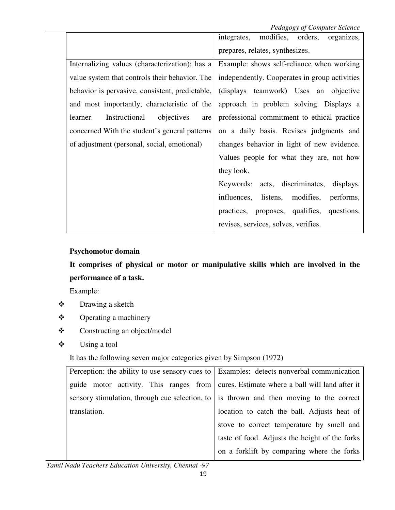*Pedagogy of Computer Science* 

|                                                 | <i>r</i> caugus of comparer setence<br>modifies, orders,<br>integrates,<br>organizes, |  |
|-------------------------------------------------|---------------------------------------------------------------------------------------|--|
|                                                 | prepares, relates, synthesizes.                                                       |  |
| Internalizing values (characterization): has a  | Example: shows self-reliance when working                                             |  |
| value system that controls their behavior. The  | independently. Cooperates in group activities                                         |  |
| behavior is pervasive, consistent, predictable, | (displays teamwork) Uses an objective                                                 |  |
| and most importantly, characteristic of the     | approach in problem solving. Displays a                                               |  |
| Instructional<br>objectives<br>learner.<br>are  | professional commitment to ethical practice                                           |  |
| concerned With the student's general patterns   | on a daily basis. Revises judgments and                                               |  |
| of adjustment (personal, social, emotional)     | changes behavior in light of new evidence.                                            |  |
|                                                 | Values people for what they are, not how                                              |  |
|                                                 | they look.                                                                            |  |
|                                                 | Keywords: acts, discriminates, displays,                                              |  |
|                                                 | listens, modifies,<br>influences,<br>performs,                                        |  |
|                                                 | questions,<br>practices, proposes, qualifies,                                         |  |
|                                                 | revises, services, solves, verifies.                                                  |  |

#### **Psychomotor domain**

**It comprises of physical or motor or manipulative skills which are involved in the performance of a task.** 

Example:

- $\cdot$ Drawing a sketch
- $\ddot{\cdot}$ Operating a machinery
- $\ddot{\bullet}$ Constructing an object/model
- $\ddot{\cdot}$ Using a tool

It has the following seven major categories given by Simpson (1972)

| Perception: the ability to use sensory cues to   Examples: detects nonverbal communication |  |                                                                                                 |  |
|--------------------------------------------------------------------------------------------|--|-------------------------------------------------------------------------------------------------|--|
| guide motor activity. This ranges from cures. Estimate where a ball will land after it     |  |                                                                                                 |  |
|                                                                                            |  | sensory stimulation, through cue selection, to $\vert$ is thrown and then moving to the correct |  |
| translation.                                                                               |  | location to catch the ball. Adjusts heat of                                                     |  |
|                                                                                            |  | stove to correct temperature by smell and                                                       |  |
|                                                                                            |  | taste of food. Adjusts the height of the forks                                                  |  |
|                                                                                            |  | on a forklift by comparing where the forks                                                      |  |

*Tamil Nadu Teachers Education University, Chennai -97*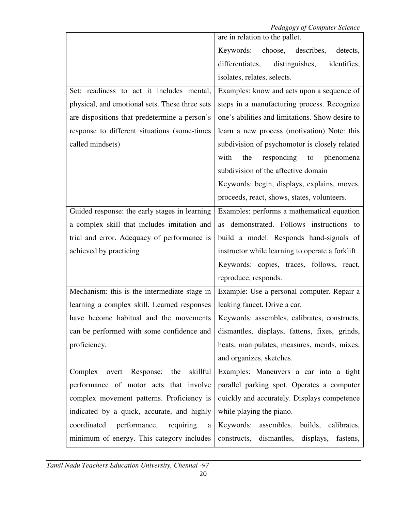|                                                                            | are in relation to the pallet.                   |  |  |
|----------------------------------------------------------------------------|--------------------------------------------------|--|--|
|                                                                            | describes,<br>Keywords: choose,<br>detects,      |  |  |
|                                                                            | differentiates,<br>distinguishes,<br>identifies, |  |  |
|                                                                            | isolates, relates, selects.                      |  |  |
| Set: readiness to act it includes mental,                                  | Examples: know and acts upon a sequence of       |  |  |
| physical, and emotional sets. These three sets                             | steps in a manufacturing process. Recognize      |  |  |
| are dispositions that predetermine a person's                              | one's abilities and limitations. Show desire to  |  |  |
| response to different situations (some-times                               | learn a new process (motivation) Note: this      |  |  |
| called mindsets)                                                           | subdivision of psychomotor is closely related    |  |  |
|                                                                            | with<br>the<br>responding<br>to<br>phenomena     |  |  |
|                                                                            | subdivision of the affective domain              |  |  |
|                                                                            | Keywords: begin, displays, explains, moves,      |  |  |
|                                                                            | proceeds, react, shows, states, volunteers.      |  |  |
| Guided response: the early stages in learning                              | Examples: performs a mathematical equation       |  |  |
| a complex skill that includes imitation and                                | as demonstrated. Follows instructions to         |  |  |
| trial and error. Adequacy of performance is                                | build a model. Responds hand-signals of          |  |  |
| achieved by practicing<br>instructor while learning to operate a forklift. |                                                  |  |  |
|                                                                            | Keywords: copies, traces, follows, react,        |  |  |
|                                                                            | reproduce, responds.                             |  |  |
| Mechanism: this is the intermediate stage in                               | Example: Use a personal computer. Repair a       |  |  |
| learning a complex skill. Learned responses                                | leaking faucet. Drive a car.                     |  |  |
| have become habitual and the movements                                     | Keywords: assembles, calibrates, constructs,     |  |  |
| can be performed with some confidence and                                  | dismantles, displays, fattens, fixes, grinds,    |  |  |
| proficiency.                                                               | heats, manipulates, measures, mends, mixes,      |  |  |
|                                                                            | and organizes, sketches.                         |  |  |
| skillful<br>Complex overt Response:<br>the                                 | Examples: Maneuvers a car into a tight           |  |  |
| performance of motor acts that involve                                     | parallel parking spot. Operates a computer       |  |  |
| complex movement patterns. Proficiency is                                  | quickly and accurately. Displays competence      |  |  |
| indicated by a quick, accurate, and highly                                 | while playing the piano.                         |  |  |
| coordinated<br>performance,<br>requiring<br>a                              | Keywords:<br>assembles, builds, calibrates,      |  |  |
| minimum of energy. This category includes                                  | dismantles, displays,<br>constructs,<br>fastens, |  |  |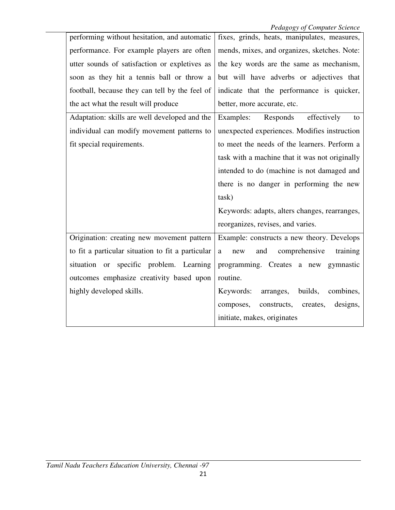|                                                   | $\mathcal{L}_{\mathcal{O}}\left(\mathcal{L}_{\mathcal{O}}\right)$ $\mathcal{L}_{\mathcal{O}}$ is a set of $\mathcal{L}_{\mathcal{O}}$ |  |  |
|---------------------------------------------------|---------------------------------------------------------------------------------------------------------------------------------------|--|--|
| performing without hesitation, and automatic      | fixes, grinds, heats, manipulates, measures,                                                                                          |  |  |
| performance. For example players are often        | mends, mixes, and organizes, sketches. Note:                                                                                          |  |  |
| utter sounds of satisfaction or expletives as     | the key words are the same as mechanism,                                                                                              |  |  |
| soon as they hit a tennis ball or throw a         | but will have adverbs or adjectives that                                                                                              |  |  |
| football, because they can tell by the feel of    | indicate that the performance is quicker,                                                                                             |  |  |
| the act what the result will produce              | better, more accurate, etc.                                                                                                           |  |  |
| Adaptation: skills are well developed and the     | Responds effectively<br>Examples:<br>to                                                                                               |  |  |
| individual can modify movement patterns to        | unexpected experiences. Modifies instruction                                                                                          |  |  |
| fit special requirements.                         | to meet the needs of the learners. Perform a                                                                                          |  |  |
|                                                   | task with a machine that it was not originally                                                                                        |  |  |
|                                                   | intended to do (machine is not damaged and                                                                                            |  |  |
|                                                   | there is no danger in performing the new                                                                                              |  |  |
|                                                   | task)                                                                                                                                 |  |  |
|                                                   | Keywords: adapts, alters changes, rearranges,                                                                                         |  |  |
|                                                   | reorganizes, revises, and varies.                                                                                                     |  |  |
| Origination: creating new movement pattern        | Example: constructs a new theory. Develops                                                                                            |  |  |
| to fit a particular situation to fit a particular | comprehensive<br>and<br>training<br>a<br>new                                                                                          |  |  |
|                                                   |                                                                                                                                       |  |  |
| situation or specific problem. Learning           | programming. Creates a new gymnastic                                                                                                  |  |  |
| outcomes emphasize creativity based upon          | routine.                                                                                                                              |  |  |
| highly developed skills.                          | Keywords: arranges,<br>builds,<br>combines,                                                                                           |  |  |
|                                                   | constructs, creates,<br>designs,<br>composes,                                                                                         |  |  |
|                                                   | initiate, makes, originates                                                                                                           |  |  |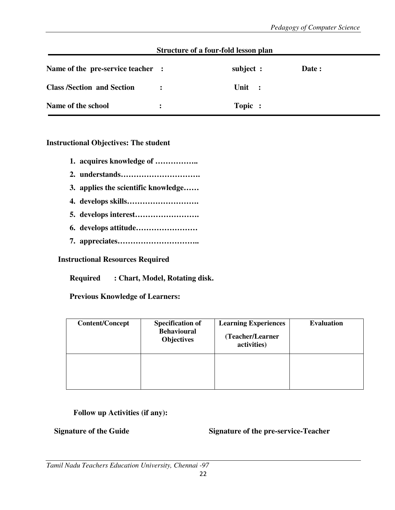| Structure of a four-fold lesson plan |                |           |       |
|--------------------------------------|----------------|-----------|-------|
| Name of the pre-service teacher :    |                | subject : | Date: |
| <b>Class /Section and Section</b>    | $\ddot{\cdot}$ | Unit :    |       |
| Name of the school                   | $\bullet$      | Topic :   |       |

#### **Instructional Objectives: The student**

- **1. acquires knowledge of ……………..**
- **2. understands………………………….**
- **3. applies the scientific knowledge……**
- **4. develops skills……………………….**
- **5. develops interest…………………….**
- **6. develops attitude……………………**
- **7. appreciates…………………………..**

#### **Instructional Resources Required**

**Required : Chart, Model, Rotating disk.** 

#### **Previous Knowledge of Learners:**

| <b>Content/Concept</b> | <b>Specification of</b><br><b>Behavioural</b><br><b>Objectives</b> | <b>Learning Experiences</b><br>(Teacher/Learner<br>activities) | <b>Evaluation</b> |
|------------------------|--------------------------------------------------------------------|----------------------------------------------------------------|-------------------|
|                        |                                                                    |                                                                |                   |

### **Follow up Activities (if any):**

**Signature of the Guide Signature of the pre-service-Teacher**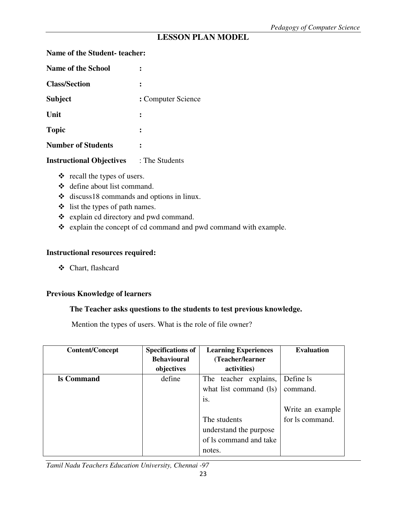## **LESSON PLAN MODEL**

**Name of the Student- teacher:** 

| : Computer Science |
|--------------------|
|                    |
|                    |
|                    |
|                    |

**Instructional Objectives** : The Students

- recall the types of users.
- define about list command.
- discuss18 commands and options in linux.
- list the types of path names.
- explain cd directory and pwd command.
- explain the concept of cd command and pwd command with example.

#### **Instructional resources required:**

- Chart, flashcard

#### **Previous Knowledge of learners**

#### **The Teacher asks questions to the students to test previous knowledge.**

Mention the types of users. What is the role of file owner?

| <b>Content/Concept</b> | <b>Specifications of</b> | <b>Learning Experiences</b> |                  |
|------------------------|--------------------------|-----------------------------|------------------|
|                        | <b>Behavioural</b>       | (Teacher/learner            |                  |
|                        | objectives               | activities)                 |                  |
| <b>ls Command</b>      | define                   | The teacher explains,       | Define ls        |
|                        |                          | what list command (ls)      | command.         |
|                        |                          | 1S.                         |                  |
|                        |                          |                             | Write an example |
|                        |                          | The students                | for ls command.  |
|                        |                          | understand the purpose      |                  |
|                        |                          | of ls command and take      |                  |
|                        |                          | notes.                      |                  |

*Tamil Nadu Teachers Education University, Chennai -97*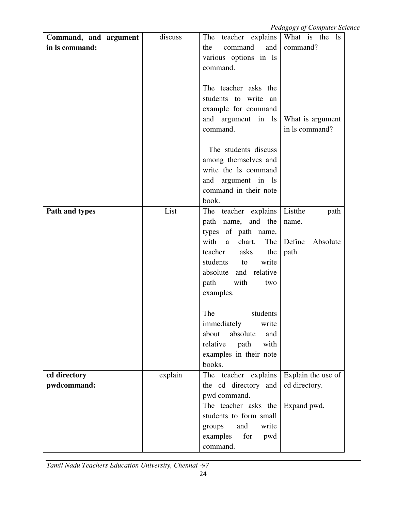| Command, and argument | discuss | The teacher explains       | $1 \cos\theta$ of $\cos\theta$ with $\sin\theta$<br>What is the ls |
|-----------------------|---------|----------------------------|--------------------------------------------------------------------|
| in ls command:        |         | command<br>and<br>the      | command?                                                           |
|                       |         | various options in ls      |                                                                    |
|                       |         | command.                   |                                                                    |
|                       |         |                            |                                                                    |
|                       |         | The teacher asks the       |                                                                    |
|                       |         | students to write an       |                                                                    |
|                       |         |                            |                                                                    |
|                       |         | example for command        |                                                                    |
|                       |         | and argument in ls         | What is argument                                                   |
|                       |         | command.                   | in ls command?                                                     |
|                       |         |                            |                                                                    |
|                       |         | The students discuss       |                                                                    |
|                       |         | among themselves and       |                                                                    |
|                       |         | write the 1s command       |                                                                    |
|                       |         | and argument in ls         |                                                                    |
|                       |         | command in their note      |                                                                    |
|                       |         | book.                      |                                                                    |
| Path and types        | List    | The teacher explains       | Listthe<br>path                                                    |
|                       |         | path name, and the         | name.                                                              |
|                       |         | types of path name,        |                                                                    |
|                       |         | with<br>chart.<br>The<br>a | Define<br>Absolute                                                 |
|                       |         | teacher<br>asks<br>the     | path.                                                              |
|                       |         | students<br>write<br>to    |                                                                    |
|                       |         | absolute and relative      |                                                                    |
|                       |         | with<br>path<br>two        |                                                                    |
|                       |         | examples.                  |                                                                    |
|                       |         |                            |                                                                    |
|                       |         | The<br>students            |                                                                    |
|                       |         | immediately<br>write       |                                                                    |
|                       |         | about<br>absolute<br>and   |                                                                    |
|                       |         | relative<br>with<br>path   |                                                                    |
|                       |         | examples in their note     |                                                                    |
|                       |         | books.                     |                                                                    |
| cd directory          | explain | The teacher explains       | Explain the use of                                                 |
| pwdcommand:           |         | the cd directory and       | cd directory.                                                      |
|                       |         | pwd command.               |                                                                    |
|                       |         | The teacher asks the       |                                                                    |
|                       |         |                            | Expand pwd.                                                        |
|                       |         | students to form small     |                                                                    |
|                       |         | and<br>write<br>groups     |                                                                    |
|                       |         | examples<br>for<br>pwd     |                                                                    |
|                       |         | command.                   |                                                                    |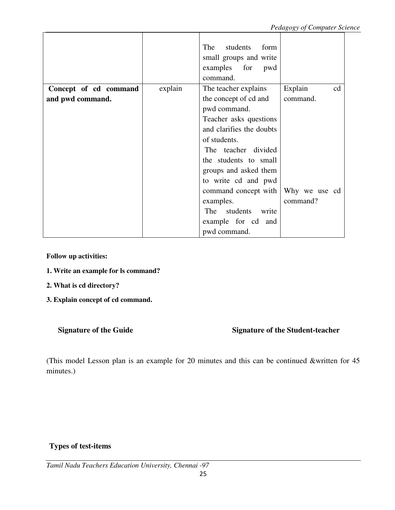|                       |         | The<br>students<br>form<br>small groups and write<br>examples for pwd<br>command. |               |
|-----------------------|---------|-----------------------------------------------------------------------------------|---------------|
| Concept of cd command | explain | The teacher explains                                                              | Explain<br>cd |
| and pwd command.      |         | the concept of cd and                                                             | command.      |
|                       |         | pwd command.                                                                      |               |
|                       |         | Teacher asks questions                                                            |               |
|                       |         | and clarifies the doubts                                                          |               |
|                       |         | of students.                                                                      |               |
|                       |         | The teacher divided                                                               |               |
|                       |         | the students to small                                                             |               |
|                       |         | groups and asked them                                                             |               |
|                       |         | to write cd and pwd                                                               |               |
|                       |         | command concept with                                                              | Why we use cd |
|                       |         | examples.                                                                         | command?      |
|                       |         | students<br>The<br>write                                                          |               |
|                       |         | example for cd and                                                                |               |
|                       |         | pwd command.                                                                      |               |

**Follow up activities:** 

- **1. Write an example for ls command?**
- **2. What is cd directory?**
- **3. Explain concept of cd command.**

## **Signature of the Guide Signature of the Student-teacher**

(This model Lesson plan is an example for 20 minutes and this can be continued &written for 45 minutes.)

## **Types of test-items**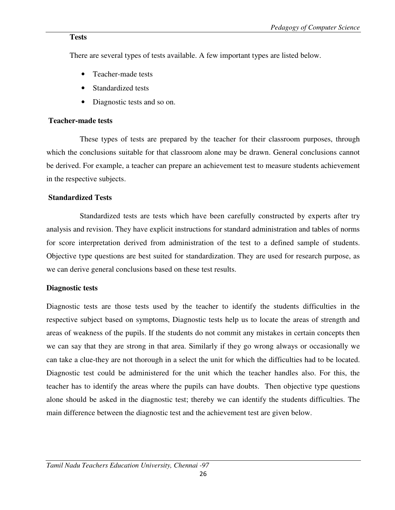#### **Tests**

There are several types of tests available. A few important types are listed below.

- Teacher-made tests
- Standardized tests
- Diagnostic tests and so on.

#### **Teacher-made tests**

 These types of tests are prepared by the teacher for their classroom purposes, through which the conclusions suitable for that classroom alone may be drawn. General conclusions cannot be derived. For example, a teacher can prepare an achievement test to measure students achievement in the respective subjects.

### **Standardized Tests**

 Standardized tests are tests which have been carefully constructed by experts after try analysis and revision. They have explicit instructions for standard administration and tables of norms for score interpretation derived from administration of the test to a defined sample of students. Objective type questions are best suited for standardization. They are used for research purpose, as we can derive general conclusions based on these test results.

### **Diagnostic tests**

Diagnostic tests are those tests used by the teacher to identify the students difficulties in the respective subject based on symptoms, Diagnostic tests help us to locate the areas of strength and areas of weakness of the pupils. If the students do not commit any mistakes in certain concepts then we can say that they are strong in that area. Similarly if they go wrong always or occasionally we can take a clue-they are not thorough in a select the unit for which the difficulties had to be located. Diagnostic test could be administered for the unit which the teacher handles also. For this, the teacher has to identify the areas where the pupils can have doubts. Then objective type questions alone should be asked in the diagnostic test; thereby we can identify the students difficulties. The main difference between the diagnostic test and the achievement test are given below.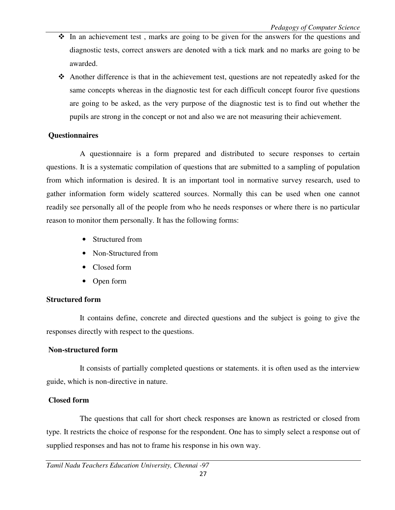- $\cdot \cdot$  In an achievement test, marks are going to be given for the answers for the questions and diagnostic tests, correct answers are denoted with a tick mark and no marks are going to be awarded.
- Another difference is that in the achievement test, questions are not repeatedly asked for the same concepts whereas in the diagnostic test for each difficult concept fouror five questions are going to be asked, as the very purpose of the diagnostic test is to find out whether the pupils are strong in the concept or not and also we are not measuring their achievement.

### **Questionnaires**

 A questionnaire is a form prepared and distributed to secure responses to certain questions. It is a systematic compilation of questions that are submitted to a sampling of population from which information is desired. It is an important tool in normative survey research, used to gather information form widely scattered sources. Normally this can be used when one cannot readily see personally all of the people from who he needs responses or where there is no particular reason to monitor them personally. It has the following forms:

- Structured from
- Non-Structured from
- Closed form
- Open form

## **Structured form**

 It contains define, concrete and directed questions and the subject is going to give the responses directly with respect to the questions.

## **Non-structured form**

 It consists of partially completed questions or statements. it is often used as the interview guide, which is non-directive in nature.

## **Closed form**

 The questions that call for short check responses are known as restricted or closed from type. It restricts the choice of response for the respondent. One has to simply select a response out of supplied responses and has not to frame his response in his own way.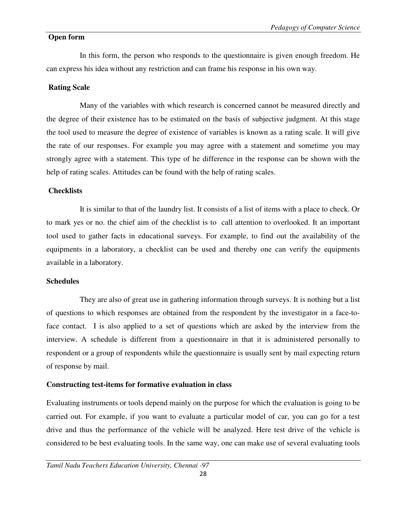#### **Open form**

 In this form, the person who responds to the questionnaire is given enough freedom. He can express his idea without any restriction and can frame his response in his own way.

#### **Rating Scale**

 Many of the variables with which research is concerned cannot be measured directly and the degree of their existence has to be estimated on the basis of subjective judgment. At this stage the tool used to measure the degree of existence of variables is known as a rating scale. It will give the rate of our responses. For example you may agree with a statement and sometime you may strongly agree with a statement. This type of he difference in the response can be shown with the help of rating scales. Attitudes can be found with the help of rating scales.

#### **Checklists**

 It is similar to that of the laundry list. It consists of a list of items with a place to check. Or to mark yes or no. the chief aim of the checklist is to call attention to overlooked. It an important tool used to gather facts in educational surveys. For example, to find out the availability of the equipments in a laboratory, a checklist can be used and thereby one can verify the equipments available in a laboratory.

#### **Schedules**

 They are also of great use in gathering information through surveys. It is nothing but a list of questions to which responses are obtained from the respondent by the investigator in a face-toface contact. I is also applied to a set of questions which are asked by the interview from the interview. A schedule is different from a questionnaire in that it is administered personally to respondent or a group of respondents while the questionnaire is usually sent by mail expecting return of response by mail.

### **Constructing test-items for formative evaluation in class**

Evaluating instruments or tools depend mainly on the purpose for which the evaluation is going to be carried out. For example, if you want to evaluate a particular model of car, you can go for a test drive and thus the performance of the vehicle will be analyzed. Here test drive of the vehicle is considered to be best evaluating tools. In the same way, one can make use of several evaluating tools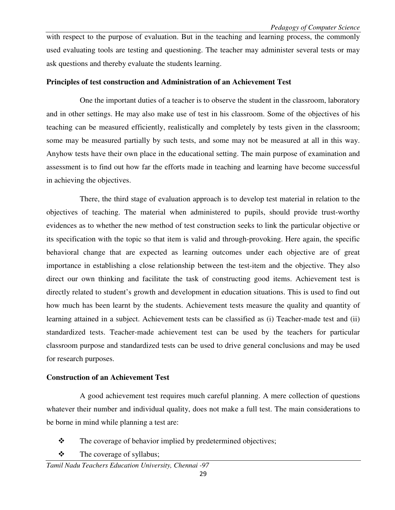with respect to the purpose of evaluation. But in the teaching and learning process, the commonly used evaluating tools are testing and questioning. The teacher may administer several tests or may ask questions and thereby evaluate the students learning.

#### **Principles of test construction and Administration of an Achievement Test**

 One the important duties of a teacher is to observe the student in the classroom, laboratory and in other settings. He may also make use of test in his classroom. Some of the objectives of his teaching can be measured efficiently, realistically and completely by tests given in the classroom; some may be measured partially by such tests, and some may not be measured at all in this way. Anyhow tests have their own place in the educational setting. The main purpose of examination and assessment is to find out how far the efforts made in teaching and learning have become successful in achieving the objectives.

 There, the third stage of evaluation approach is to develop test material in relation to the objectives of teaching. The material when administered to pupils, should provide trust-worthy evidences as to whether the new method of test construction seeks to link the particular objective or its specification with the topic so that item is valid and through-provoking. Here again, the specific behavioral change that are expected as learning outcomes under each objective are of great importance in establishing a close relationship between the test-item and the objective. They also direct our own thinking and facilitate the task of constructing good items. Achievement test is directly related to student's growth and development in education situations. This is used to find out how much has been learnt by the students. Achievement tests measure the quality and quantity of learning attained in a subject. Achievement tests can be classified as (i) Teacher-made test and (ii) standardized tests. Teacher-made achievement test can be used by the teachers for particular classroom purpose and standardized tests can be used to drive general conclusions and may be used for research purposes.

### **Construction of an Achievement Test**

 A good achievement test requires much careful planning. A mere collection of questions whatever their number and individual quality, does not make a full test. The main considerations to be borne in mind while planning a test are:

- $\frac{1}{2}$ The coverage of behavior implied by predetermined objectives;
- $\cdot$ The coverage of syllabus;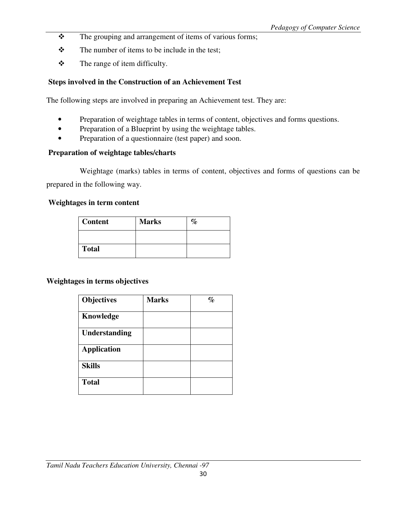- $\frac{1}{2}$ The grouping and arrangement of items of various forms;
- $\ddot{\bullet}$ The number of items to be include in the test;
- $\ddot{\cdot}$ The range of item difficulty.

## **Steps involved in the Construction of an Achievement Test**

The following steps are involved in preparing an Achievement test. They are:

- Preparation of weightage tables in terms of content, objectives and forms questions.
- Preparation of a Blueprint by using the weightage tables.
- Preparation of a questionnaire (test paper) and soon.

#### **Preparation of weightage tables/charts**

 Weightage (marks) tables in terms of content, objectives and forms of questions can be prepared in the following way.

#### **Weightages in term content**

| <b>Content</b> | <b>Marks</b> |  |
|----------------|--------------|--|
|                |              |  |
| <b>Total</b>   |              |  |

#### **Weightages in terms objectives**

| <b>Objectives</b>    | <b>Marks</b> | $\%$ |
|----------------------|--------------|------|
| Knowledge            |              |      |
| <b>Understanding</b> |              |      |
| <b>Application</b>   |              |      |
| <b>Skills</b>        |              |      |
| <b>Total</b>         |              |      |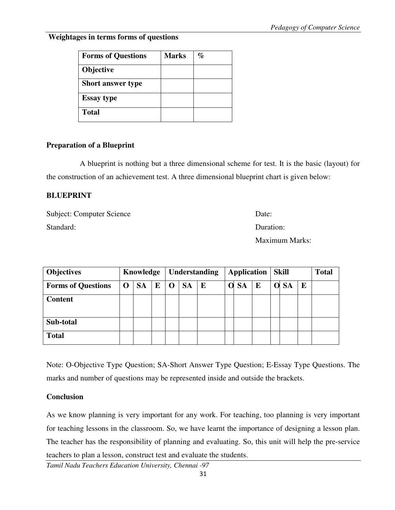**Weightages in terms forms of questions** 

| <b>Forms of Questions</b> | <b>Marks</b> | % |
|---------------------------|--------------|---|
| <b>Objective</b>          |              |   |
| <b>Short answer type</b>  |              |   |
| <b>Essay type</b>         |              |   |
| <b>Total</b>              |              |   |

#### **Preparation of a Blueprint**

A blueprint is nothing but a three dimensional scheme for test. It is the basic (layout) for the construction of an achievement test. A three dimensional blueprint chart is given below:

#### **BLUEPRINT**

Subject: Computer Science Date: Standard: Duration:

Maximum Marks:

| <b>Objectives</b>         |          | Knowledge<br>Understanding |   | <b>Application</b> |           |   | <b>Skill</b> |           |   | <b>Total</b> |      |           |  |
|---------------------------|----------|----------------------------|---|--------------------|-----------|---|--------------|-----------|---|--------------|------|-----------|--|
| <b>Forms of Questions</b> | $\Omega$ | <b>SA</b>                  | E | $\mathbf 0$        | <b>SA</b> | E |              | <b>SA</b> | E |              | O SA | ${\bf E}$ |  |
| <b>Content</b>            |          |                            |   |                    |           |   |              |           |   |              |      |           |  |
| Sub-total                 |          |                            |   |                    |           |   |              |           |   |              |      |           |  |
| <b>Total</b>              |          |                            |   |                    |           |   |              |           |   |              |      |           |  |

Note: O-Objective Type Question; SA-Short Answer Type Question; E-Essay Type Questions. The marks and number of questions may be represented inside and outside the brackets.

### **Conclusion**

As we know planning is very important for any work. For teaching, too planning is very important for teaching lessons in the classroom. So, we have learnt the importance of designing a lesson plan. The teacher has the responsibility of planning and evaluating. So, this unit will help the pre-service teachers to plan a lesson, construct test and evaluate the students.

*Tamil Nadu Teachers Education University, Chennai -97*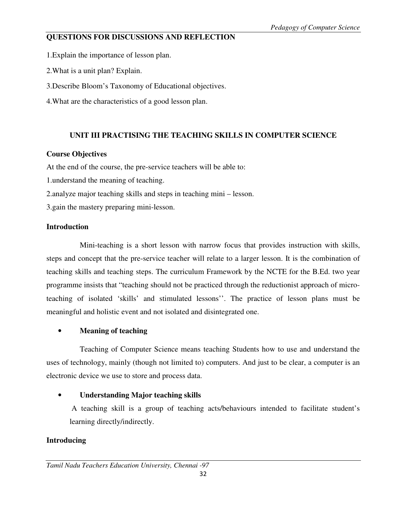## **QUESTIONS FOR DISCUSSIONS AND REFLECTION**

1.Explain the importance of lesson plan.

2.What is a unit plan? Explain.

3.Describe Bloom's Taxonomy of Educational objectives.

4.What are the characteristics of a good lesson plan.

## **UNIT III PRACTISING THE TEACHING SKILLS IN COMPUTER SCIENCE**

## **Course Objectives**

At the end of the course, the pre-service teachers will be able to:

1.understand the meaning of teaching.

2.analyze major teaching skills and steps in teaching mini – lesson.

3.gain the mastery preparing mini-lesson.

## **Introduction**

 Mini-teaching is a short lesson with narrow focus that provides instruction with skills, steps and concept that the pre-service teacher will relate to a larger lesson. It is the combination of teaching skills and teaching steps. The curriculum Framework by the NCTE for the B.Ed. two year programme insists that "teaching should not be practiced through the reductionist approach of microteaching of isolated 'skills' and stimulated lessons''. The practice of lesson plans must be meaningful and holistic event and not isolated and disintegrated one.

## • **Meaning of teaching**

 Teaching of Computer Science means teaching Students how to use and understand the uses of technology, mainly (though not limited to) computers. And just to be clear, a computer is an electronic device we use to store and process data.

## • **Understanding Major teaching skills**

 A teaching skill is a group of teaching acts/behaviours intended to facilitate student's learning directly/indirectly.

## **Introducing**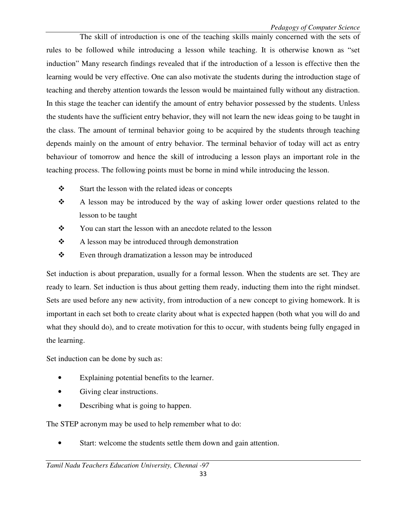The skill of introduction is one of the teaching skills mainly concerned with the sets of rules to be followed while introducing a lesson while teaching. It is otherwise known as "set induction" Many research findings revealed that if the introduction of a lesson is effective then the learning would be very effective. One can also motivate the students during the introduction stage of teaching and thereby attention towards the lesson would be maintained fully without any distraction. In this stage the teacher can identify the amount of entry behavior possessed by the students. Unless the students have the sufficient entry behavior, they will not learn the new ideas going to be taught in the class. The amount of terminal behavior going to be acquired by the students through teaching depends mainly on the amount of entry behavior. The terminal behavior of today will act as entry behaviour of tomorrow and hence the skill of introducing a lesson plays an important role in the teaching process. The following points must be borne in mind while introducing the lesson.

- $\cdot$ Start the lesson with the related ideas or concepts
- $\ddot{\bullet}$  A lesson may be introduced by the way of asking lower order questions related to the lesson to be taught
- $\mathbf{r}$ You can start the lesson with an anecdote related to the lesson
- $\cdot$ A lesson may be introduced through demonstration
- $\frac{1}{2}$ Even through dramatization a lesson may be introduced

Set induction is about preparation, usually for a formal lesson. When the students are set. They are ready to learn. Set induction is thus about getting them ready, inducting them into the right mindset. Sets are used before any new activity, from introduction of a new concept to giving homework. It is important in each set both to create clarity about what is expected happen (both what you will do and what they should do), and to create motivation for this to occur, with students being fully engaged in the learning.

Set induction can be done by such as:

- Explaining potential benefits to the learner.
- Giving clear instructions.
- Describing what is going to happen.

The STEP acronym may be used to help remember what to do:

Start: welcome the students settle them down and gain attention.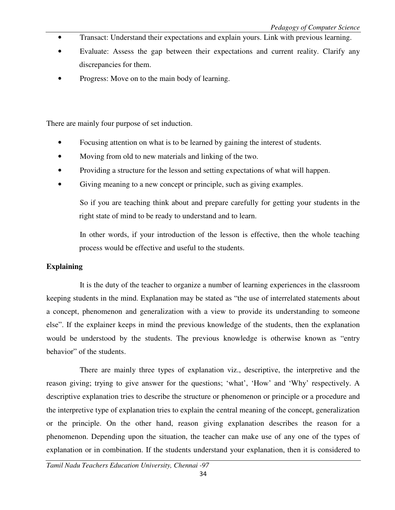- Transact: Understand their expectations and explain yours. Link with previous learning.
- Evaluate: Assess the gap between their expectations and current reality. Clarify any discrepancies for them.
- Progress: Move on to the main body of learning.

There are mainly four purpose of set induction.

- Focusing attention on what is to be learned by gaining the interest of students.
- Moving from old to new materials and linking of the two.
- Providing a structure for the lesson and setting expectations of what will happen.
- Giving meaning to a new concept or principle, such as giving examples.

 So if you are teaching think about and prepare carefully for getting your students in the right state of mind to be ready to understand and to learn.

 In other words, if your introduction of the lesson is effective, then the whole teaching process would be effective and useful to the students.

#### **Explaining**

 It is the duty of the teacher to organize a number of learning experiences in the classroom keeping students in the mind. Explanation may be stated as "the use of interrelated statements about a concept, phenomenon and generalization with a view to provide its understanding to someone else". If the explainer keeps in mind the previous knowledge of the students, then the explanation would be understood by the students. The previous knowledge is otherwise known as "entry behavior" of the students.

 There are mainly three types of explanation viz., descriptive, the interpretive and the reason giving; trying to give answer for the questions; 'what', 'How' and 'Why' respectively. A descriptive explanation tries to describe the structure or phenomenon or principle or a procedure and the interpretive type of explanation tries to explain the central meaning of the concept, generalization or the principle. On the other hand, reason giving explanation describes the reason for a phenomenon. Depending upon the situation, the teacher can make use of any one of the types of explanation or in combination. If the students understand your explanation, then it is considered to

*Tamil Nadu Teachers Education University, Chennai -97*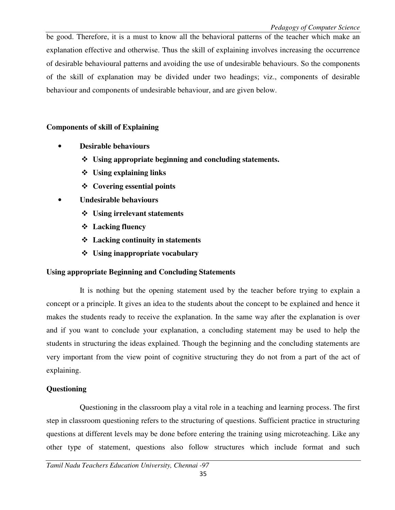be good. Therefore, it is a must to know all the behavioral patterns of the teacher which make an explanation effective and otherwise. Thus the skill of explaining involves increasing the occurrence of desirable behavioural patterns and avoiding the use of undesirable behaviours. So the components of the skill of explanation may be divided under two headings; viz., components of desirable behaviour and components of undesirable behaviour, and are given below.

## **Components of skill of Explaining**

- **Desirable behaviours** 
	- **Using appropriate beginning and concluding statements.**
	- **Using explaining links**
	- **Covering essential points**
- **Undesirable behaviours** 
	- **Using irrelevant statements**
	- **Lacking fluency**
	- **Lacking continuity in statements**
	- **Using inappropriate vocabulary**

### **Using appropriate Beginning and Concluding Statements**

 It is nothing but the opening statement used by the teacher before trying to explain a concept or a principle. It gives an idea to the students about the concept to be explained and hence it makes the students ready to receive the explanation. In the same way after the explanation is over and if you want to conclude your explanation, a concluding statement may be used to help the students in structuring the ideas explained. Though the beginning and the concluding statements are very important from the view point of cognitive structuring they do not from a part of the act of explaining.

### **Questioning**

Questioning in the classroom play a vital role in a teaching and learning process. The first step in classroom questioning refers to the structuring of questions. Sufficient practice in structuring questions at different levels may be done before entering the training using microteaching. Like any other type of statement, questions also follow structures which include format and such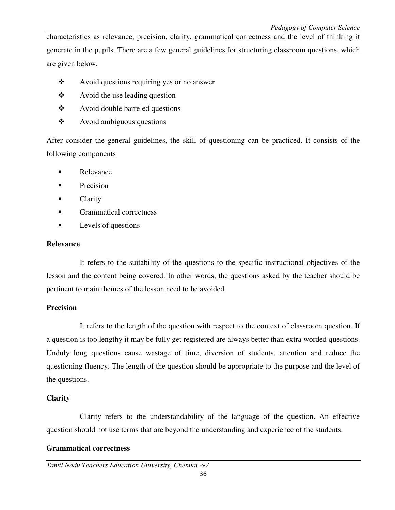characteristics as relevance, precision, clarity, grammatical correctness and the level of thinking it generate in the pupils. There are a few general guidelines for structuring classroom questions, which are given below.

- $\cdot$ Avoid questions requiring yes or no answer
- $\frac{1}{2}$ Avoid the use leading question
- $\frac{1}{2}$ Avoid double barreled questions
- $\frac{1}{2}$ Avoid ambiguous questions

After consider the general guidelines, the skill of questioning can be practiced. It consists of the following components

- Relevance
- $\blacksquare$  Precision
- **Clarity**
- **Crammatical correctness**
- Levels of questions

#### **Relevance**

 It refers to the suitability of the questions to the specific instructional objectives of the lesson and the content being covered. In other words, the questions asked by the teacher should be pertinent to main themes of the lesson need to be avoided.

#### **Precision**

 It refers to the length of the question with respect to the context of classroom question. If a question is too lengthy it may be fully get registered are always better than extra worded questions. Unduly long questions cause wastage of time, diversion of students, attention and reduce the questioning fluency. The length of the question should be appropriate to the purpose and the level of the questions.

#### **Clarity**

Clarity refers to the understandability of the language of the question. An effective question should not use terms that are beyond the understanding and experience of the students.

#### **Grammatical correctness**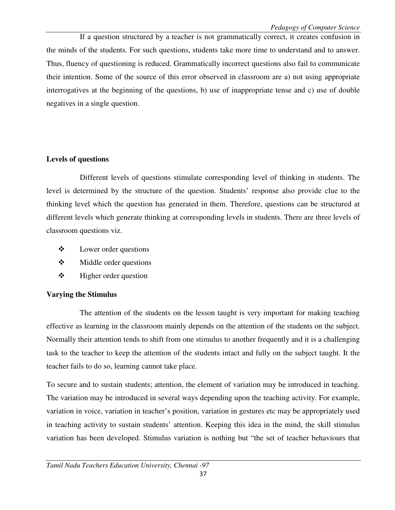If a question structured by a teacher is not grammatically correct, it creates confusion in the minds of the students. For such questions, students take more time to understand and to answer. Thus, fluency of questioning is reduced. Grammatically incorrect questions also fail to communicate their intention. Some of the source of this error observed in classroom are a) not using appropriate interrogatives at the beginning of the questions, b) use of inappropriate tense and c) use of double negatives in a single question.

### **Levels of questions**

 Different levels of questions stimulate corresponding level of thinking in students. The level is determined by the structure of the question. Students' response also provide clue to the thinking level which the question has generated in them. Therefore, questions can be structured at different levels which generate thinking at corresponding levels in students. There are three levels of classroom questions viz.

- $\cdot$ Lower order questions
- $\ddot{\bullet}$ Middle order questions
- $\frac{1}{2}$ Higher order question

## **Varying the Stimulus**

 The attention of the students on the lesson taught is very important for making teaching effective as learning in the classroom mainly depends on the attention of the students on the subject. Normally their attention tends to shift from one stimulus to another frequently and it is a challenging task to the teacher to keep the attention of the students intact and fully on the subject taught. It the teacher fails to do so, learning cannot take place.

To secure and to sustain students; attention, the element of variation may be introduced in teaching. The variation may be introduced in several ways depending upon the teaching activity. For example, variation in voice, variation in teacher's position, variation in gestures etc may be appropriately used in teaching activity to sustain students' attention. Keeping this idea in the mind, the skill stimulus variation has been developed. Stimulus variation is nothing but "the set of teacher behaviours that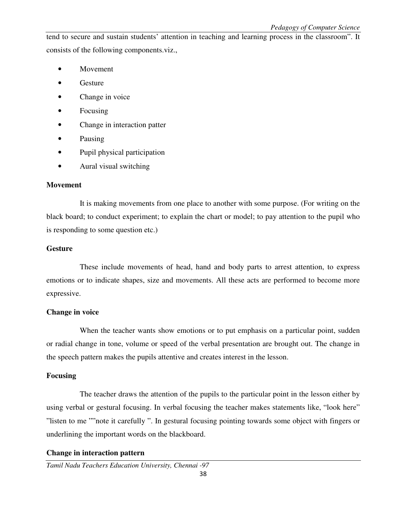tend to secure and sustain students' attention in teaching and learning process in the classroom". It consists of the following components.viz.,

- Movement
- Gesture
- Change in voice
- Focusing
- Change in interaction patter
- Pausing
- Pupil physical participation
- Aural visual switching

#### **Movement**

 It is making movements from one place to another with some purpose. (For writing on the black board; to conduct experiment; to explain the chart or model; to pay attention to the pupil who is responding to some question etc.)

#### **Gesture**

 These include movements of head, hand and body parts to arrest attention, to express emotions or to indicate shapes, size and movements. All these acts are performed to become more expressive.

#### **Change in voice**

When the teacher wants show emotions or to put emphasis on a particular point, sudden or radial change in tone, volume or speed of the verbal presentation are brought out. The change in the speech pattern makes the pupils attentive and creates interest in the lesson.

#### **Focusing**

 The teacher draws the attention of the pupils to the particular point in the lesson either by using verbal or gestural focusing. In verbal focusing the teacher makes statements like, "look here" "listen to me ""note it carefully ". In gestural focusing pointing towards some object with fingers or underlining the important words on the blackboard.

#### **Change in interaction pattern**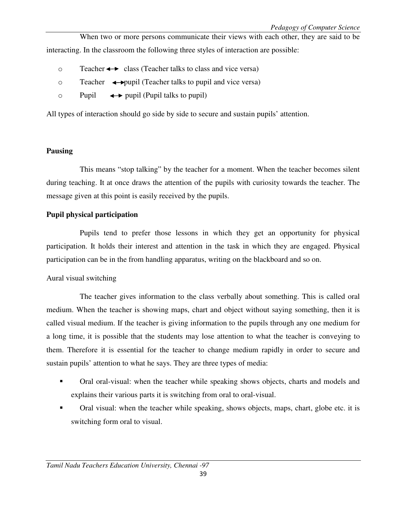When two or more persons communicate their views with each other, they are said to be interacting. In the classroom the following three styles of interaction are possible:

- $\circ$  Teacher  $\leftrightarrow$  class (Teacher talks to class and vice versa)
- $\circ$  Teacher  $\leftrightarrow$  pupil (Teacher talks to pupil and vice versa)
- $\circ$  Pupil  $\leftrightarrow$  pupil (Pupil talks to pupil)

All types of interaction should go side by side to secure and sustain pupils' attention.

#### **Pausing**

 This means "stop talking" by the teacher for a moment. When the teacher becomes silent during teaching. It at once draws the attention of the pupils with curiosity towards the teacher. The message given at this point is easily received by the pupils.

#### **Pupil physical participation**

 Pupils tend to prefer those lessons in which they get an opportunity for physical participation. It holds their interest and attention in the task in which they are engaged. Physical participation can be in the from handling apparatus, writing on the blackboard and so on.

#### Aural visual switching

 The teacher gives information to the class verbally about something. This is called oral medium. When the teacher is showing maps, chart and object without saying something, then it is called visual medium. If the teacher is giving information to the pupils through any one medium for a long time, it is possible that the students may lose attention to what the teacher is conveying to them. Therefore it is essential for the teacher to change medium rapidly in order to secure and sustain pupils' attention to what he says. They are three types of media:

- Oral oral-visual: when the teacher while speaking shows objects, charts and models and explains their various parts it is switching from oral to oral-visual.
- Oral visual: when the teacher while speaking, shows objects, maps, chart, globe etc. it is switching form oral to visual.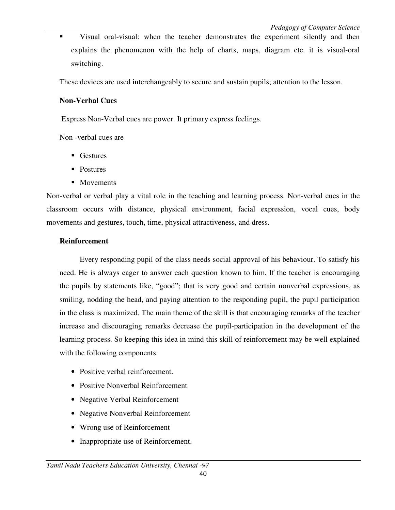Visual oral-visual: when the teacher demonstrates the experiment silently and then explains the phenomenon with the help of charts, maps, diagram etc. it is visual-oral switching.

These devices are used interchangeably to secure and sustain pupils; attention to the lesson.

#### **Non-Verbal Cues**

Express Non-Verbal cues are power. It primary express feelings.

Non -verbal cues are

- **Gestures**
- Postures
- Movements

Non-verbal or verbal play a vital role in the teaching and learning process. Non-verbal cues in the classroom occurs with distance, physical environment, facial expression, vocal cues, body movements and gestures, touch, time, physical attractiveness, and dress.

#### **Reinforcement**

 Every responding pupil of the class needs social approval of his behaviour. To satisfy his need. He is always eager to answer each question known to him. If the teacher is encouraging the pupils by statements like, "good"; that is very good and certain nonverbal expressions, as smiling, nodding the head, and paying attention to the responding pupil, the pupil participation in the class is maximized. The main theme of the skill is that encouraging remarks of the teacher increase and discouraging remarks decrease the pupil-participation in the development of the learning process. So keeping this idea in mind this skill of reinforcement may be well explained with the following components.

- Positive verbal reinforcement.
- Positive Nonverbal Reinforcement
- Negative Verbal Reinforcement
- Negative Nonverbal Reinforcement
- Wrong use of Reinforcement
- Inappropriate use of Reinforcement.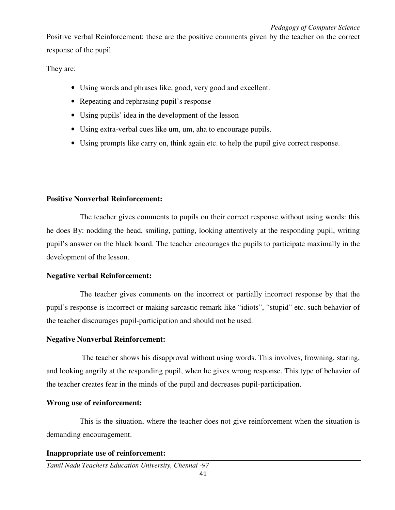Positive verbal Reinforcement: these are the positive comments given by the teacher on the correct response of the pupil.

They are:

- Using words and phrases like, good, very good and excellent.
- Repeating and rephrasing pupil's response
- Using pupils' idea in the development of the lesson
- Using extra-verbal cues like um, um, aha to encourage pupils.
- Using prompts like carry on, think again etc. to help the pupil give correct response.

#### **Positive Nonverbal Reinforcement:**

 The teacher gives comments to pupils on their correct response without using words: this he does By: nodding the head, smiling, patting, looking attentively at the responding pupil, writing pupil's answer on the black board. The teacher encourages the pupils to participate maximally in the development of the lesson.

#### **Negative verbal Reinforcement:**

 The teacher gives comments on the incorrect or partially incorrect response by that the pupil's response is incorrect or making sarcastic remark like "idiots", "stupid" etc. such behavior of the teacher discourages pupil-participation and should not be used.

#### **Negative Nonverbal Reinforcement:**

 The teacher shows his disapproval without using words. This involves, frowning, staring, and looking angrily at the responding pupil, when he gives wrong response. This type of behavior of the teacher creates fear in the minds of the pupil and decreases pupil-participation.

#### **Wrong use of reinforcement:**

 This is the situation, where the teacher does not give reinforcement when the situation is demanding encouragement.

#### **Inappropriate use of reinforcement:**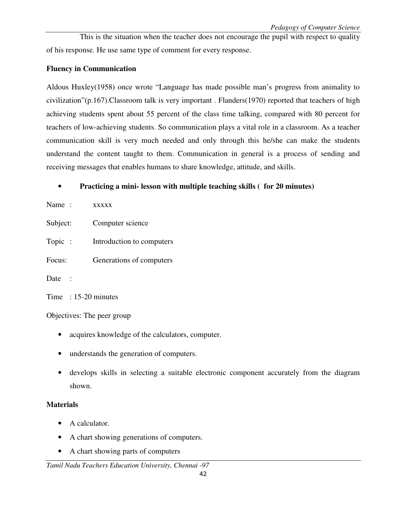This is the situation when the teacher does not encourage the pupil with respect to quality of his response. He use same type of comment for every response.

### **Fluency in Communication**

Aldous Huxley(1958) once wrote "Language has made possible man's progress from animality to civilization"(p.167).Classroom talk is very important . Flanders(1970) reported that teachers of high achieving students spent about 55 percent of the class time talking, compared with 80 percent for teachers of low-achieving students. So communication plays a vital role in a classroom. As a teacher communication skill is very much needed and only through this he/she can make the students understand the content taught to them. Communication in general is a process of sending and receiving messages that enables humans to share knowledge, attitude, and skills.

### • **Practicing a mini- lesson with multiple teaching skills ( for 20 minutes)**

| Name:                  | <b>XXXXX</b>              |
|------------------------|---------------------------|
| Subject:               | Computer science          |
| Topic :                | Introduction to computers |
| Focus:                 | Generations of computers  |
| Date :                 |                           |
| Time $: 15-20$ minutes |                           |

Objectives: The peer group

- acquires knowledge of the calculators, computer.
- understands the generation of computers.
- develops skills in selecting a suitable electronic component accurately from the diagram shown.

#### **Materials**

- A calculator.
- A chart showing generations of computers.
- A chart showing parts of computers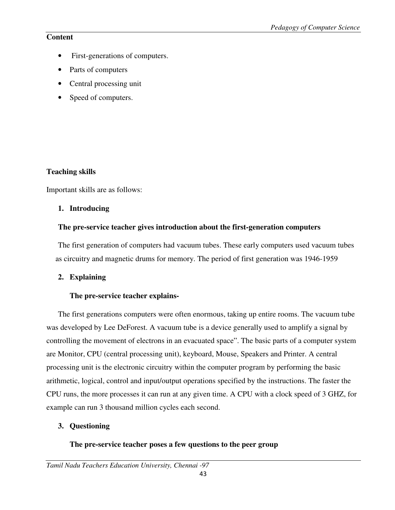## **Content**

- First-generations of computers.
- Parts of computers
- Central processing unit
- Speed of computers.

## **Teaching skills**

Important skills are as follows:

## **1. Introducing**

## **The pre-service teacher gives introduction about the first-generation computers**

The first generation of computers had vacuum tubes. These early computers used vacuum tubes as circuitry and magnetic drums for memory. The period of first generation was 1946-1959

## **2. Explaining**

## **The pre-service teacher explains-**

The first generations computers were often enormous, taking up entire rooms. The vacuum tube was developed by Lee DeForest. A vacuum tube is a device generally used to amplify a signal by controlling the movement of electrons in an evacuated space". The basic parts of a computer system are Monitor, CPU (central processing unit), keyboard, Mouse, Speakers and Printer. A central processing unit is the electronic circuitry within the computer program by performing the basic arithmetic, logical, control and input/output operations specified by the instructions. The faster the CPU runs, the more processes it can run at any given time. A CPU with a clock speed of 3 GHZ, for example can run 3 thousand million cycles each second.

## **3. Questioning**

## **The pre-service teacher poses a few questions to the peer group**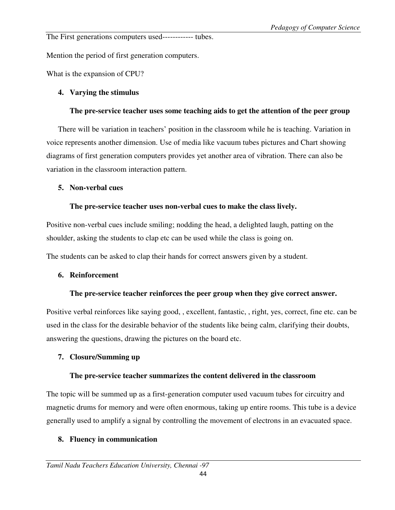The First generations computers used------------ tubes.

Mention the period of first generation computers.

What is the expansion of CPU?

## **4. Varying the stimulus**

### **The pre-service teacher uses some teaching aids to get the attention of the peer group**

There will be variation in teachers' position in the classroom while he is teaching. Variation in voice represents another dimension. Use of media like vacuum tubes pictures and Chart showing diagrams of first generation computers provides yet another area of vibration. There can also be variation in the classroom interaction pattern.

### **5. Non-verbal cues**

## **The pre-service teacher uses non-verbal cues to make the class lively.**

Positive non-verbal cues include smiling; nodding the head, a delighted laugh, patting on the shoulder, asking the students to clap etc can be used while the class is going on.

The students can be asked to clap their hands for correct answers given by a student.

## **6. Reinforcement**

## **The pre-service teacher reinforces the peer group when they give correct answer.**

Positive verbal reinforces like saying good, , excellent, fantastic, , right, yes, correct, fine etc. can be used in the class for the desirable behavior of the students like being calm, clarifying their doubts, answering the questions, drawing the pictures on the board etc.

## **7. Closure/Summing up**

## **The pre-service teacher summarizes the content delivered in the classroom**

The topic will be summed up as a first-generation computer used vacuum tubes for circuitry and magnetic drums for memory and were often enormous, taking up entire rooms. This tube is a device generally used to amplify a signal by controlling the movement of electrons in an evacuated space.

## **8. Fluency in communication**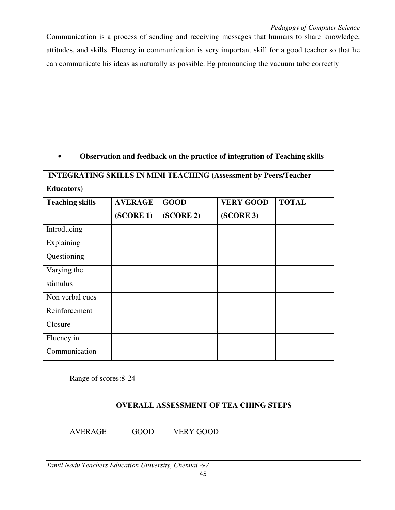Communication is a process of sending and receiving messages that humans to share knowledge, attitudes, and skills. Fluency in communication is very important skill for a good teacher so that he can communicate his ideas as naturally as possible. Eg pronouncing the vacuum tube correctly

## • **Observation and feedback on the practice of integration of Teaching skills**

| <b>INTEGRATING SKILLS IN MINI TEACHING (Assessment by Peers/Teacher</b><br><b>Educators</b> ) |           |           |           |  |  |  |  |
|-----------------------------------------------------------------------------------------------|-----------|-----------|-----------|--|--|--|--|
|                                                                                               |           |           |           |  |  |  |  |
|                                                                                               | (SCORE 1) | (SCORE 2) | (SCORE 3) |  |  |  |  |
| Introducing                                                                                   |           |           |           |  |  |  |  |
| Explaining                                                                                    |           |           |           |  |  |  |  |
| Questioning                                                                                   |           |           |           |  |  |  |  |
| Varying the                                                                                   |           |           |           |  |  |  |  |
| stimulus                                                                                      |           |           |           |  |  |  |  |
| Non verbal cues                                                                               |           |           |           |  |  |  |  |
| Reinforcement                                                                                 |           |           |           |  |  |  |  |
| Closure                                                                                       |           |           |           |  |  |  |  |
| Fluency in                                                                                    |           |           |           |  |  |  |  |
| Communication                                                                                 |           |           |           |  |  |  |  |

Range of scores:8-24

## **OVERALL ASSESSMENT OF TEA CHING STEPS**

AVERAGE \_\_\_\_\_\_ GOOD \_\_\_\_\_ VERY GOOD\_\_\_\_\_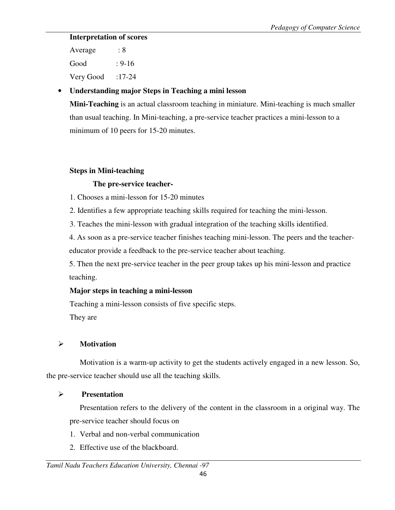## **Interpretation of scores**

Average : 8 Good : 9-16 Very Good  $:17-24$ 

## • **Understanding major Steps in Teaching a mini lesson**

**Mini-Teaching** is an actual classroom teaching in miniature. Mini-teaching is much smaller than usual teaching. In Mini-teaching, a pre-service teacher practices a mini-lesson to a minimum of 10 peers for 15-20 minutes.

## **Steps in Mini-teaching**

## **The pre-service teacher-**

- 1. Chooses a mini-lesson for 15-20 minutes
- 2. Identifies a few appropriate teaching skills required for teaching the mini-lesson.
- 3. Teaches the mini-lesson with gradual integration of the teaching skills identified.

 4. As soon as a pre-service teacher finishes teaching mini-lesson. The peers and the teachereducator provide a feedback to the pre-service teacher about teaching.

5. Then the next pre-service teacher in the peer group takes up his mini-lesson and practice teaching.

## **Major steps in teaching a mini-lesson**

Teaching a mini-lesson consists of five specific steps. They are

## **Motivation**

Motivation is a warm-up activity to get the students actively engaged in a new lesson. So, the pre-service teacher should use all the teaching skills.

## **Presentation**

 Presentation refers to the delivery of the content in the classroom in a original way. The pre-service teacher should focus on

- 1. Verbal and non-verbal communication
- 2. Effective use of the blackboard.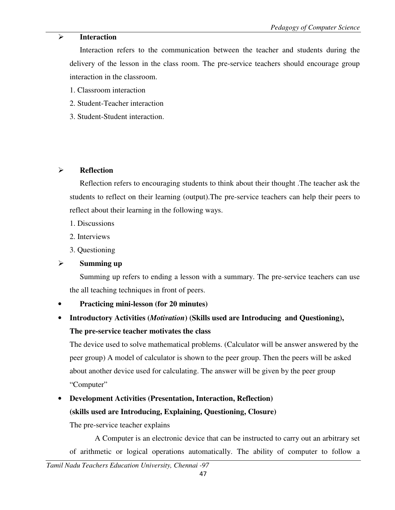### **Interaction**

 Interaction refers to the communication between the teacher and students during the delivery of the lesson in the class room. The pre-service teachers should encourage group interaction in the classroom.

- 1. Classroom interaction
- 2. Student-Teacher interaction
- 3. Student-Student interaction.

## **Reflection**

 Reflection refers to encouraging students to think about their thought .The teacher ask the students to reflect on their learning (output).The pre-service teachers can help their peers to reflect about their learning in the following ways.

- 1. Discussions
- 2. Interviews
- 3. Questioning

## **Summing up**

 Summing up refers to ending a lesson with a summary. The pre-service teachers can use the all teaching techniques in front of peers.

## • **Practicing mini-lesson (for 20 minutes)**

• **Introductory Activities (***Motivation***) (Skills used are Introducing and Questioning), The pre-service teacher motivates the class** 

The device used to solve mathematical problems. (Calculator will be answer answered by the peer group) A model of calculator is shown to the peer group. Then the peers will be asked about another device used for calculating. The answer will be given by the peer group "Computer"

# • **Development Activities (Presentation, Interaction, Reflection) (skills used are Introducing, Explaining, Questioning, Closure)**

The pre-service teacher explains

 A Computer is an electronic device that can be instructed to carry out an arbitrary set of arithmetic or logical operations automatically. The ability of computer to follow a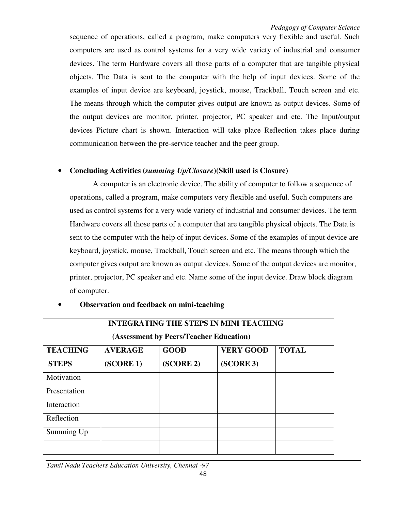sequence of operations, called a program, make computers very flexible and useful. Such computers are used as control systems for a very wide variety of industrial and consumer devices. The term Hardware covers all those parts of a computer that are tangible physical objects. The Data is sent to the computer with the help of input devices. Some of the examples of input device are keyboard, joystick, mouse, Trackball, Touch screen and etc. The means through which the computer gives output are known as output devices. Some of the output devices are monitor, printer, projector, PC speaker and etc. The Input/output devices Picture chart is shown. Interaction will take place Reflection takes place during communication between the pre-service teacher and the peer group.

## • **Concluding Activities (***summing Up/Closure***)(Skill used is Closure)**

A computer is an electronic device. The ability of computer to follow a sequence of operations, called a program, make computers very flexible and useful. Such computers are used as control systems for a very wide variety of industrial and consumer devices. The term Hardware covers all those parts of a computer that are tangible physical objects. The Data is sent to the computer with the help of input devices. Some of the examples of input device are keyboard, joystick, mouse, Trackball, Touch screen and etc. The means through which the computer gives output are known as output devices. Some of the output devices are monitor, printer, projector, PC speaker and etc. Name some of the input device. Draw block diagram of computer.

| <b>INTEGRATING THE STEPS IN MINI TEACHING</b><br>(Assessment by Peers/Teacher Education) |           |           |           |  |  |  |  |
|------------------------------------------------------------------------------------------|-----------|-----------|-----------|--|--|--|--|
|                                                                                          |           |           |           |  |  |  |  |
| <b>STEPS</b>                                                                             | (SCORE 1) | (SCORE 2) | (SCORE 3) |  |  |  |  |
| Motivation                                                                               |           |           |           |  |  |  |  |
| Presentation                                                                             |           |           |           |  |  |  |  |
| Interaction                                                                              |           |           |           |  |  |  |  |
| Reflection                                                                               |           |           |           |  |  |  |  |
| Summing Up                                                                               |           |           |           |  |  |  |  |
|                                                                                          |           |           |           |  |  |  |  |

## • **Observation and feedback on mini-teaching**

*Tamil Nadu Teachers Education University, Chennai -97*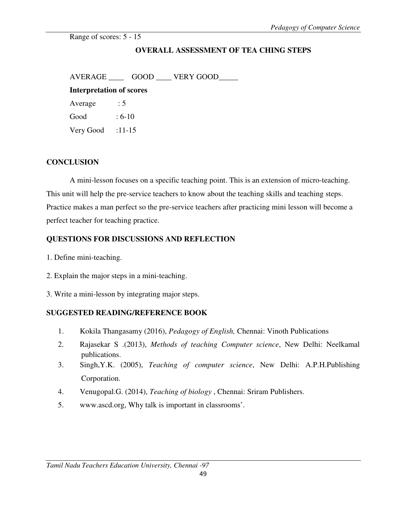Range of scores: 5 - 15

## **OVERALL ASSESSMENT OF TEA CHING STEPS**

AVERAGE \_\_\_\_\_\_ GOOD \_\_\_\_ VERY GOOD \_\_\_\_\_ **Interpretation of scores**  Average : 5 Good : 6-10 Very Good  $:11-15$ 

#### **CONCLUSION**

 A mini-lesson focuses on a specific teaching point. This is an extension of micro-teaching. This unit will help the pre-service teachers to know about the teaching skills and teaching steps. Practice makes a man perfect so the pre-service teachers after practicing mini lesson will become a perfect teacher for teaching practice.

### **QUESTIONS FOR DISCUSSIONS AND REFLECTION**

- 1. Define mini-teaching.
- 2. Explain the major steps in a mini-teaching.
- 3. Write a mini-lesson by integrating major steps.

#### **SUGGESTED READING/REFERENCE BOOK**

- 1. Kokila Thangasamy (2016), *Pedagogy of English,* Chennai: Vinoth Publications
- 2. Rajasekar S .(2013), *Methods of teaching Computer science*, New Delhi: Neelkamal publications.
- 3. Singh,Y.K. (2005), *Teaching of computer science*, New Delhi: A.P.H.Publishing Corporation.
- 4. Venugopal.G. (2014), *Teaching of biology* , Chennai: Sriram Publishers.
- 5. www.ascd.org, Why talk is important in classrooms'.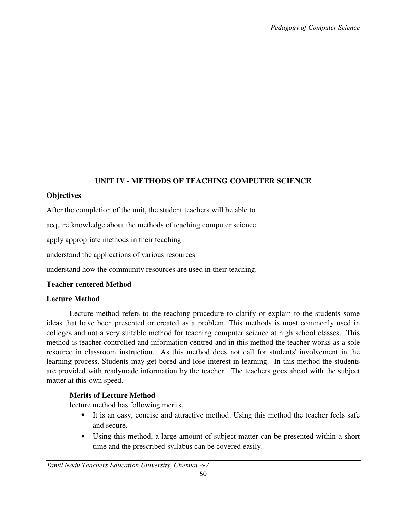## **UNIT IV - METHODS OF TEACHING COMPUTER SCIENCE**

### **Objectives**

After the completion of the unit, the student teachers will be able to

acquire knowledge about the methods of teaching computer science

apply appropriate methods in their teaching

understand the applications of various resources

understand how the community resources are used in their teaching.

## **Teacher centered Method**

## **Lecture Method**

 Lecture method refers to the teaching procedure to clarify or explain to the students some ideas that have been presented or created as a problem. This methods is most commonly used in colleges and not a very suitable method for teaching computer science at high school classes. This method is teacher controlled and information-centred and in this method the teacher works as a sole resource in classroom instruction. As this method does not call for students' involvement in the learning process, Students may get bored and lose interest in learning. In this method the students are provided with readymade information by the teacher. The teachers goes ahead with the subject matter at this own speed.

## **Merits of Lecture Method**

lecture method has following merits.

- It is an easy, concise and attractive method. Using this method the teacher feels safe and secure.
- Using this method, a large amount of subject matter can be presented within a short time and the prescribed syllabus can be covered easily.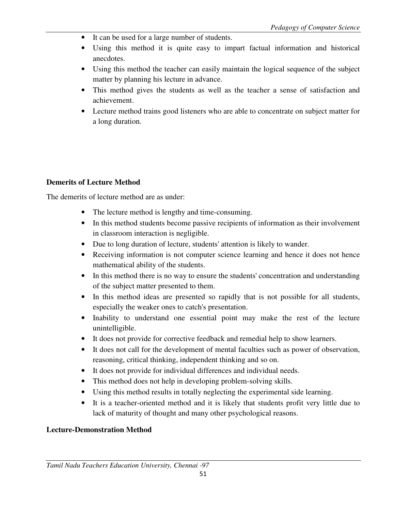- It can be used for a large number of students.
- Using this method it is quite easy to impart factual information and historical anecdotes.
- Using this method the teacher can easily maintain the logical sequence of the subject matter by planning his lecture in advance.
- This method gives the students as well as the teacher a sense of satisfaction and achievement.
- Lecture method trains good listeners who are able to concentrate on subject matter for a long duration.

## **Demerits of Lecture Method**

The demerits of lecture method are as under:

- The lecture method is lengthy and time-consuming.
- In this method students become passive recipients of information as their involvement in classroom interaction is negligible.
- Due to long duration of lecture, students' attention is likely to wander.
- Receiving information is not computer science learning and hence it does not hence mathematical ability of the students.
- In this method there is no way to ensure the students' concentration and understanding of the subject matter presented to them.
- In this method ideas are presented so rapidly that is not possible for all students, especially the weaker ones to catch's presentation.
- Inability to understand one essential point may make the rest of the lecture unintelligible.
- It does not provide for corrective feedback and remedial help to show learners.
- It does not call for the development of mental faculties such as power of observation, reasoning, critical thinking, independent thinking and so on.
- It does not provide for individual differences and individual needs.
- This method does not help in developing problem-solving skills.
- Using this method results in totally neglecting the experimental side learning.
- It is a teacher-oriented method and it is likely that students profit very little due to lack of maturity of thought and many other psychological reasons.

## **Lecture-Demonstration Method**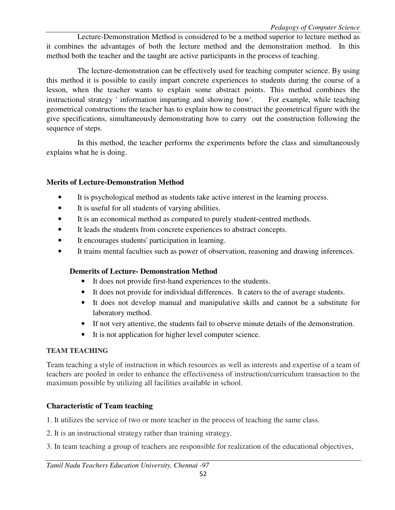Lecture-Demonstration Method is considered to be a method superior to lecture method as it combines the advantages of both the lecture method and the demonstration method. In this method both the teacher and the taught are active participants in the process of teaching.

 The lecture-demonstration can be effectively used for teaching computer science. By using this method it is possible to easily impart concrete experiences to students during the course of a lesson, when the teacher wants to explain some abstract points. This method combines the instructional strategy ' information imparting and showing how'. For example, while teaching geometrical constructions the teacher has to explain how to construct the geometrical figure with the give specifications, simultaneously demonstrating how to carry out the construction following the sequence of steps.

 In this method, the teacher performs the experiments before the class and simultaneously explains what he is doing.

## **Merits of Lecture-Demonstration Method**

- It is psychological method as students take active interest in the learning process.
- It is useful for all students of varying abilities.
- It is an economical method as compared to purely student-centred methods.
- It leads the students from concrete experiences to abstract concepts.
- It encourages students' participation in learning.
- It trains mental faculties such as power of observation, reasoning and drawing inferences.

## **Demerits of Lecture- Demonstration Method**

- It does not provide first-hand experiences to the students.
- It does not provide for individual differences. It caters to the of average students.
- It does not develop manual and manipulative skills and cannot be a substitute for laboratory method.
- If not very attentive, the students fail to observe minute details of the demonstration.
- It is not application for higher level computer science.

## **TEAM TEACHING**

Team teaching a style of instruction in which resources as well as interests and expertise of a team of teachers are pooled in order to enhance the effectiveness of instruction/curriculum transaction to the maximum possible by utilizing all facilities available in school.

## **Characteristic of Team teaching**

1. It utilizes the service of two or more teacher in the process of teaching the same class.

- 2. It is an instructional strategy rather than training strategy.
- 3. In team teaching a group of teachers are responsible for realization of the educational objectives,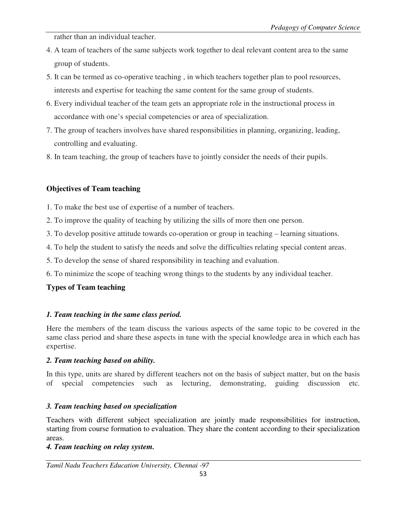rather than an individual teacher.

- 4. A team of teachers of the same subjects work together to deal relevant content area to the same group of students.
- 5. It can be termed as co-operative teaching , in which teachers together plan to pool resources, interests and expertise for teaching the same content for the same group of students.
- 6. Every individual teacher of the team gets an appropriate role in the instructional process in accordance with one's special competencies or area of specialization.
- 7. The group of teachers involves have shared responsibilities in planning, organizing, leading, controlling and evaluating.
- 8. In team teaching, the group of teachers have to jointly consider the needs of their pupils.

## **Objectives of Team teaching**

- 1. To make the best use of expertise of a number of teachers.
- 2. To improve the quality of teaching by utilizing the sills of more then one person.
- 3. To develop positive attitude towards co-operation or group in teaching learning situations.
- 4. To help the student to satisfy the needs and solve the difficulties relating special content areas.
- 5. To develop the sense of shared responsibility in teaching and evaluation.
- 6. To minimize the scope of teaching wrong things to the students by any individual teacher.

## **Types of Team teaching**

## *1. Team teaching in the same class period.*

Here the members of the team discuss the various aspects of the same topic to be covered in the same class period and share these aspects in tune with the special knowledge area in which each has expertise.

## *2. Team teaching based on ability.*

In this type, units are shared by different teachers not on the basis of subject matter, but on the basis of special competencies such as lecturing, demonstrating, guiding discussion etc.

## *3. Team teaching based on specialization*

Teachers with different subject specialization are jointly made responsibilities for instruction, starting from course formation to evaluation. They share the content according to their specialization areas.

## *4. Team teaching on relay system.*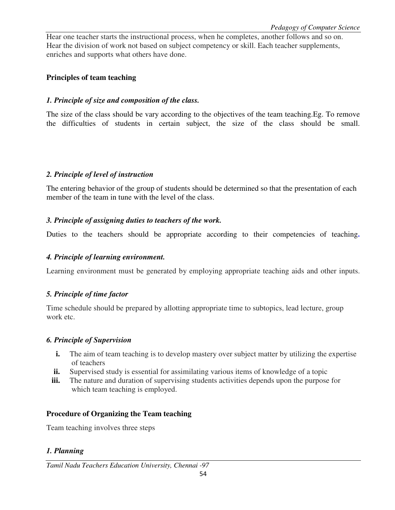Hear one teacher starts the instructional process, when he completes, another follows and so on. Hear the division of work not based on subject competency or skill. Each teacher supplements, enriches and supports what others have done.

#### **Principles of team teaching**

### *1. Principle of size and composition of the class.*

The size of the class should be vary according to the objectives of the team teaching.Eg. To remove the difficulties of students in certain subject, the size of the class should be small.

### *2. Principle of level of instruction*

The entering behavior of the group of students should be determined so that the presentation of each member of the team in tune with the level of the class.

### *3. Principle of assigning duties to teachers of the work.*

Duties to the teachers should be appropriate according to their competencies of teaching.

## *4. Principle of learning environment.*

Learning environment must be generated by employing appropriate teaching aids and other inputs.

## *5. Principle of time factor*

Time schedule should be prepared by allotting appropriate time to subtopics, lead lecture, group work etc.

#### *6. Principle of Supervision*

- **i.** The aim of team teaching is to develop mastery over subject matter by utilizing the expertise of teachers
- **ii.** Supervised study is essential for assimilating various items of knowledge of a topic
- **iii.** The nature and duration of supervising students activities depends upon the purpose for which team teaching is employed.

## **Procedure of Organizing the Team teaching**

Team teaching involves three steps

## *1. Planning*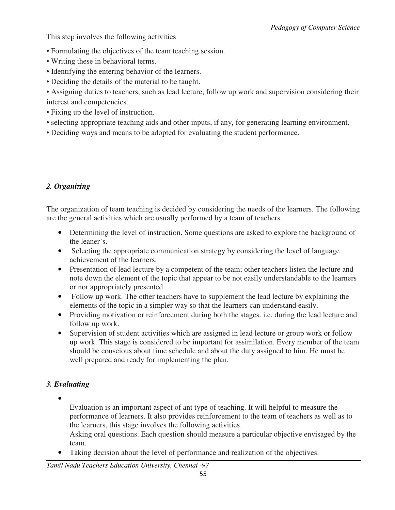This step involves the following activities

- Formulating the objectives of the team teaching session.
- Writing these in behavioral terms.
- Identifying the entering behavior of the learners.
- Deciding the details of the material to be taught.

• Assigning duties to teachers, such as lead lecture, follow up work and supervision considering their interest and competencies.

- Fixing up the level of instruction.
- selecting appropriate teaching aids and other inputs, if any, for generating learning environment.
- Deciding ways and means to be adopted for evaluating the student performance.

## *2. Organizing*

The organization of team teaching is decided by considering the needs of the learners. The following are the general activities which are usually performed by a team of teachers.

- Determining the level of instruction. Some questions are asked to explore the background of the leaner's.
- Selecting the appropriate communication strategy by considering the level of language achievement of the learners.
- Presentation of lead lecture by a competent of the team; other teachers listen the lecture and note down the element of the topic that appear to be not easily understandable to the learners or nor appropriately presented.
- Follow up work. The other teachers have to supplement the lead lecture by explaining the elements of the topic in a simpler way so that the learners can understand easily.
- Providing motivation or reinforcement during both the stages, i.e, during the lead lecture and follow up work.
- Supervision of student activities which are assigned in lead lecture or group work or follow up work. This stage is considered to be important for assimilation. Every member of the team should be conscious about time schedule and about the duty assigned to him. He must be well prepared and ready for implementing the plan.

## *3. Evaluating*

•

Evaluation is an important aspect of ant type of teaching. It will helpful to measure the performance of learners. It also provides reinforcement to the team of teachers as well as to the learners, this stage involves the following activities.

Asking oral questions. Each question should measure a particular objective envisaged by the team.

• Taking decision about the level of performance and realization of the objectives.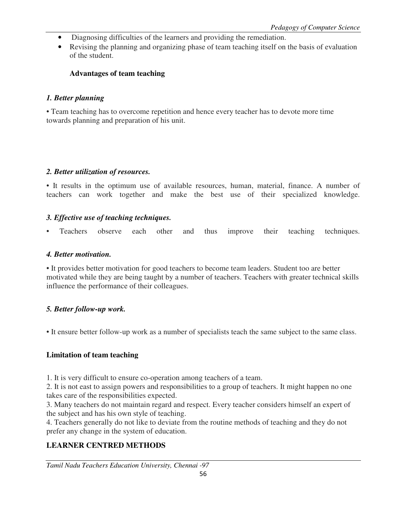- Diagnosing difficulties of the learners and providing the remediation.
- Revising the planning and organizing phase of team teaching itself on the basis of evaluation of the student.

## **Advantages of team teaching**

## *1. Better planning*

• Team teaching has to overcome repetition and hence every teacher has to devote more time towards planning and preparation of his unit.

## *2. Better utilization of resources.*

• It results in the optimum use of available resources, human, material, finance. A number of teachers can work together and make the best use of their specialized knowledge.

## *3. Effective use of teaching techniques.*

Teachers observe each other and thus improve their teaching techniques.

#### *4. Better motivation.*

• It provides better motivation for good teachers to become team leaders. Student too are better motivated while they are being taught by a number of teachers. Teachers with greater technical skills influence the performance of their colleagues.

## *5. Better follow-up work.*

• It ensure better follow-up work as a number of specialists teach the same subject to the same class.

## **Limitation of team teaching**

1. It is very difficult to ensure co-operation among teachers of a team.

2. It is not east to assign powers and responsibilities to a group of teachers. It might happen no one takes care of the responsibilities expected.

3. Many teachers do not maintain regard and respect. Every teacher considers himself an expert of the subject and has his own style of teaching.

4. Teachers generally do not like to deviate from the routine methods of teaching and they do not prefer any change in the system of education.

## **LEARNER CENTRED METHODS**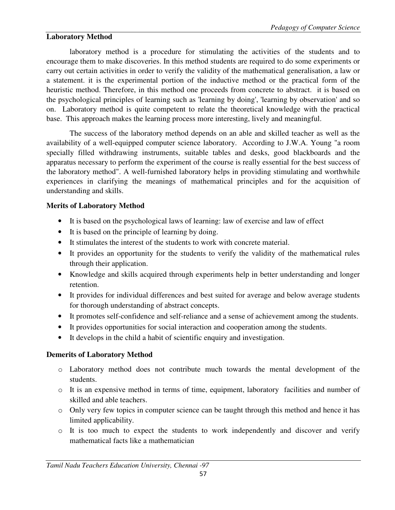## **Laboratory Method**

 laboratory method is a procedure for stimulating the activities of the students and to encourage them to make discoveries. In this method students are required to do some experiments or carry out certain activities in order to verify the validity of the mathematical generalisation, a law or a statement. it is the experimental portion of the inductive method or the practical form of the heuristic method. Therefore, in this method one proceeds from concrete to abstract. it is based on the psychological principles of learning such as 'learning by doing', 'learning by observation' and so on. Laboratory method is quite competent to relate the theoretical knowledge with the practical base. This approach makes the learning process more interesting, lively and meaningful.

 The success of the laboratory method depends on an able and skilled teacher as well as the availability of a well-equipped computer science laboratory. According to J.W.A. Young "a room specially filled withdrawing instruments, suitable tables and desks, good blackboards and the apparatus necessary to perform the experiment of the course is really essential for the best success of the laboratory method". A well-furnished laboratory helps in providing stimulating and worthwhile experiences in clarifying the meanings of mathematical principles and for the acquisition of understanding and skills.

## **Merits of Laboratory Method**

- It is based on the psychological laws of learning: law of exercise and law of effect
- It is based on the principle of learning by doing.
- It stimulates the interest of the students to work with concrete material.
- It provides an opportunity for the students to verify the validity of the mathematical rules through their application.
- Knowledge and skills acquired through experiments help in better understanding and longer retention.
- It provides for individual differences and best suited for average and below average students for thorough understanding of abstract concepts.
- It promotes self-confidence and self-reliance and a sense of achievement among the students.
- It provides opportunities for social interaction and cooperation among the students.
- It develops in the child a habit of scientific enquiry and investigation.

## **Demerits of Laboratory Method**

- o Laboratory method does not contribute much towards the mental development of the students.
- o It is an expensive method in terms of time, equipment, laboratory facilities and number of skilled and able teachers.
- o Only very few topics in computer science can be taught through this method and hence it has limited applicability.
- o It is too much to expect the students to work independently and discover and verify mathematical facts like a mathematician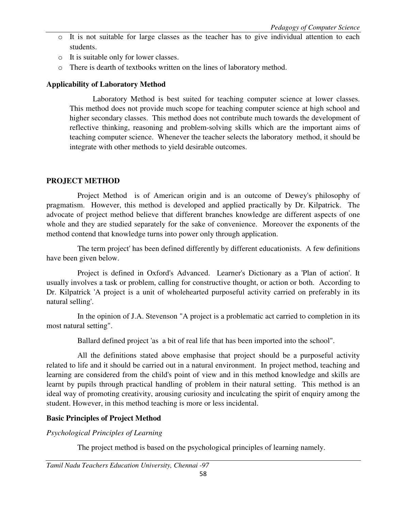- o It is not suitable for large classes as the teacher has to give individual attention to each students.
- o It is suitable only for lower classes.
- o There is dearth of textbooks written on the lines of laboratory method.

## **Applicability of Laboratory Method**

 Laboratory Method is best suited for teaching computer science at lower classes. This method does not provide much scope for teaching computer science at high school and higher secondary classes. This method does not contribute much towards the development of reflective thinking, reasoning and problem-solving skills which are the important aims of teaching computer science. Whenever the teacher selects the laboratory method, it should be integrate with other methods to yield desirable outcomes.

## **PROJECT METHOD**

 Project Method is of American origin and is an outcome of Dewey's philosophy of pragmatism. However, this method is developed and applied practically by Dr. Kilpatrick. The advocate of project method believe that different branches knowledge are different aspects of one whole and they are studied separately for the sake of convenience. Moreover the exponents of the method contend that knowledge turns into power only through application.

The term project' has been defined differently by different educationists. A few definitions have been given below.

 Project is defined in Oxford's Advanced. Learner's Dictionary as a 'Plan of action'. It usually involves a task or problem, calling for constructive thought, or action or both. According to Dr. Kilpatrick 'A project is a unit of wholehearted purposeful activity carried on preferably in its natural selling'.

 In the opinion of J.A. Stevenson "A project is a problematic act carried to completion in its most natural setting".

Ballard defined project 'as a bit of real life that has been imported into the school".

 All the definitions stated above emphasise that project should be a purposeful activity related to life and it should be carried out in a natural environment. In project method, teaching and learning are considered from the child's point of view and in this method knowledge and skills are learnt by pupils through practical handling of problem in their natural setting. This method is an ideal way of promoting creativity, arousing curiosity and inculcating the spirit of enquiry among the student. However, in this method teaching is more or less incidental.

## **Basic Principles of Project Method**

*Psychological Principles of Learning* 

The project method is based on the psychological principles of learning namely.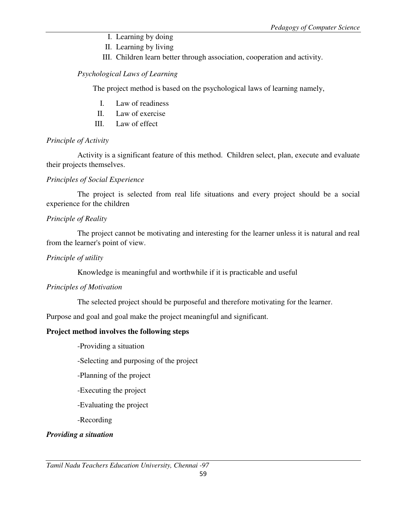- I. Learning by doing
- II. Learning by living
- III. Children learn better through association, cooperation and activity.

## *Psychological Laws of Learning*

The project method is based on the psychological laws of learning namely,

- I. Law of readiness
- II. Law of exercise
- III. Law of effect

## *Principle of Activity*

 Activity is a significant feature of this method. Children select, plan, execute and evaluate their projects themselves.

## *Principles of Social Experience*

 The project is selected from real life situations and every project should be a social experience for the children

## *Principle of Reality*

 The project cannot be motivating and interesting for the learner unless it is natural and real from the learner's point of view.

## *Principle of utility*

Knowledge is meaningful and worthwhile if it is practicable and useful

## *Principles of Motivation*

The selected project should be purposeful and therefore motivating for the learner.

Purpose and goal and goal make the project meaningful and significant.

## **Project method involves the following steps**

-Providing a situation

-Selecting and purposing of the project

-Planning of the project

- -Executing the project
- -Evaluating the project
- -Recording

## *Providing a situation*

*Tamil Nadu Teachers Education University, Chennai -97*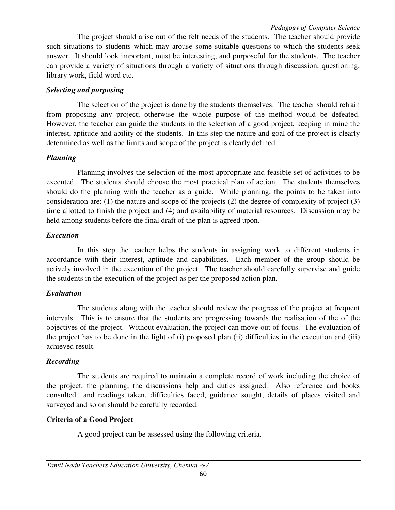The project should arise out of the felt needs of the students. The teacher should provide such situations to students which may arouse some suitable questions to which the students seek answer. It should look important, must be interesting, and purposeful for the students. The teacher can provide a variety of situations through a variety of situations through discussion, questioning, library work, field word etc.

## *Selecting and purposing*

 The selection of the project is done by the students themselves. The teacher should refrain from proposing any project; otherwise the whole purpose of the method would be defeated. However, the teacher can guide the students in the selection of a good project, keeping in mine the interest, aptitude and ability of the students. In this step the nature and goal of the project is clearly determined as well as the limits and scope of the project is clearly defined.

## *Planning*

 Planning involves the selection of the most appropriate and feasible set of activities to be executed. The students should choose the most practical plan of action. The students themselves should do the planning with the teacher as a guide. While planning, the points to be taken into consideration are: (1) the nature and scope of the projects (2) the degree of complexity of project (3) time allotted to finish the project and (4) and availability of material resources. Discussion may be held among students before the final draft of the plan is agreed upon.

## *Execution*

 In this step the teacher helps the students in assigning work to different students in accordance with their interest, aptitude and capabilities. Each member of the group should be actively involved in the execution of the project. The teacher should carefully supervise and guide the students in the execution of the project as per the proposed action plan.

## *Evaluation*

 The students along with the teacher should review the progress of the project at frequent intervals. This is to ensure that the students are progressing towards the realisation of the of the objectives of the project. Without evaluation, the project can move out of focus. The evaluation of the project has to be done in the light of (i) proposed plan (ii) difficulties in the execution and (iii) achieved result.

## *Recording*

 The students are required to maintain a complete record of work including the choice of the project, the planning, the discussions help and duties assigned. Also reference and books consulted and readings taken, difficulties faced, guidance sought, details of places visited and surveyed and so on should be carefully recorded.

## **Criteria of a Good Project**

A good project can be assessed using the following criteria.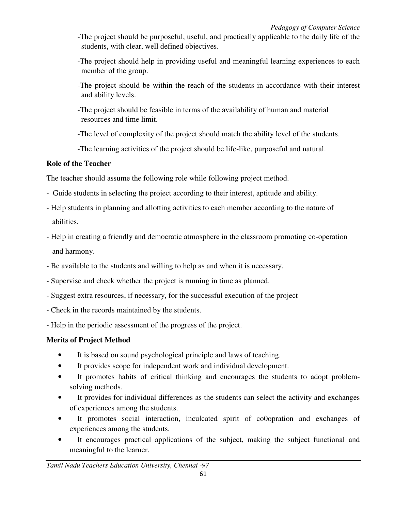- -The project should be purposeful, useful, and practically applicable to the daily life of the students, with clear, well defined objectives.
- -The project should help in providing useful and meaningful learning experiences to each member of the group.
- -The project should be within the reach of the students in accordance with their interest and ability levels.
- -The project should be feasible in terms of the availability of human and material resources and time limit.
- -The level of complexity of the project should match the ability level of the students.
- -The learning activities of the project should be life-like, purposeful and natural.

## **Role of the Teacher**

The teacher should assume the following role while following project method.

- Guide students in selecting the project according to their interest, aptitude and ability.
- Help students in planning and allotting activities to each member according to the nature of abilities.
- Help in creating a friendly and democratic atmosphere in the classroom promoting co-operation and harmony.
- Be available to the students and willing to help as and when it is necessary.
- Supervise and check whether the project is running in time as planned.
- Suggest extra resources, if necessary, for the successful execution of the project
- Check in the records maintained by the students.
- Help in the periodic assessment of the progress of the project.

# **Merits of Project Method**

- It is based on sound psychological principle and laws of teaching.
- It provides scope for independent work and individual development.
- It promotes habits of critical thinking and encourages the students to adopt problemsolving methods.
- It provides for individual differences as the students can select the activity and exchanges of experiences among the students.
- It promotes social interaction, inculcated spirit of co0opration and exchanges of experiences among the students.
- It encourages practical applications of the subject, making the subject functional and meaningful to the learner.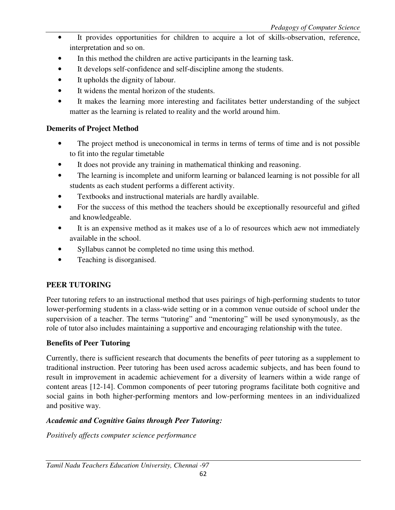- It provides opportunities for children to acquire a lot of skills-observation, reference, interpretation and so on.
- In this method the children are active participants in the learning task.
- It develops self-confidence and self-discipline among the students.
- It upholds the dignity of labour.
- It widens the mental horizon of the students.
- It makes the learning more interesting and facilitates better understanding of the subject matter as the learning is related to reality and the world around him.

## **Demerits of Project Method**

- The project method is uneconomical in terms in terms of terms of time and is not possible to fit into the regular timetable
- It does not provide any training in mathematical thinking and reasoning.
- The learning is incomplete and uniform learning or balanced learning is not possible for all students as each student performs a different activity.
- Textbooks and instructional materials are hardly available.
- For the success of this method the teachers should be exceptionally resourceful and gifted and knowledgeable.
- It is an expensive method as it makes use of a lo of resources which aew not immediately available in the school.
- Syllabus cannot be completed no time using this method.
- Teaching is disorganised.

## **PEER TUTORING**

Peer tutoring refers to an instructional method that uses pairings of high-performing students to tutor lower-performing students in a class-wide setting or in a common venue outside of school under the supervision of a teacher. The terms "tutoring" and "mentoring" will be used synonymously, as the role of tutor also includes maintaining a supportive and encouraging relationship with the tutee.

## **Benefits of Peer Tutoring**

Currently, there is sufficient research that documents the benefits of peer tutoring as a supplement to traditional instruction. Peer tutoring has been used across academic subjects, and has been found to result in improvement in academic achievement for a diversity of learners within a wide range of content areas [12-14]. Common components of peer tutoring programs facilitate both cognitive and social gains in both higher-performing mentors and low-performing mentees in an individualized and positive way.

## *Academic and Cognitive Gains through Peer Tutoring:*

*Positively affects computer science performance*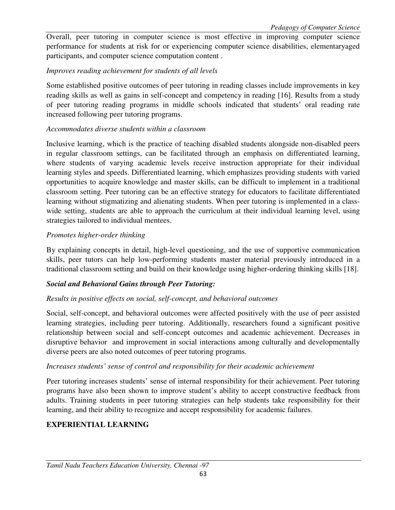Overall, peer tutoring in computer science is most effective in improving computer science performance for students at risk for or experiencing computer science disabilities, elementaryaged participants, and computer science computation content .

## *Improves reading achievement for students of all levels*

Some established positive outcomes of peer tutoring in reading classes include improvements in key reading skills as well as gains in self-concept and competency in reading [16]. Results from a study of peer tutoring reading programs in middle schools indicated that students' oral reading rate increased following peer tutoring programs.

## *Accommodates diverse students within a classroom*

Inclusive learning, which is the practice of teaching disabled students alongside non-disabled peers in regular classroom settings, can be facilitated through an emphasis on differentiated learning, where students of varying academic levels receive instruction appropriate for their individual learning styles and speeds. Differentiated learning, which emphasizes providing students with varied opportunities to acquire knowledge and master skills, can be difficult to implement in a traditional classroom setting. Peer tutoring can be an effective strategy for educators to facilitate differentiated learning without stigmatizing and alienating students. When peer tutoring is implemented in a classwide setting, students are able to approach the curriculum at their individual learning level, using strategies tailored to individual mentees.

## *Promotes higher-order thinking*

By explaining concepts in detail, high-level questioning, and the use of supportive communication skills, peer tutors can help low-performing students master material previously introduced in a traditional classroom setting and build on their knowledge using higher-ordering thinking skills [18].

## *Social and Behavioral Gains through Peer Tutoring:*

## *Results in positive effects on social, self-concept, and behavioral outcomes*

Social, self-concept, and behavioral outcomes were affected positively with the use of peer assisted learning strategies, including peer tutoring. Additionally, researchers found a significant positive relationship between social and self-concept outcomes and academic achievement. Decreases in disruptive behavior and improvement in social interactions among culturally and developmentally diverse peers are also noted outcomes of peer tutoring programs.

## *Increases students' sense of control and responsibility for their academic achievement*

Peer tutoring increases students' sense of internal responsibility for their achievement. Peer tutoring programs have also been shown to improve student's ability to accept constructive feedback from adults. Training students in peer tutoring strategies can help students take responsibility for their learning, and their ability to recognize and accept responsibility for academic failures.

## **EXPERIENTIAL LEARNING**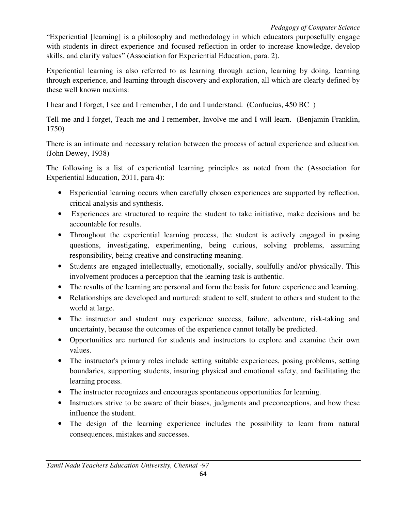"Experiential [learning] is a philosophy and methodology in which educators purposefully engage with students in direct experience and focused reflection in order to increase knowledge, develop skills, and clarify values" (Association for Experiential Education, para. 2).

Experiential learning is also referred to as learning through action, learning by doing, learning through experience, and learning through discovery and exploration, all which are clearly defined by these well known maxims:

I hear and I forget, I see and I remember, I do and I understand. (Confucius, 450 BC )

Tell me and I forget, Teach me and I remember, Involve me and I will learn. (Benjamin Franklin, 1750)

There is an intimate and necessary relation between the process of actual experience and education. (John Dewey, 1938)

The following is a list of experiential learning principles as noted from the (Association for Experiential Education, 2011, para 4):

- Experiential learning occurs when carefully chosen experiences are supported by reflection, critical analysis and synthesis.
- Experiences are structured to require the student to take initiative, make decisions and be accountable for results.
- Throughout the experiential learning process, the student is actively engaged in posing questions, investigating, experimenting, being curious, solving problems, assuming responsibility, being creative and constructing meaning.
- Students are engaged intellectually, emotionally, socially, soulfully and/or physically. This involvement produces a perception that the learning task is authentic.
- The results of the learning are personal and form the basis for future experience and learning.
- Relationships are developed and nurtured: student to self, student to others and student to the world at large.
- The instructor and student may experience success, failure, adventure, risk-taking and uncertainty, because the outcomes of the experience cannot totally be predicted.
- Opportunities are nurtured for students and instructors to explore and examine their own values.
- The instructor's primary roles include setting suitable experiences, posing problems, setting boundaries, supporting students, insuring physical and emotional safety, and facilitating the learning process.
- The instructor recognizes and encourages spontaneous opportunities for learning.
- Instructors strive to be aware of their biases, judgments and preconceptions, and how these influence the student.
- The design of the learning experience includes the possibility to learn from natural consequences, mistakes and successes.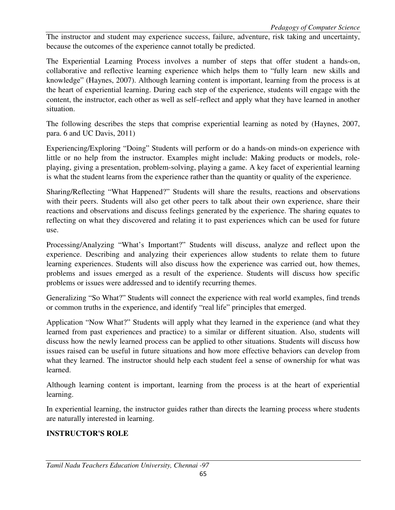The instructor and student may experience success, failure, adventure, risk taking and uncertainty, because the outcomes of the experience cannot totally be predicted.

The Experiential Learning Process involves a number of steps that offer student a hands-on, collaborative and reflective learning experience which helps them to "fully learn new skills and knowledge" (Haynes, 2007). Although learning content is important, learning from the process is at the heart of experiential learning. During each step of the experience, students will engage with the content, the instructor, each other as well as self–reflect and apply what they have learned in another situation.

The following describes the steps that comprise experiential learning as noted by (Haynes, 2007, para. 6 and UC Davis, 2011)

Experiencing/Exploring "Doing" Students will perform or do a hands-on minds-on experience with little or no help from the instructor. Examples might include: Making products or models, roleplaying, giving a presentation, problem-solving, playing a game. A key facet of experiential learning is what the student learns from the experience rather than the quantity or quality of the experience.

Sharing/Reflecting "What Happened?" Students will share the results, reactions and observations with their peers. Students will also get other peers to talk about their own experience, share their reactions and observations and discuss feelings generated by the experience. The sharing equates to reflecting on what they discovered and relating it to past experiences which can be used for future use.

Processing/Analyzing "What's Important?" Students will discuss, analyze and reflect upon the experience. Describing and analyzing their experiences allow students to relate them to future learning experiences. Students will also discuss how the experience was carried out, how themes, problems and issues emerged as a result of the experience. Students will discuss how specific problems or issues were addressed and to identify recurring themes.

Generalizing "So What?" Students will connect the experience with real world examples, find trends or common truths in the experience, and identify "real life" principles that emerged.

Application "Now What?" Students will apply what they learned in the experience (and what they learned from past experiences and practice) to a similar or different situation. Also, students will discuss how the newly learned process can be applied to other situations. Students will discuss how issues raised can be useful in future situations and how more effective behaviors can develop from what they learned. The instructor should help each student feel a sense of ownership for what was learned.

Although learning content is important, learning from the process is at the heart of experiential learning.

In experiential learning, the instructor guides rather than directs the learning process where students are naturally interested in learning.

## **INSTRUCTOR'S ROLE**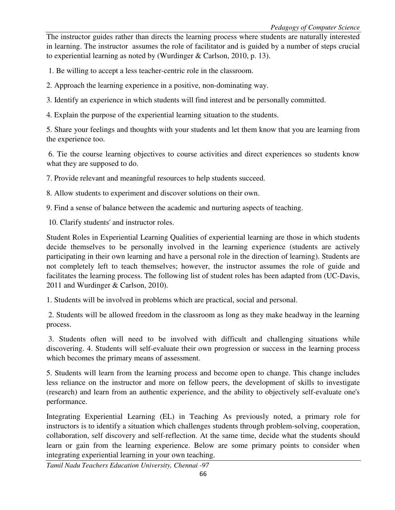The instructor guides rather than directs the learning process where students are naturally interested in learning. The instructor assumes the role of facilitator and is guided by a number of steps crucial to experiential learning as noted by (Wurdinger & Carlson, 2010, p. 13).

1. Be willing to accept a less teacher-centric role in the classroom.

2. Approach the learning experience in a positive, non-dominating way.

3. Identify an experience in which students will find interest and be personally committed.

4. Explain the purpose of the experiential learning situation to the students.

5. Share your feelings and thoughts with your students and let them know that you are learning from the experience too.

 6. Tie the course learning objectives to course activities and direct experiences so students know what they are supposed to do.

7. Provide relevant and meaningful resources to help students succeed.

8. Allow students to experiment and discover solutions on their own.

9. Find a sense of balance between the academic and nurturing aspects of teaching.

10. Clarify students' and instructor roles.

Student Roles in Experiential Learning Qualities of experiential learning are those in which students decide themselves to be personally involved in the learning experience (students are actively participating in their own learning and have a personal role in the direction of learning). Students are not completely left to teach themselves; however, the instructor assumes the role of guide and facilitates the learning process. The following list of student roles has been adapted from (UC-Davis, 2011 and Wurdinger & Carlson, 2010).

1. Students will be involved in problems which are practical, social and personal.

 2. Students will be allowed freedom in the classroom as long as they make headway in the learning process.

 3. Students often will need to be involved with difficult and challenging situations while discovering. 4. Students will self-evaluate their own progression or success in the learning process which becomes the primary means of assessment.

5. Students will learn from the learning process and become open to change. This change includes less reliance on the instructor and more on fellow peers, the development of skills to investigate (research) and learn from an authentic experience, and the ability to objectively self-evaluate one's performance.

Integrating Experiential Learning (EL) in Teaching As previously noted, a primary role for instructors is to identify a situation which challenges students through problem-solving, cooperation, collaboration, self discovery and self-reflection. At the same time, decide what the students should learn or gain from the learning experience. Below are some primary points to consider when integrating experiential learning in your own teaching.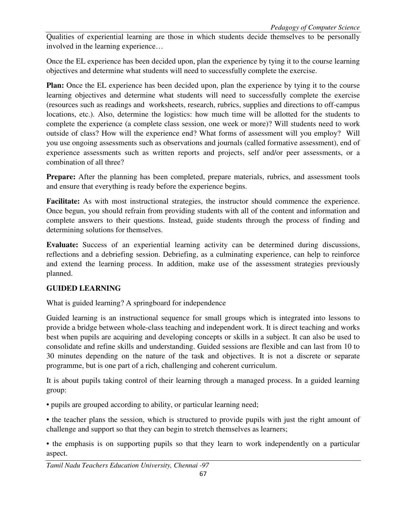Qualities of experiential learning are those in which students decide themselves to be personally involved in the learning experience…

Once the EL experience has been decided upon, plan the experience by tying it to the course learning objectives and determine what students will need to successfully complete the exercise.

**Plan:** Once the EL experience has been decided upon, plan the experience by tying it to the course learning objectives and determine what students will need to successfully complete the exercise (resources such as readings and worksheets, research, rubrics, supplies and directions to off-campus locations, etc.). Also, determine the logistics: how much time will be allotted for the students to complete the experience (a complete class session, one week or more)? Will students need to work outside of class? How will the experience end? What forms of assessment will you employ? Will you use ongoing assessments such as observations and journals (called formative assessment), end of experience assessments such as written reports and projects, self and/or peer assessments, or a combination of all three?

Prepare: After the planning has been completed, prepare materials, rubrics, and assessment tools and ensure that everything is ready before the experience begins.

**Facilitate:** As with most instructional strategies, the instructor should commence the experience. Once begun, you should refrain from providing students with all of the content and information and complete answers to their questions. Instead, guide students through the process of finding and determining solutions for themselves.

**Evaluate:** Success of an experiential learning activity can be determined during discussions, reflections and a debriefing session. Debriefing, as a culminating experience, can help to reinforce and extend the learning process. In addition, make use of the assessment strategies previously planned.

## **GUIDED LEARNING**

What is guided learning? A springboard for independence

Guided learning is an instructional sequence for small groups which is integrated into lessons to provide a bridge between whole-class teaching and independent work. It is direct teaching and works best when pupils are acquiring and developing concepts or skills in a subject. It can also be used to consolidate and refine skills and understanding. Guided sessions are flexible and can last from 10 to 30 minutes depending on the nature of the task and objectives. It is not a discrete or separate programme, but is one part of a rich, challenging and coherent curriculum.

It is about pupils taking control of their learning through a managed process. In a guided learning group:

• pupils are grouped according to ability, or particular learning need;

• the teacher plans the session, which is structured to provide pupils with just the right amount of challenge and support so that they can begin to stretch themselves as learners;

• the emphasis is on supporting pupils so that they learn to work independently on a particular aspect.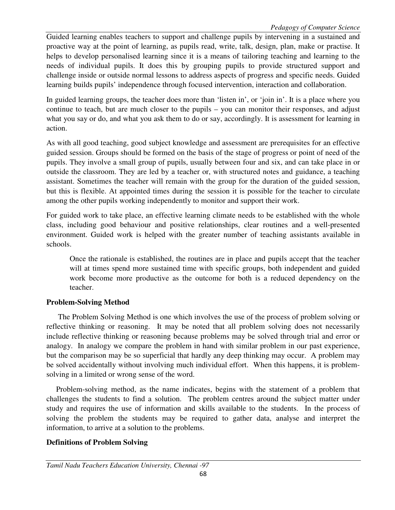Guided learning enables teachers to support and challenge pupils by intervening in a sustained and proactive way at the point of learning, as pupils read, write, talk, design, plan, make or practise. It helps to develop personalised learning since it is a means of tailoring teaching and learning to the needs of individual pupils. It does this by grouping pupils to provide structured support and challenge inside or outside normal lessons to address aspects of progress and specific needs. Guided learning builds pupils' independence through focused intervention, interaction and collaboration.

In guided learning groups, the teacher does more than 'listen in', or 'join in'. It is a place where you continue to teach, but are much closer to the pupils – you can monitor their responses, and adjust what you say or do, and what you ask them to do or say, accordingly. It is assessment for learning in action.

As with all good teaching, good subject knowledge and assessment are prerequisites for an effective guided session. Groups should be formed on the basis of the stage of progress or point of need of the pupils. They involve a small group of pupils, usually between four and six, and can take place in or outside the classroom. They are led by a teacher or, with structured notes and guidance, a teaching assistant. Sometimes the teacher will remain with the group for the duration of the guided session, but this is flexible. At appointed times during the session it is possible for the teacher to circulate among the other pupils working independently to monitor and support their work.

For guided work to take place, an effective learning climate needs to be established with the whole class, including good behaviour and positive relationships, clear routines and a well-presented environment. Guided work is helped with the greater number of teaching assistants available in schools.

Once the rationale is established, the routines are in place and pupils accept that the teacher will at times spend more sustained time with specific groups, both independent and guided work become more productive as the outcome for both is a reduced dependency on the teacher.

## **Problem-Solving Method**

 The Problem Solving Method is one which involves the use of the process of problem solving or reflective thinking or reasoning. It may be noted that all problem solving does not necessarily include reflective thinking or reasoning because problems may be solved through trial and error or analogy. In analogy we compare the problem in hand with similar problem in our past experience, but the comparison may be so superficial that hardly any deep thinking may occur. A problem may be solved accidentally without involving much individual effort. When this happens, it is problemsolving in a limited or wrong sense of the word.

 Problem-solving method, as the name indicates, begins with the statement of a problem that challenges the students to find a solution. The problem centres around the subject matter under study and requires the use of information and skills available to the students. In the process of solving the problem the students may be required to gather data, analyse and interpret the information, to arrive at a solution to the problems.

## **Definitions of Problem Solving**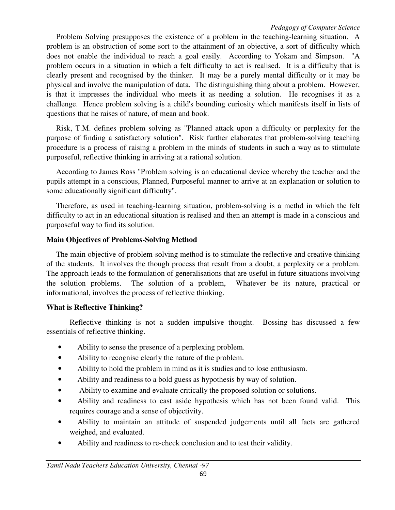Problem Solving presupposes the existence of a problem in the teaching-learning situation. A problem is an obstruction of some sort to the attainment of an objective, a sort of difficulty which does not enable the individual to reach a goal easily. According to Yokam and Simpson. "A problem occurs in a situation in which a felt difficulty to act is realised. It is a difficulty that is clearly present and recognised by the thinker. It may be a purely mental difficulty or it may be physical and involve the manipulation of data. The distinguishing thing about a problem. However, is that it impresses the individual who meets it as needing a solution. He recognises it as a challenge. Hence problem solving is a child's bounding curiosity which manifests itself in lists of questions that he raises of nature, of mean and book.

 Risk, T.M. defines problem solving as "Planned attack upon a difficulty or perplexity for the purpose of finding a satisfactory solution". Risk further elaborates that problem-solving teaching procedure is a process of raising a problem in the minds of students in such a way as to stimulate purposeful, reflective thinking in arriving at a rational solution.

 According to James Ross "Problem solving is an educational device whereby the teacher and the pupils attempt in a conscious, Planned, Purposeful manner to arrive at an explanation or solution to some educationally significant difficulty".

 Therefore, as used in teaching-learning situation, problem-solving is a methd in which the felt difficulty to act in an educational situation is realised and then an attempt is made in a conscious and purposeful way to find its solution.

### **Main Objectives of Problems-Solving Method**

 The main objective of problem-solving method is to stimulate the reflective and creative thinking of the students. It involves the though process that result from a doubt, a perplexity or a problem. The approach leads to the formulation of generalisations that are useful in future situations involving the solution problems. The solution of a problem, Whatever be its nature, practical or informational, involves the process of reflective thinking.

## **What is Reflective Thinking?**

 Reflective thinking is not a sudden impulsive thought. Bossing has discussed a few essentials of reflective thinking.

- Ability to sense the presence of a perplexing problem.
- Ability to recognise clearly the nature of the problem.
- Ability to hold the problem in mind as it is studies and to lose enthusiasm.
- Ability and readiness to a bold guess as hypothesis by way of solution.
- Ability to examine and evaluate critically the proposed solution or solutions.
- Ability and readiness to cast aside hypothesis which has not been found valid. This requires courage and a sense of objectivity.
- Ability to maintain an attitude of suspended judgements until all facts are gathered weighed, and evaluated.
- Ability and readiness to re-check conclusion and to test their validity.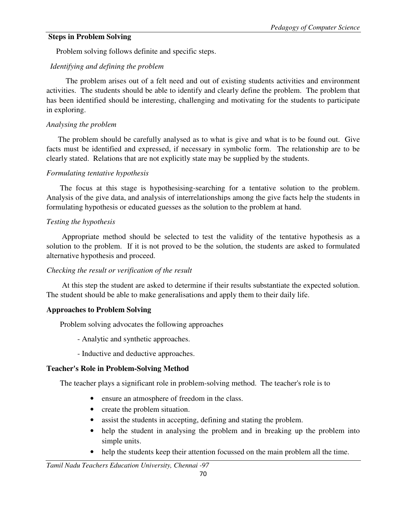### **Steps in Problem Solving**

Problem solving follows definite and specific steps.

### *Identifying and defining the problem*

 The problem arises out of a felt need and out of existing students activities and environment activities. The students should be able to identify and clearly define the problem. The problem that has been identified should be interesting, challenging and motivating for the students to participate in exploring.

#### *Analysing the problem*

 The problem should be carefully analysed as to what is give and what is to be found out. Give facts must be identified and expressed, if necessary in symbolic form. The relationship are to be clearly stated. Relations that are not explicitly state may be supplied by the students.

#### *Formulating tentative hypothesis*

 The focus at this stage is hypothesising-searching for a tentative solution to the problem. Analysis of the give data, and analysis of interrelationships among the give facts help the students in formulating hypothesis or educated guesses as the solution to the problem at hand.

## *Testing the hypothesis*

 Appropriate method should be selected to test the validity of the tentative hypothesis as a solution to the problem. If it is not proved to be the solution, the students are asked to formulated alternative hypothesis and proceed.

#### *Checking the result or verification of the result*

 At this step the student are asked to determine if their results substantiate the expected solution. The student should be able to make generalisations and apply them to their daily life.

#### **Approaches to Problem Solving**

Problem solving advocates the following approaches

- Analytic and synthetic approaches.
- Inductive and deductive approaches.

## **Teacher's Role in Problem-Solving Method**

The teacher plays a significant role in problem-solving method. The teacher's role is to

- ensure an atmosphere of freedom in the class.
- create the problem situation.
- assist the students in accepting, defining and stating the problem.
- help the student in analysing the problem and in breaking up the problem into simple units.
- help the students keep their attention focussed on the main problem all the time.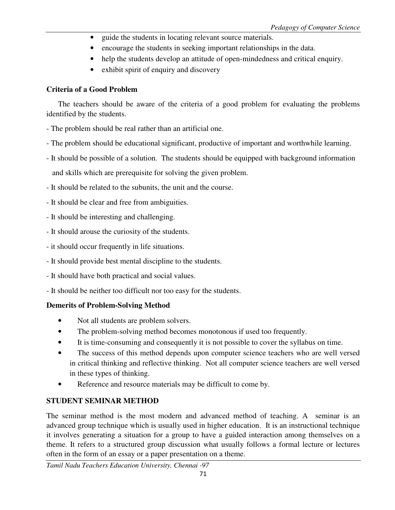- guide the students in locating relevant source materials.
- encourage the students in seeking important relationships in the data.
- help the students develop an attitude of open-mindedness and critical enquiry.
- exhibit spirit of enquiry and discovery

## **Criteria of a Good Problem**

 The teachers should be aware of the criteria of a good problem for evaluating the problems identified by the students.

- The problem should be real rather than an artificial one.
- The problem should be educational significant, productive of important and worthwhile learning.
- It should be possible of a solution. The students should be equipped with background information

and skills which are prerequisite for solving the given problem.

- It should be related to the subunits, the unit and the course.
- It should be clear and free from ambiguities.
- It should be interesting and challenging.
- It should arouse the curiosity of the students.
- it should occur frequently in life situations.
- It should provide best mental discipline to the students.
- It should have both practical and social values.
- It should be neither too difficult nor too easy for the students.

## **Demerits of Problem-Solving Method**

- Not all students are problem solvers.
- The problem-solving method becomes monotonous if used too frequently.
- It is time-consuming and consequently it is not possible to cover the syllabus on time.
- The success of this method depends upon computer science teachers who are well versed in critical thinking and reflective thinking. Not all computer science teachers are well versed in these types of thinking.
- Reference and resource materials may be difficult to come by.

## **STUDENT SEMINAR METHOD**

The seminar method is the most modern and advanced method of teaching. A seminar is an advanced group technique which is usually used in higher education. It is an instructional technique it involves generating a situation for a group to have a guided interaction among themselves on a theme. It refers to a structured group discussion what usually follows a formal lecture or lectures often in the form of an essay or a paper presentation on a theme.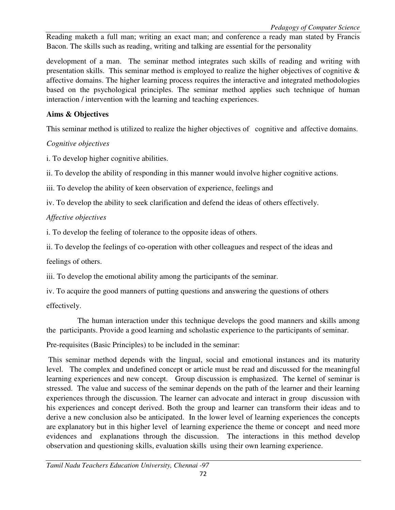*Pedagogy of Computer Science* 

Reading maketh a full man; writing an exact man; and conference a ready man stated by Francis Bacon. The skills such as reading, writing and talking are essential for the personality

development of a man. The seminar method integrates such skills of reading and writing with presentation skills. This seminar method is employed to realize the higher objectives of cognitive & affective domains. The higher learning process requires the interactive and integrated methodologies based on the psychological principles. The seminar method applies such technique of human interaction / intervention with the learning and teaching experiences.

## **Aims & Objectives**

This seminar method is utilized to realize the higher objectives of cognitive and affective domains.

## *Cognitive objectives*

i. To develop higher cognitive abilities.

ii. To develop the ability of responding in this manner would involve higher cognitive actions.

iii. To develop the ability of keen observation of experience, feelings and

iv. To develop the ability to seek clarification and defend the ideas of others effectively.

## *Affective objectives*

i. To develop the feeling of tolerance to the opposite ideas of others.

ii. To develop the feelings of co-operation with other colleagues and respect of the ideas and

feelings of others.

iii. To develop the emotional ability among the participants of the seminar.

iv. To acquire the good manners of putting questions and answering the questions of others

effectively.

 The human interaction under this technique develops the good manners and skills among the participants. Provide a good learning and scholastic experience to the participants of seminar.

Pre-requisites (Basic Principles) to be included in the seminar:

 This seminar method depends with the lingual, social and emotional instances and its maturity level. The complex and undefined concept or article must be read and discussed for the meaningful learning experiences and new concept. Group discussion is emphasized. The kernel of seminar is stressed. The value and success of the seminar depends on the path of the learner and their learning experiences through the discussion. The learner can advocate and interact in group discussion with his experiences and concept derived. Both the group and learner can transform their ideas and to derive a new conclusion also be anticipated. In the lower level of learning experiences the concepts are explanatory but in this higher level of learning experience the theme or concept and need more evidences and explanations through the discussion. The interactions in this method develop observation and questioning skills, evaluation skills using their own learning experience.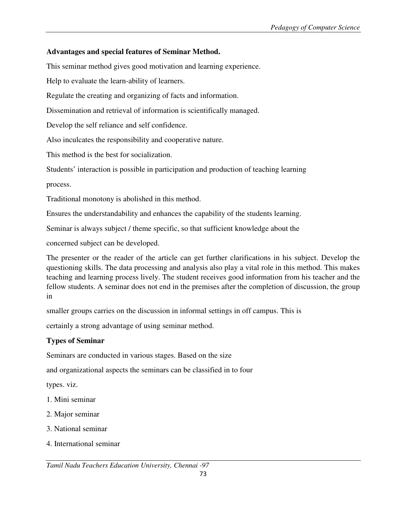# **Advantages and special features of Seminar Method.**

This seminar method gives good motivation and learning experience.

Help to evaluate the learn-ability of learners.

Regulate the creating and organizing of facts and information.

Dissemination and retrieval of information is scientifically managed.

Develop the self reliance and self confidence.

Also inculcates the responsibility and cooperative nature.

This method is the best for socialization.

Students' interaction is possible in participation and production of teaching learning

process.

Traditional monotony is abolished in this method.

Ensures the understandability and enhances the capability of the students learning.

Seminar is always subject / theme specific, so that sufficient knowledge about the

concerned subject can be developed.

The presenter or the reader of the article can get further clarifications in his subject. Develop the questioning skills. The data processing and analysis also play a vital role in this method. This makes teaching and learning process lively. The student receives good information from his teacher and the fellow students. A seminar does not end in the premises after the completion of discussion, the group in

smaller groups carries on the discussion in informal settings in off campus. This is

certainly a strong advantage of using seminar method.

# **Types of Seminar**

Seminars are conducted in various stages. Based on the size

and organizational aspects the seminars can be classified in to four

types. viz.

- 1. Mini seminar
- 2. Major seminar
- 3. National seminar
- 4. International seminar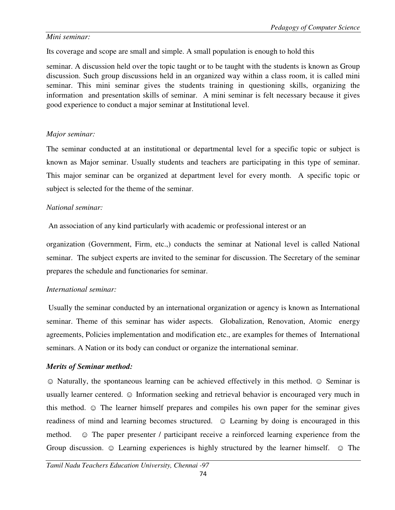### *Mini seminar:*

Its coverage and scope are small and simple. A small population is enough to hold this

seminar. A discussion held over the topic taught or to be taught with the students is known as Group discussion. Such group discussions held in an organized way within a class room, it is called mini seminar. This mini seminar gives the students training in questioning skills, organizing the information and presentation skills of seminar. A mini seminar is felt necessary because it gives good experience to conduct a major seminar at Institutional level.

## *Major seminar:*

The seminar conducted at an institutional or departmental level for a specific topic or subject is known as Major seminar. Usually students and teachers are participating in this type of seminar. This major seminar can be organized at department level for every month. A specific topic or subject is selected for the theme of the seminar.

## *National seminar:*

An association of any kind particularly with academic or professional interest or an

organization (Government, Firm, etc.,) conducts the seminar at National level is called National seminar. The subject experts are invited to the seminar for discussion. The Secretary of the seminar prepares the schedule and functionaries for seminar.

## *International seminar:*

 Usually the seminar conducted by an international organization or agency is known as International seminar. Theme of this seminar has wider aspects. Globalization, Renovation, Atomic energy agreements, Policies implementation and modification etc., are examples for themes of International seminars. A Nation or its body can conduct or organize the international seminar.

## *Merits of Seminar method:*

☺ Naturally, the spontaneous learning can be achieved effectively in this method. ☺ Seminar is usually learner centered.  $\odot$  Information seeking and retrieval behavior is encouraged very much in this method. ☺ The learner himself prepares and compiles his own paper for the seminar gives readiness of mind and learning becomes structured.  $\odot$  Learning by doing is encouraged in this method.  $\odot$  The paper presenter / participant receive a reinforced learning experience from the Group discussion.  $\odot$  Learning experiences is highly structured by the learner himself.  $\odot$  The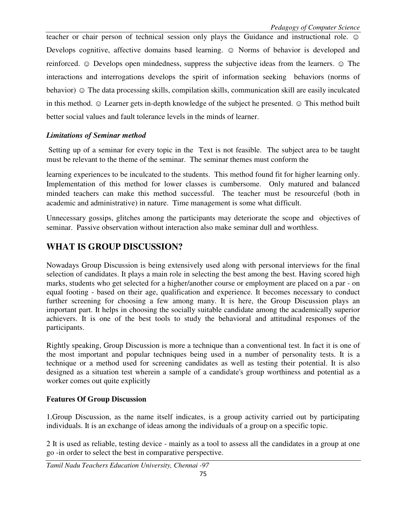teacher or chair person of technical session only plays the Guidance and instructional role.  $\odot$ Develops cognitive, affective domains based learning.  $\odot$  Norms of behavior is developed and reinforced. ☺ Develops open mindedness, suppress the subjective ideas from the learners. ☺ The interactions and interrogations develops the spirit of information seeking behaviors (norms of behavior)  $\odot$  The data processing skills, compilation skills, communication skill are easily inculcated in this method. ☺ Learner gets in-depth knowledge of the subject he presented. ☺ This method built better social values and fault tolerance levels in the minds of learner.

### *Limitations of Seminar method*

 Setting up of a seminar for every topic in the Text is not feasible. The subject area to be taught must be relevant to the theme of the seminar. The seminar themes must conform the

learning experiences to be inculcated to the students. This method found fit for higher learning only. Implementation of this method for lower classes is cumbersome. Only matured and balanced minded teachers can make this method successful. The teacher must be resourceful (both in academic and administrative) in nature. Time management is some what difficult.

Unnecessary gossips, glitches among the participants may deteriorate the scope and objectives of seminar. Passive observation without interaction also make seminar dull and worthless.

# **WHAT IS GROUP DISCUSSION?**

Nowadays Group Discussion is being extensively used along with personal interviews for the final selection of candidates. It plays a main role in selecting the best among the best. Having scored high marks, students who get selected for a higher/another course or employment are placed on a par - on equal footing - based on their age, qualification and experience. It becomes necessary to conduct further screening for choosing a few among many. It is here, the Group Discussion plays an important part. It helps in choosing the socially suitable candidate among the academically superior achievers. It is one of the best tools to study the behavioral and attitudinal responses of the participants.

Rightly speaking, Group Discussion is more a technique than a conventional test. In fact it is one of the most important and popular techniques being used in a number of personality tests. It is a technique or a method used for screening candidates as well as testing their potential. It is also designed as a situation test wherein a sample of a candidate's group worthiness and potential as a worker comes out quite explicitly

## **Features Of Group Discussion**

1.Group Discussion, as the name itself indicates, is a group activity carried out by participating individuals. It is an exchange of ideas among the individuals of a group on a specific topic.

2 It is used as reliable, testing device - mainly as a tool to assess all the candidates in a group at one go -in order to select the best in comparative perspective.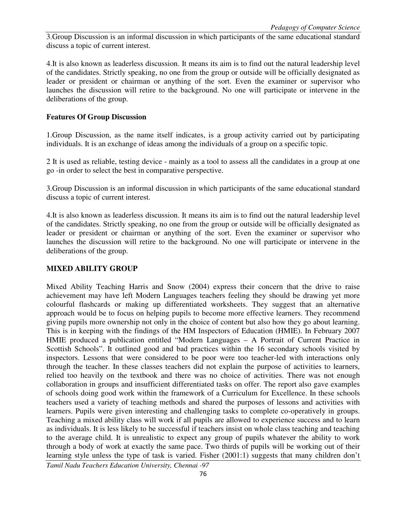3.Group Discussion is an informal discussion in which participants of the same educational standard discuss a topic of current interest.

4.It is also known as leaderless discussion. It means its aim is to find out the natural leadership level of the candidates. Strictly speaking, no one from the group or outside will be officially designated as leader or president or chairman or anything of the sort. Even the examiner or supervisor who launches the discussion will retire to the background. No one will participate or intervene in the deliberations of the group.

### **Features Of Group Discussion**

1.Group Discussion, as the name itself indicates, is a group activity carried out by participating individuals. It is an exchange of ideas among the individuals of a group on a specific topic.

2 It is used as reliable, testing device - mainly as a tool to assess all the candidates in a group at one go -in order to select the best in comparative perspective.

3.Group Discussion is an informal discussion in which participants of the same educational standard discuss a topic of current interest.

4.It is also known as leaderless discussion. It means its aim is to find out the natural leadership level of the candidates. Strictly speaking, no one from the group or outside will be officially designated as leader or president or chairman or anything of the sort. Even the examiner or supervisor who launches the discussion will retire to the background. No one will participate or intervene in the deliberations of the group.

## **MIXED ABILITY GROUP**

Mixed Ability Teaching Harris and Snow (2004) express their concern that the drive to raise achievement may have left Modern Languages teachers feeling they should be drawing yet more colourful flashcards or making up differentiated worksheets. They suggest that an alternative approach would be to focus on helping pupils to become more effective learners. They recommend giving pupils more ownership not only in the choice of content but also how they go about learning. This is in keeping with the findings of the HM Inspectors of Education (HMIE). In February 2007 HMIE produced a publication entitled "Modern Languages – A Portrait of Current Practice in Scottish Schools". It outlined good and bad practices within the 16 secondary schools visited by inspectors. Lessons that were considered to be poor were too teacher-led with interactions only through the teacher. In these classes teachers did not explain the purpose of activities to learners, relied too heavily on the textbook and there was no choice of activities. There was not enough collaboration in groups and insufficient differentiated tasks on offer. The report also gave examples of schools doing good work within the framework of a Curriculum for Excellence. In these schools teachers used a variety of teaching methods and shared the purposes of lessons and activities with learners. Pupils were given interesting and challenging tasks to complete co-operatively in groups. Teaching a mixed ability class will work if all pupils are allowed to experience success and to learn as individuals. It is less likely to be successful if teachers insist on whole class teaching and teaching to the average child. It is unrealistic to expect any group of pupils whatever the ability to work through a body of work at exactly the same pace. Two thirds of pupils will be working out of their learning style unless the type of task is varied. Fisher (2001:1) suggests that many children don't

*Tamil Nadu Teachers Education University, Chennai -97*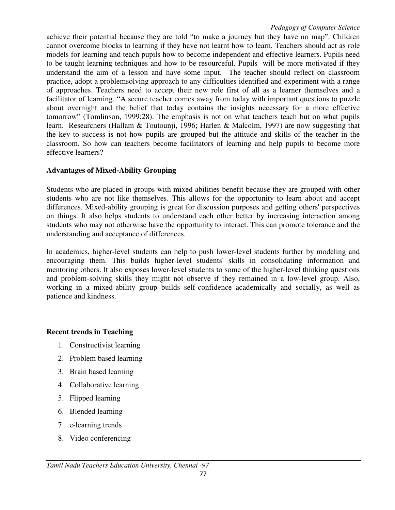achieve their potential because they are told "to make a journey but they have no map". Children cannot overcome blocks to learning if they have not learnt how to learn. Teachers should act as role models for learning and teach pupils how to become independent and effective learners. Pupils need to be taught learning techniques and how to be resourceful. Pupils will be more motivated if they understand the aim of a lesson and have some input. The teacher should reflect on classroom practice, adopt a problemsolving approach to any difficulties identified and experiment with a range of approaches. Teachers need to accept their new role first of all as a learner themselves and a facilitator of learning. "A secure teacher comes away from today with important questions to puzzle about overnight and the belief that today contains the insights necessary for a more effective tomorrow" (Tomlinson, 1999:28). The emphasis is not on what teachers teach but on what pupils learn. Researchers (Hallam & Toutounji, 1996; Harlen & Malcolm, 1997) are now suggesting that the key to success is not how pupils are grouped but the attitude and skills of the teacher in the classroom. So how can teachers become facilitators of learning and help pupils to become more effective learners?

## **Advantages of Mixed-Ability Grouping**

Students who are placed in groups with mixed abilities benefit because they are grouped with other students who are not like themselves. This allows for the opportunity to learn about and accept differences. Mixed-ability grouping is great for discussion purposes and getting others' perspectives on things. It also helps students to understand each other better by increasing interaction among students who may not otherwise have the opportunity to interact. This can promote tolerance and the understanding and acceptance of differences.

In academics, higher-level students can help to push lower-level students further by modeling and encouraging them. This builds higher-level students' skills in consolidating information and mentoring others. It also exposes lower-level students to some of the higher-level thinking questions and problem-solving skills they might not observe if they remained in a low-level group. Also, working in a mixed-ability group builds self-confidence academically and socially, as well as patience and kindness.

# **Recent trends in Teaching**

- 1. Constructivist learning
- 2. Problem based learning
- 3. Brain based learning
- 4. Collaborative learning
- 5. Flipped learning
- 6. Blended learning
- 7. e-learning trends
- 8. Video conferencing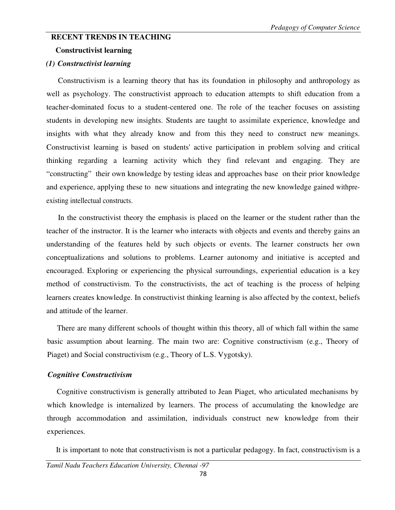### **RECENT TRENDS IN TEACHING**

#### **Constructivist learning**

#### *(1) Constructivist learning*

Constructivism is a learning theory that has its foundation in philosophy and anthropology as well as psychology. The constructivist approach to education attempts to shift education from a teacher-dominated focus to a student-centered one. The role of the teacher focuses on assisting students in developing new insights. Students are taught to assimilate experience, knowledge and insights with what they already know and from this they need to construct new meanings. Constructivist learning is based on students' active participation in problem solving and critical thinking regarding a learning activity which they find relevant and engaging. They are "constructing" their own knowledge by testing ideas and approaches base on their prior knowledge and experience, applying these to new situations and integrating the new knowledge gained withpreexisting intellectual constructs.

In the constructivist theory the emphasis is placed on the learner or the student rather than the teacher of the instructor. It is the learner who interacts with objects and events and thereby gains an understanding of the features held by such objects or events. The learner constructs her own conceptualizations and solutions to problems. Learner autonomy and initiative is accepted and encouraged. Exploring or experiencing the physical surroundings, experiential education is a key method of constructivism. To the constructivists, the act of teaching is the process of helping learners creates knowledge. In constructivist thinking learning is also affected by the context, beliefs and attitude of the learner.

There are many different schools of thought within this theory, all of which fall within the same basic assumption about learning. The main two are: Cognitive constructivism (e.g., Theory of Piaget) and Social constructivism (e.g., Theory of L.S. Vygotsky).

#### *Cognitive Constructivism*

Cognitive constructivism is generally attributed to Jean Piaget, who articulated mechanisms by which knowledge is internalized by learners. The process of accumulating the knowledge are through accommodation and assimilation, individuals construct new knowledge from their experiences.

It is important to note that constructivism is not a particular pedagogy. In fact, constructivism is a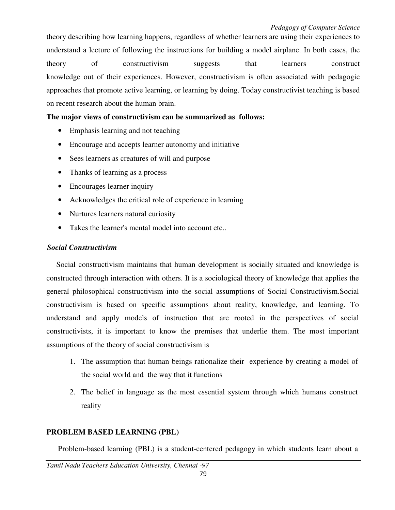theory describing how learning happens, regardless of whether learners are using their experiences to understand a lecture of following the instructions for building a model airplane. In both cases, the theory of constructivism suggests that learners construct knowledge out of their experiences. However, constructivism is often associated with pedagogic approaches that promote active learning, or learning by doing. Today constructivist teaching is based on recent research about the human brain.

## **The major views of constructivism can be summarized as follows:**

- Emphasis learning and not teaching
- Encourage and accepts learner autonomy and initiative
- Sees learners as creatures of will and purpose
- Thanks of learning as a process
- Encourages learner inquiry
- Acknowledges the critical role of experience in learning
- Nurtures learners natural curiosity
- Takes the learner's mental model into account etc..

### *Social Constructivism*

Social constructivism maintains that human development is socially situated and knowledge is constructed through interaction with others. It is a sociological theory of knowledge that applies the general philosophical constructivism into the social assumptions of Social Constructivism.Social constructivism is based on specific assumptions about reality, knowledge, and learning. To understand and apply models of instruction that are rooted in the perspectives of social constructivists, it is important to know the premises that underlie them. The most important assumptions of the theory of social constructivism is

- 1. The assumption that human beings rationalize their experience by creating a model of the social world and the way that it functions
- 2. The belief in language as the most essential system through which humans construct reality

## **PROBLEM BASED LEARNING (PBL)**

Problem-based learning (PBL) is a student-centered pedagogy in which students learn about a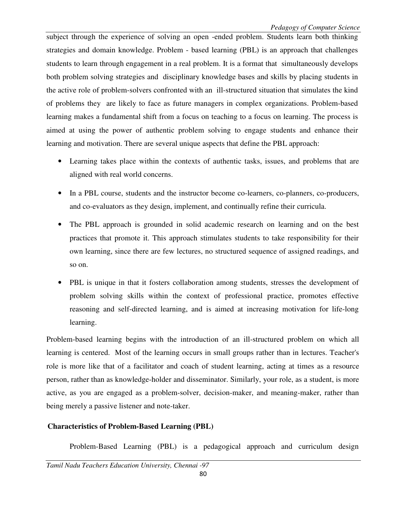subject through the experience of solving an open -ended problem. Students learn both thinking strategies and domain knowledge. Problem - based learning (PBL) is an approach that challenges students to learn through engagement in a real problem. It is a format that simultaneously develops both problem solving strategies and disciplinary knowledge bases and skills by placing students in the active role of problem-solvers confronted with an ill-structured situation that simulates the kind of problems they are likely to face as future managers in complex organizations. Problem-based learning makes a fundamental shift from a focus on teaching to a focus on learning. The process is aimed at using the power of authentic problem solving to engage students and enhance their learning and motivation. There are several unique aspects that define the PBL approach:

- Learning takes place within the contexts of authentic tasks, issues, and problems that are aligned with real world concerns.
- In a PBL course, students and the instructor become co-learners, co-planners, co-producers, and co-evaluators as they design, implement, and continually refine their curricula.
- The PBL approach is grounded in solid academic research on learning and on the best practices that promote it. This approach stimulates students to take responsibility for their own learning, since there are few lectures, no structured sequence of assigned readings, and so on.
- PBL is unique in that it fosters collaboration among students, stresses the development of problem solving skills within the context of professional practice, promotes effective reasoning and self-directed learning, and is aimed at increasing motivation for life-long learning.

Problem-based learning begins with the introduction of an ill-structured problem on which all learning is centered. Most of the learning occurs in small groups rather than in lectures. Teacher's role is more like that of a facilitator and coach of student learning, acting at times as a resource person, rather than as knowledge-holder and disseminator. Similarly, your role, as a student, is more active, as you are engaged as a problem-solver, decision-maker, and meaning-maker, rather than being merely a passive listener and note-taker.

# **Characteristics of Problem-Based Learning (PBL)**

Problem-Based Learning (PBL) is a pedagogical approach and curriculum design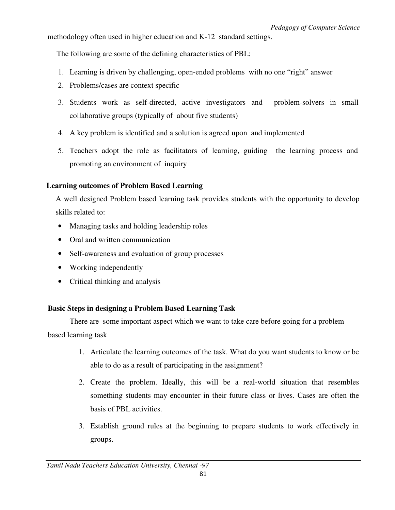methodology often used in higher education and K-12 standard settings.

The following are some of the defining characteristics of PBL:

- 1. Learning is driven by challenging, open-ended problems with no one "right" answer
- 2. Problems/cases are context specific
- 3. Students work as self-directed, active investigators and problem-solvers in small collaborative groups (typically of about five students)
- 4. A key problem is identified and a solution is agreed upon and implemented
- 5. Teachers adopt the role as facilitators of learning, guiding the learning process and promoting an environment of inquiry

## **Learning outcomes of Problem Based Learning**

A well designed Problem based learning task provides students with the opportunity to develop skills related to:

- Managing tasks and holding leadership roles
- Oral and written communication
- Self-awareness and evaluation of group processes
- Working independently
- Critical thinking and analysis

# **Basic Steps in designing a Problem Based Learning Task**

 There are some important aspect which we want to take care before going for a problem based learning task

- 1. Articulate the learning outcomes of the task. What do you want students to know or be able to do as a result of participating in the assignment?
- 2. Create the problem. Ideally, this will be a real-world situation that resembles something students may encounter in their future class or lives. Cases are often the basis of PBL activities.
- 3. Establish ground rules at the beginning to prepare students to work effectively in groups.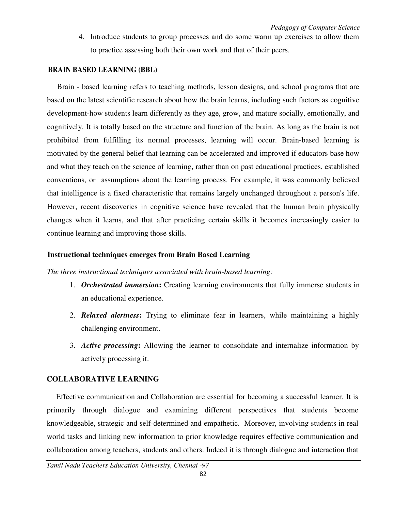4. Introduce students to group processes and do some warm up exercises to allow them to practice assessing both their own work and that of their peers.

### **BRAIN BASED LEARNING (BBL)**

Brain - based learning refers to teaching methods, lesson designs, and school programs that are based on the latest scientific research about how the brain learns, including such factors as cognitive development-how students learn differently as they age, grow, and mature socially, emotionally, and cognitively. It is totally based on the structure and function of the brain. As long as the brain is not prohibited from fulfilling its normal processes, learning will occur. Brain-based learning is motivated by the general belief that learning can be accelerated and improved if educators base how and what they teach on the science of learning, rather than on past educational practices, established conventions, or assumptions about the learning process. For example, it was commonly believed that intelligence is a fixed characteristic that remains largely unchanged throughout a person's life. However, recent discoveries in cognitive science have revealed that the human brain physically changes when it learns, and that after practicing certain skills it becomes increasingly easier to continue learning and improving those skills.

### **Instructional techniques emerges from Brain Based Learning**

### *The three instructional techniques associated with brain-based learning:*

- 1. *Orchestrated immersion***:** Creating learning environments that fully immerse students in an educational experience.
- 2. *Relaxed alertness***:** Trying to eliminate fear in learners, while maintaining a highly challenging environment.
- 3. *Active processing***:** Allowing the learner to consolidate and internalize information by actively processing it.

## **COLLABORATIVE LEARNING**

Effective communication and Collaboration are essential for becoming a successful learner. It is primarily through dialogue and examining different perspectives that students become knowledgeable, strategic and self-determined and empathetic. Moreover, involving students in real world tasks and linking new information to prior knowledge requires effective communication and collaboration among teachers, students and others. Indeed it is through dialogue and interaction that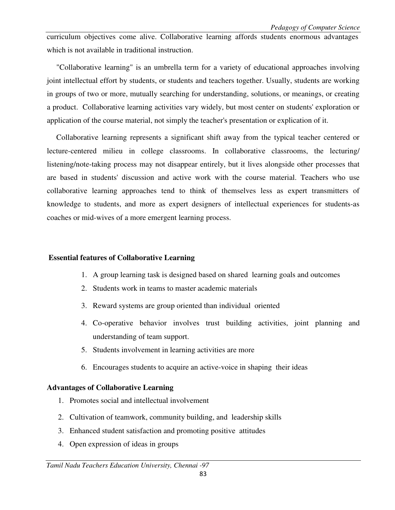curriculum objectives come alive. Collaborative learning affords students enormous advantages which is not available in traditional instruction.

"Collaborative learning" is an umbrella term for a variety of educational approaches involving joint intellectual effort by students, or students and teachers together. Usually, students are working in groups of two or more, mutually searching for understanding, solutions, or meanings, or creating a product. Collaborative learning activities vary widely, but most center on students' exploration or application of the course material, not simply the teacher's presentation or explication of it.

Collaborative learning represents a significant shift away from the typical teacher centered or lecture-centered milieu in college classrooms. In collaborative classrooms, the lecturing/ listening/note-taking process may not disappear entirely, but it lives alongside other processes that are based in students' discussion and active work with the course material. Teachers who use collaborative learning approaches tend to think of themselves less as expert transmitters of knowledge to students, and more as expert designers of intellectual experiences for students-as coaches or mid-wives of a more emergent learning process.

### **Essential features of Collaborative Learning**

- 1. A group learning task is designed based on shared learning goals and outcomes
- 2. Students work in teams to master academic materials
- 3. Reward systems are group oriented than individual oriented
- 4. Co-operative behavior involves trust building activities, joint planning and understanding of team support.
- 5. Students involvement in learning activities are more
- 6. Encourages students to acquire an active-voice in shaping their ideas

#### **Advantages of Collaborative Learning**

- 1. Promotes social and intellectual involvement
- 2. Cultivation of teamwork, community building, and leadership skills
- 3. Enhanced student satisfaction and promoting positive attitudes
- 4. Open expression of ideas in groups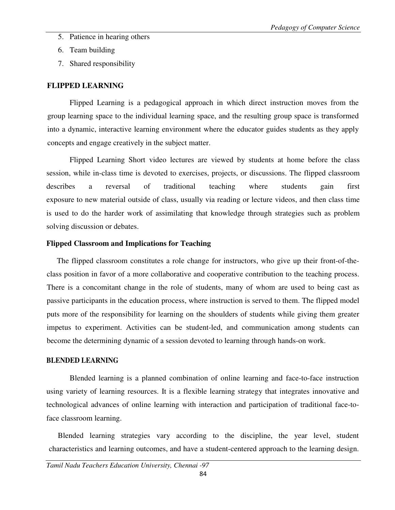- 5. Patience in hearing others
- 6. Team building
- 7. Shared responsibility

### **FLIPPED LEARNING**

 Flipped Learning is a pedagogical approach in which direct instruction moves from the group learning space to the individual learning space, and the resulting group space is transformed into a dynamic, interactive learning environment where the educator guides students as they apply concepts and engage creatively in the subject matter.

 Flipped Learning Short video lectures are viewed by students at home before the class session, while in-class time is devoted to exercises, projects, or discussions. The flipped classroom describes a reversal of traditional teaching where students gain first exposure to new material outside of class, usually via reading or lecture videos, and then class time is used to do the harder work of assimilating that knowledge through strategies such as problem solving discussion or debates.

### **Flipped Classroom and Implications for Teaching**

The flipped classroom constitutes a role change for instructors, who give up their front-of-theclass position in favor of a more collaborative and cooperative contribution to the teaching process. There is a concomitant change in the role of students, many of whom are used to being cast as passive participants in the education process, where instruction is served to them. The flipped model puts more of the responsibility for learning on the shoulders of students while giving them greater impetus to experiment. Activities can be student-led, and communication among students can become the determining dynamic of a session devoted to learning through hands-on work.

#### **BLENDED LEARNING**

 Blended learning is a planned combination of online learning and face-to-face instruction using variety of learning resources. It is a flexible learning strategy that integrates innovative and technological advances of online learning with interaction and participation of traditional face-toface classroom learning.

Blended learning strategies vary according to the discipline, the year level, student characteristics and learning outcomes, and have a student-centered approach to the learning design.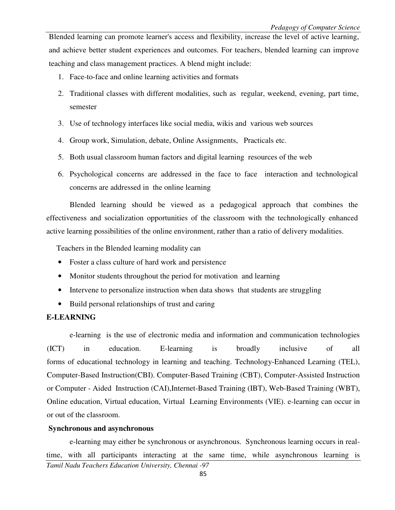Blended learning can promote learner's access and flexibility, increase the level of active learning, and achieve better student experiences and outcomes. For teachers, blended learning can improve teaching and class management practices. A blend might include:

- 1. Face-to-face and online learning activities and formats
- 2. Traditional classes with different modalities, such as regular, weekend, evening, part time, semester
- 3. Use of technology interfaces like social media, wikis and various web sources
- 4. Group work, Simulation, debate, Online Assignments, Practicals etc.
- 5. Both usual classroom human factors and digital learning resources of the web
- 6. Psychological concerns are addressed in the face to face interaction and technological concerns are addressed in the online learning

 Blended learning should be viewed as a pedagogical approach that combines the effectiveness and socialization opportunities of the classroom with the technologically enhanced active learning possibilities of the online environment, rather than a ratio of delivery modalities.

Teachers in the Blended learning modality can

- Foster a class culture of hard work and persistence
- Monitor students throughout the period for motivation and learning
- Intervene to personalize instruction when data shows that students are struggling
- Build personal relationships of trust and caring

### **E-LEARNING**

 e-learning is the use of electronic media and information and communication technologies (ICT) in education. E-learning is broadly inclusive of all forms of educational technology in learning and teaching. Technology-Enhanced Learning (TEL), Computer-Based Instruction(CBI). Computer-Based Training (CBT), Computer-Assisted Instruction or Computer - Aided Instruction (CAI),Internet-Based Training (IBT), Web-Based Training (WBT), Online education, Virtual education, Virtual Learning Environments (VIE). e-learning can occur in or out of the classroom.

### **Synchronous and asynchronous**

*Tamil Nadu Teachers Education University, Chennai -97*  e-learning may either be synchronous or asynchronous. Synchronous learning occurs in realtime, with all participants interacting at the same time, while asynchronous learning is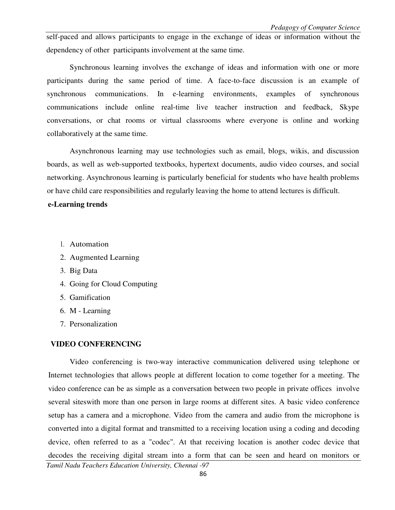self-paced and allows participants to engage in the exchange of ideas or information without the dependency of other participants involvement at the same time.

 Synchronous learning involves the exchange of ideas and information with one or more participants during the same period of time. A face-to-face discussion is an example of synchronous communications. In e-learning environments, examples of synchronous communications include online real-time live teacher instruction and feedback, Skype conversations, or chat rooms or virtual classrooms where everyone is online and working collaboratively at the same time.

 Asynchronous learning may use technologies such as email, blogs, wikis, and discussion boards, as well as web-supported textbooks, hypertext documents, audio video courses, and social networking. Asynchronous learning is particularly beneficial for students who have health problems or have child care responsibilities and regularly leaving the home to attend lectures is difficult.

#### **e-Learning trends**

- 1. Automation
- 2. Augmented Learning
- 3. Big Data
- 4. Going for Cloud Computing
- 5. Gamification
- 6. M Learning
- 7. Personalization

#### **VIDEO CONFERENCING**

 Video conferencing is two-way interactive communication delivered using telephone or Internet technologies that allows people at different location to come together for a meeting. The video conference can be as simple as a conversation between two people in private offices involve several siteswith more than one person in large rooms at different sites. A basic video conference setup has a camera and a microphone. Video from the camera and audio from the microphone is converted into a digital format and transmitted to a receiving location using a coding and decoding device, often referred to as a "codec". At that receiving location is another codec device that decodes the receiving digital stream into a form that can be seen and heard on monitors or

*Tamil Nadu Teachers Education University, Chennai -97*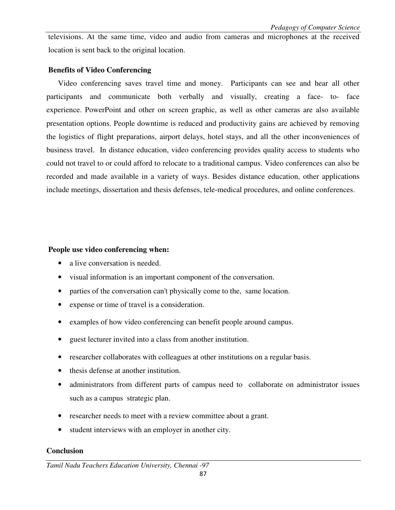televisions. At the same time, video and audio from cameras and microphones at the received location is sent back to the original location.

### **Benefits of Video Conferencing**

Video conferencing saves travel time and money. Participants can see and hear all other participants and communicate both verbally and visually, creating a face- to- face experience. PowerPoint and other on screen graphic, as well as other cameras are also available presentation options. People downtime is reduced and productivity gains are achieved by removing the logistics of flight preparations, airport delays, hotel stays, and all the other inconveniences of business travel. In distance education, video conferencing provides quality access to students who could not travel to or could afford to relocate to a traditional campus. Video conferences can also be recorded and made available in a variety of ways. Besides distance education, other applications include meetings, dissertation and thesis defenses, tele-medical procedures, and online conferences.

### **People use video conferencing when:**

- a live conversation is needed.
- visual information is an important component of the conversation.
- parties of the conversation can't physically come to the, same location.
- expense or time of travel is a consideration.
- examples of how video conferencing can benefit people around campus.
- guest lecturer invited into a class from another institution.
- researcher collaborates with colleagues at other institutions on a regular basis.
- thesis defense at another institution.
- administrators from different parts of campus need to collaborate on administrator issues such as a campus strategic plan.
- researcher needs to meet with a review committee about a grant.
- student interviews with an employer in another city.

## **Conclusion**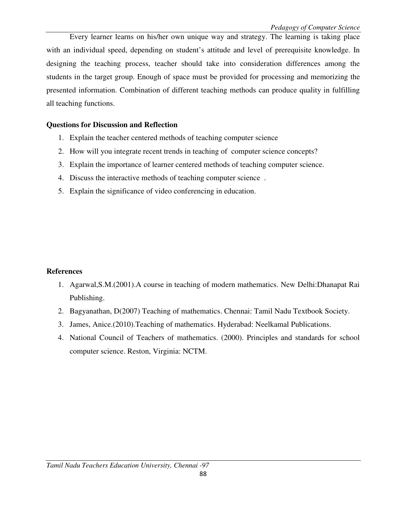Every learner learns on his/her own unique way and strategy. The learning is taking place with an individual speed, depending on student's attitude and level of prerequisite knowledge. In designing the teaching process, teacher should take into consideration differences among the students in the target group. Enough of space must be provided for processing and memorizing the presented information. Combination of different teaching methods can produce quality in fulfilling all teaching functions.

### **Questions for Discussion and Reflection**

- 1. Explain the teacher centered methods of teaching computer science
- 2. How will you integrate recent trends in teaching of computer science concepts?
- 3. Explain the importance of learner centered methods of teaching computer science.
- 4. Discuss the interactive methods of teaching computer science .
- 5. Explain the significance of video conferencing in education.

### **References**

- 1. Agarwal,S.M.(2001).A course in teaching of modern mathematics. New Delhi:Dhanapat Rai Publishing.
- 2. Bagyanathan, D(2007) Teaching of mathematics. Chennai: Tamil Nadu Textbook Society.
- 3. James, Anice.(2010).Teaching of mathematics. Hyderabad: Neelkamal Publications.
- 4. National Council of Teachers of mathematics. (2000). Principles and standards for school computer science. Reston, Virginia: NCTM.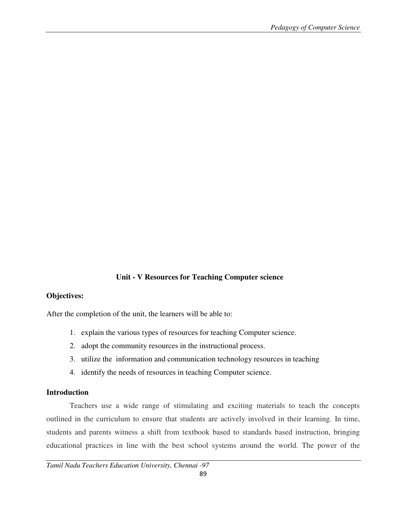## **Unit - V Resources for Teaching Computer science**

### **Objectives:**

After the completion of the unit, the learners will be able to:

- 1. explain the various types of resources for teaching Computer science.
- 2. adopt the community resources in the instructional process.
- 3. utilize the information and communication technology resources in teaching
- 4. identify the needs of resources in teaching Computer science.

#### **Introduction**

 Teachers use a wide range of stimulating and exciting materials to teach the concepts outlined in the curriculum to ensure that students are actively involved in their learning. In time, students and parents witness a shift from textbook based to standards based instruction, bringing educational practices in line with the best school systems around the world. The power of the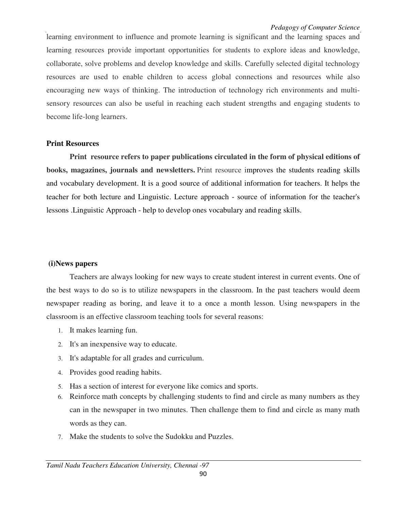learning environment to influence and promote learning is significant and the learning spaces and learning resources provide important opportunities for students to explore ideas and knowledge, collaborate, solve problems and develop knowledge and skills. Carefully selected digital technology resources are used to enable children to access global connections and resources while also encouraging new ways of thinking. The introduction of technology rich environments and multisensory resources can also be useful in reaching each student strengths and engaging students to become life-long learners.

#### **Print Resources**

 **Print resource refers to paper publications circulated in the form of physical editions of books, magazines, journals and newsletters.** Print resource improves the students reading skills and vocabulary development. It is a good source of additional information for teachers. It helps the teacher for both lecture and Linguistic. Lecture approach - source of information for the teacher's lessons .Linguistic Approach - help to develop ones vocabulary and reading skills.

#### **(i)News papers**

 Teachers are always looking for new ways to create student interest in current events. One of the best ways to do so is to utilize newspapers in the classroom. In the past teachers would deem newspaper reading as boring, and leave it to a once a month lesson. Using newspapers in the classroom is an effective classroom teaching tools for several reasons:

- 1. It makes learning fun.
- 2. It's an inexpensive way to educate.
- 3. It's adaptable for all grades and curriculum.
- 4. Provides good reading habits.
- 5. Has a section of interest for everyone like comics and sports.
- 6. Reinforce math concepts by challenging students to find and circle as many numbers as they can in the newspaper in two minutes. Then challenge them to find and circle as many math words as they can.
- 7. Make the students to solve the Sudokku and Puzzles.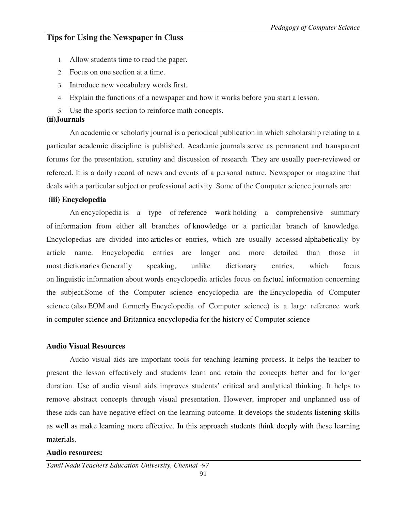# **Tips for Using the Newspaper in Class**

- 1. Allow students time to read the paper.
- 2. Focus on one section at a time.
- 3. Introduce new vocabulary words first.
- 4. Explain the functions of a newspaper and how it works before you start a lesson.
- 5. Use the sports section to reinforce math concepts.

## **(ii)Journals**

 An academic or scholarly journal is a periodical publication in which scholarship relating to a particular academic discipline is published. Academic journals serve as permanent and transparent forums for the presentation, scrutiny and discussion of research. They are usually peer-reviewed or refereed. It is a daily record of news and events of a personal nature. Newspaper or magazine that deals with a particular subject or professional activity. Some of the Computer science journals are:

### **(iii) Encyclopedia**

An encyclopedia is a type of reference work holding a comprehensive summary of information from either all branches of knowledge or a particular branch of knowledge. Encyclopedias are divided into articles or entries, which are usually accessed alphabetically by article name. Encyclopedia entries are longer and more detailed than those in most dictionaries Generally speaking, unlike dictionary entries, which focus on linguistic information about words encyclopedia articles focus on factual information concerning the subject.Some of the Computer science encyclopedia are the Encyclopedia of Computer science (also EOM and formerly Encyclopedia of Computer science) is a large reference work in computer science and Britannica encyclopedia for the history of Computer science

## **Audio Visual Resources**

 Audio visual aids are important tools for teaching learning process. It helps the teacher to present the lesson effectively and students learn and retain the concepts better and for longer duration. Use of audio visual aids improves students' critical and analytical thinking. It helps to remove abstract concepts through visual presentation. However, improper and unplanned use of these aids can have negative effect on the learning outcome. It develops the students listening skills as well as make learning more effective. In this approach students think deeply with these learning materials.

### **Audio resources:**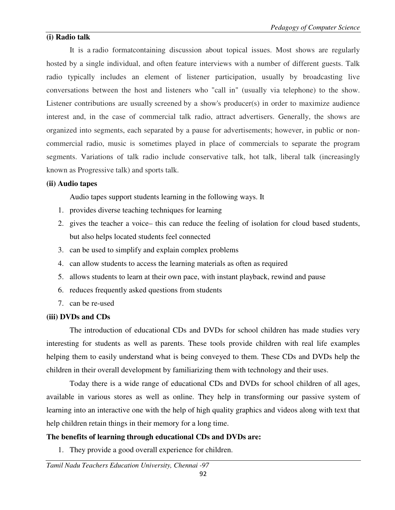## **(i) Radio talk**

It is a radio formatcontaining discussion about topical issues. Most shows are regularly hosted by a single individual, and often feature interviews with a number of different guests. Talk radio typically includes an element of listener participation, usually by broadcasting live conversations between the host and listeners who "call in" (usually via telephone) to the show. Listener contributions are usually screened by a show's producer(s) in order to maximize audience interest and, in the case of commercial talk radio, attract advertisers. Generally, the shows are organized into segments, each separated by a pause for advertisements; however, in public or noncommercial radio, music is sometimes played in place of commercials to separate the program segments. Variations of talk radio include conservative talk, hot talk, liberal talk (increasingly known as Progressive talk) and sports talk.

### **(ii) Audio tapes**

Audio tapes support students learning in the following ways. It

- 1. provides diverse teaching techniques for learning
- 2. gives the teacher a voice– this can reduce the feeling of isolation for cloud based students, but also helps located students feel connected
- 3. can be used to simplify and explain complex problems
- 4. can allow students to access the learning materials as often as required
- 5. allows students to learn at their own pace, with instant playback, rewind and pause
- 6. reduces frequently asked questions from students
- 7. can be re-used

### **(iii) DVDs and CDs**

The introduction of educational CDs and DVDs for school children has made studies very interesting for students as well as parents. These tools provide children with real life examples helping them to easily understand what is being conveyed to them. These CDs and DVDs help the children in their overall development by familiarizing them with technology and their uses.

 Today there is a wide range of educational CDs and DVDs for school children of all ages, available in various stores as well as online. They help in transforming our passive system of learning into an interactive one with the help of high quality graphics and videos along with text that help children retain things in their memory for a long time.

## **The benefits of learning through educational CDs and DVDs are:**

1. They provide a good overall experience for children.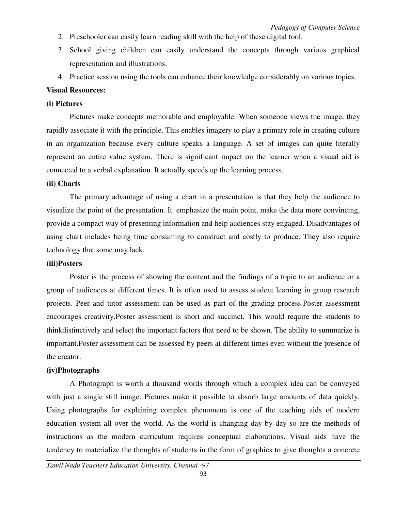- 2. Preschooler can easily learn reading skill with the help of these digital tool.
- 3. School giving children can easily understand the concepts through various graphical representation and illustrations.
- 4. Practice session using the tools can enhance their knowledge considerably on various topics.

#### **Visual Resources:**

### **(i) Pictures**

 Pictures make concepts memorable and employable. When someone views the image, they rapidly associate it with the principle. This enables imagery to play a primary role in creating culture in an organization because every culture speaks a language. A set of images can quite literally represent an entire value system. There is significant impact on the learner when a visual aid is connected to a verbal explanation. It actually speeds up the learning process.

### **(ii) Charts**

 The primary advantage of using a chart in a presentation is that they help the audience to visualize the point of the presentation. It emphasize the main point, make the data more convincing, provide a compact way of presenting information and help audiences stay engaged. Disadvantages of using chart includes being time consuming to construct and costly to produce. They also require technology that some may lack.

#### **(iii)Posters**

 Poster is the process of showing the content and the findings of a topic to an audience or a group of audiences at different times. It is often used to assess student learning in group research projects. Peer and tutor assessment can be used as part of the grading process.Poster assessment encourages creativity.Poster assessment is short and succinct. This would require the students to thinkdistinctively and select the important factors that need to be shown. The ability to summarize is important.Poster assessment can be assessed by peers at different times even without the presence of the creator.

### **(iv)Photographs**

 A Photograph is worth a thousand words through which a complex idea can be conveyed with just a single still image. Pictures make it possible to absorb large amounts of data quickly. Using photographs for explaining complex phenomena is one of the teaching aids of modern education system all over the world. As the world is changing day by day so are the methods of instructions as the modern curriculum requires conceptual elaborations. Visual aids have the tendency to materialize the thoughts of students in the form of graphics to give thoughts a concrete

*Tamil Nadu Teachers Education University, Chennai -97*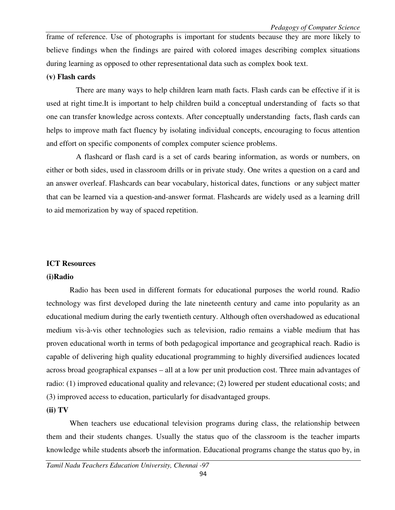frame of reference. Use of photographs is important for students because they are more likely to believe findings when the findings are paired with colored images describing complex situations during learning as opposed to other representational data such as complex book text.

#### **(v) Flash cards**

 There are many ways to help children learn math facts. Flash cards can be effective if it is used at right time.It is important to help children build a conceptual understanding of facts so that one can transfer knowledge across contexts. After conceptually understanding facts, flash cards can helps to improve math fact fluency by isolating individual concepts, encouraging to focus attention and effort on specific components of complex computer science problems.

 A flashcard or flash card is a set of cards bearing information, as words or numbers, on either or both sides, used in classroom drills or in private study. One writes a question on a card and an answer overleaf. Flashcards can bear vocabulary, historical dates, functions or any subject matter that can be learned via a question-and-answer format. Flashcards are widely used as a learning drill to aid memorization by way of spaced repetition.

#### **ICT Resources**

#### **(i)Radio**

 Radio has been used in different formats for educational purposes the world round. Radio technology was first developed during the late nineteenth century and came into popularity as an educational medium during the early twentieth century. Although often overshadowed as educational medium vis-à-vis other technologies such as television, radio remains a viable medium that has proven educational worth in terms of both pedagogical importance and geographical reach. Radio is capable of delivering high quality educational programming to highly diversified audiences located across broad geographical expanses – all at a low per unit production cost. Three main advantages of radio: (1) improved educational quality and relevance; (2) lowered per student educational costs; and (3) improved access to education, particularly for disadvantaged groups.

#### **(ii) TV**

 When teachers use educational television programs during class, the relationship between them and their students changes. Usually the status quo of the classroom is the teacher imparts knowledge while students absorb the information. Educational programs change the status quo by, in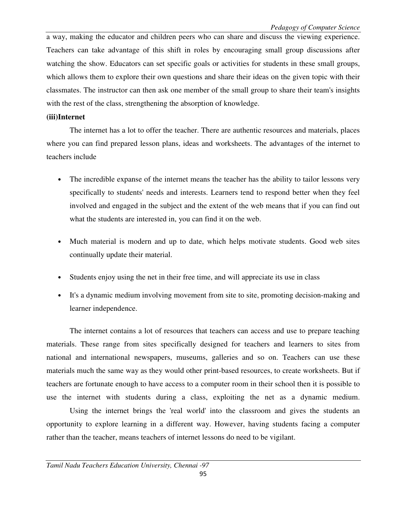a way, making the educator and children peers who can share and discuss the viewing experience. Teachers can take advantage of this shift in roles by encouraging small group discussions after watching the show. Educators can set specific goals or activities for students in these small groups, which allows them to explore their own questions and share their ideas on the given topic with their classmates. The instructor can then ask one member of the small group to share their team's insights with the rest of the class, strengthening the absorption of knowledge.

### **(iii)Internet**

The internet has a lot to offer the teacher. There are authentic resources and materials, places where you can find prepared lesson plans, ideas and worksheets. The advantages of the internet to teachers include

- The incredible expanse of the internet means the teacher has the ability to tailor lessons very specifically to students' needs and interests. Learners tend to respond better when they feel involved and engaged in the subject and the extent of the web means that if you can find out what the students are interested in, you can find it on the web.
- Much material is modern and up to date, which helps motivate students. Good web sites continually update their material.
- Students enjoy using the net in their free time, and will appreciate its use in class
- It's a dynamic medium involving movement from site to site, promoting decision-making and learner independence.

 The internet contains a lot of resources that teachers can access and use to prepare teaching materials. These range from sites specifically designed for teachers and learners to sites from national and international newspapers, museums, galleries and so on. Teachers can use these materials much the same way as they would other print-based resources, to create worksheets. But if teachers are fortunate enough to have access to a computer room in their school then it is possible to use the internet with students during a class, exploiting the net as a dynamic medium.

 Using the internet brings the 'real world' into the classroom and gives the students an opportunity to explore learning in a different way. However, having students facing a computer rather than the teacher, means teachers of internet lessons do need to be vigilant.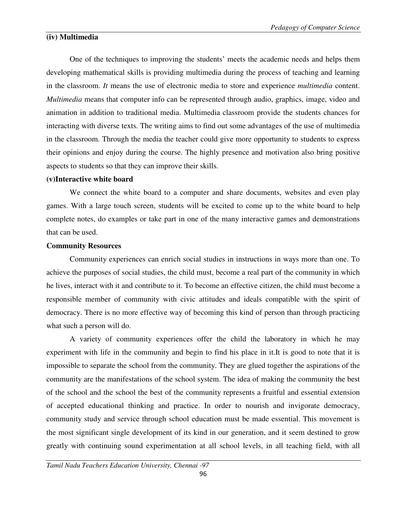### **(iv) Multimedia**

 One of the techniques to improving the students' meets the academic needs and helps them developing mathematical skills is providing multimedia during the process of teaching and learning in the classroom. *It* means the use of electronic media to store and experience *multimedia* content. *Multimedia* means that computer info can be represented through audio, graphics, image, video and animation in addition to traditional media. Multimedia classroom provide the students chances for interacting with diverse texts. The writing aims to find out some advantages of the use of multimedia in the classroom. Through the media the teacher could give more opportunity to students to express their opinions and enjoy during the course. The highly presence and motivation also bring positive aspects to students so that they can improve their skills.

### **(v)Interactive white board**

 We connect the white board to a computer and share documents, websites and even play games. With a large touch screen, students will be excited to come up to the white board to help complete notes, do examples or take part in one of the many interactive games and demonstrations that can be used.

### **Community Resources**

 Community experiences can enrich social studies in instructions in ways more than one. To achieve the purposes of social studies, the child must, become a real part of the community in which he lives, interact with it and contribute to it. To become an effective citizen, the child must become a responsible member of community with civic attitudes and ideals compatible with the spirit of democracy. There is no more effective way of becoming this kind of person than through practicing what such a person will do.

 A variety of community experiences offer the child the laboratory in which he may experiment with life in the community and begin to find his place in it.It is good to note that it is impossible to separate the school from the community. They are glued together the aspirations of the community are the manifestations of the school system. The idea of making the community the best of the school and the school the best of the community represents a fruitful and essential extension of accepted educational thinking and practice. In order to nourish and invigorate democracy, community study and service through school education must be made essential. This movement is the most significant single development of its kind in our generation, and it seem destined to grow greatly with continuing sound experimentation at all school levels, in all teaching field, with all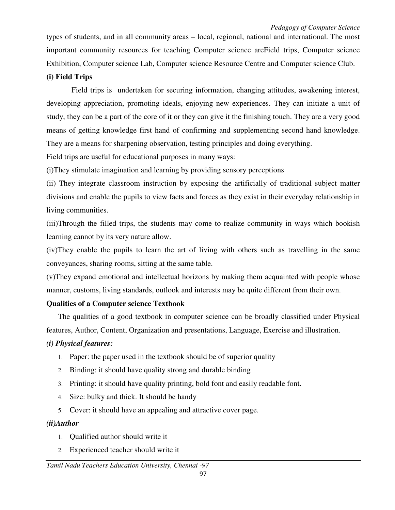types of students, and in all community areas – local, regional, national and international. The most important community resources for teaching Computer science areField trips, Computer science Exhibition, Computer science Lab, Computer science Resource Centre and Computer science Club.

## **(i) Field Trips**

 Field trips is undertaken for securing information, changing attitudes, awakening interest, developing appreciation, promoting ideals, enjoying new experiences. They can initiate a unit of study, they can be a part of the core of it or they can give it the finishing touch. They are a very good means of getting knowledge first hand of confirming and supplementing second hand knowledge. They are a means for sharpening observation, testing principles and doing everything.

Field trips are useful for educational purposes in many ways:

(i)They stimulate imagination and learning by providing sensory perceptions

(ii) They integrate classroom instruction by exposing the artificially of traditional subject matter divisions and enable the pupils to view facts and forces as they exist in their everyday relationship in living communities.

(iii)Through the filled trips, the students may come to realize community in ways which bookish learning cannot by its very nature allow.

(iv)They enable the pupils to learn the art of living with others such as travelling in the same conveyances, sharing rooms, sitting at the same table.

(v)They expand emotional and intellectual horizons by making them acquainted with people whose manner, customs, living standards, outlook and interests may be quite different from their own.

# **Qualities of a Computer science Textbook**

The qualities of a good textbook in computer science can be broadly classified under Physical features, Author, Content, Organization and presentations, Language, Exercise and illustration.

# *(i) Physical features:*

- 1. Paper: the paper used in the textbook should be of superior quality
- 2. Binding: it should have quality strong and durable binding
- 3. Printing: it should have quality printing, bold font and easily readable font.
- 4. Size: bulky and thick. It should be handy
- 5. Cover: it should have an appealing and attractive cover page.

# *(ii)Author*

- 1. Qualified author should write it
- 2. Experienced teacher should write it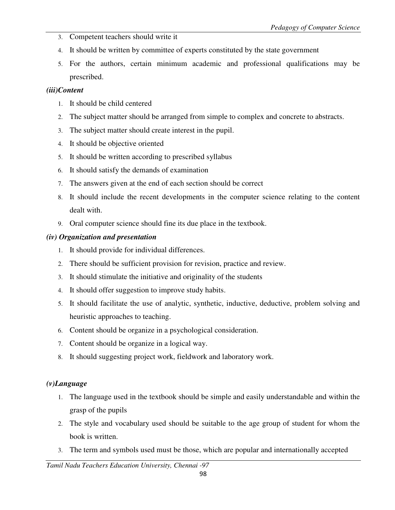- 3. Competent teachers should write it
- 4. It should be written by committee of experts constituted by the state government
- 5. For the authors, certain minimum academic and professional qualifications may be prescribed.

## *(iii)Content*

- 1. It should be child centered
- 2. The subject matter should be arranged from simple to complex and concrete to abstracts.
- 3. The subject matter should create interest in the pupil.
- 4. It should be objective oriented
- 5. It should be written according to prescribed syllabus
- 6. It should satisfy the demands of examination
- 7. The answers given at the end of each section should be correct
- 8. It should include the recent developments in the computer science relating to the content dealt with.
- 9. Oral computer science should fine its due place in the textbook.

# *(iv) Organization and presentation*

- 1. It should provide for individual differences.
- 2. There should be sufficient provision for revision, practice and review.
- 3. It should stimulate the initiative and originality of the students
- 4. It should offer suggestion to improve study habits.
- 5. It should facilitate the use of analytic, synthetic, inductive, deductive, problem solving and heuristic approaches to teaching.
- 6. Content should be organize in a psychological consideration.
- 7. Content should be organize in a logical way.
- 8. It should suggesting project work, fieldwork and laboratory work.

# *(v)Language*

- 1. The language used in the textbook should be simple and easily understandable and within the grasp of the pupils
- 2. The style and vocabulary used should be suitable to the age group of student for whom the book is written.
- 3. The term and symbols used must be those, which are popular and internationally accepted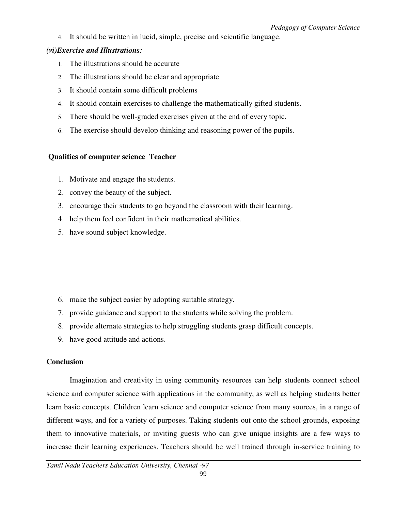4. It should be written in lucid, simple, precise and scientific language.

## *(vi)Exercise and Illustrations:*

- 1. The illustrations should be accurate
- 2. The illustrations should be clear and appropriate
- 3. It should contain some difficult problems
- 4. It should contain exercises to challenge the mathematically gifted students.
- 5. There should be well-graded exercises given at the end of every topic.
- 6. The exercise should develop thinking and reasoning power of the pupils.

# **Qualities of computer science Teacher**

- 1. Motivate and engage the students.
- 2. convey the beauty of the subject.
- 3. encourage their students to go beyond the classroom with their learning.
- 4. help them feel confident in their mathematical abilities.
- 5. have sound subject knowledge.

- 6. make the subject easier by adopting suitable strategy.
- 7. provide guidance and support to the students while solving the problem.
- 8. provide alternate strategies to help struggling students grasp difficult concepts.
- 9. have good attitude and actions.

# **Conclusion**

Imagination and creativity in using community resources can help students connect school science and computer science with applications in the community, as well as helping students better learn basic concepts. Children learn science and computer science from many sources, in a range of different ways, and for a variety of purposes. Taking students out onto the school grounds, exposing them to innovative materials, or inviting guests who can give unique insights are a few ways to increase their learning experiences. Teachers should be well trained through in-service training to